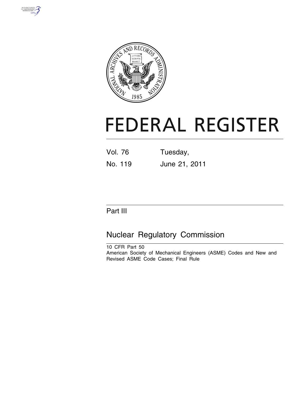



# **FEDERAL REGISTER**

Vol. 76 Tuesday, No. 119 June 21, 2011

# Part III

# Nuclear Regulatory Commission

10 CFR Part 50 American Society of Mechanical Engineers (ASME) Codes and New and Revised ASME Code Cases; Final Rule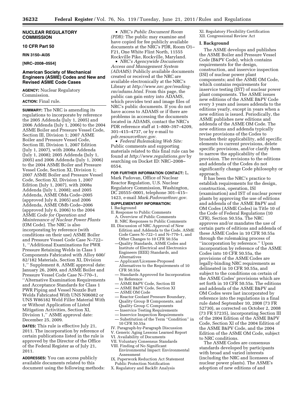#### **NUCLEAR REGULATORY COMMISSION**

#### **10 CFR Part 50**

#### **RIN 3150–AI35**

#### **[NRC–2008–0554]**

#### **American Society of Mechanical Engineers (ASME) Codes and New and Revised ASME Code Cases**

**AGENCY:** Nuclear Regulatory Commission. **ACTION:** Final rule.

**SUMMARY:** The NRC is amending its regulations to incorporate by reference the 2005 Addenda (July 1, 2005) and 2006 Addenda (July 1, 2006) to the 2004 ASME Boiler and Pressure Vessel Code, Section III, Division 1; 2007 ASME Boiler and Pressure Vessel Code, Section III, Division 1, 2007 Edition (July 1, 2007), with 2008a Addenda (July 1, 2008); 2005 Addenda (July 1, 2005) and 2006 Addenda (July 1, 2006) to the 2004 ASME Boiler and Pressure Vessel Code, Section XI, Division 1; 2007 ASME Boiler and Pressure Vessel Code, Section XI, Division 1, 2007 Edition (July 1, 2007), with 2008a Addenda (July 1, 2008); and 2005 Addenda, ASME OMa Code–2005 (approved July 8, 2005) and 2006 Addenda, ASME OMb Code–2006 (approved July 6, 2006) to the 2004 ASME *Code for Operation and Maintenance of Nuclear Power Plants*  (OM Code). The NRC is also incorporating by reference (with conditions on their use) ASME Boiler and Pressure Vessel Code Case N–722– 1, ''Additional Examinations for PWR Pressure Retaining Welds in Class 1 Components Fabricated with Alloy 600/ 82/182 Materials, Section XI, Division 1,'' Supplement 8, ASME approval date: January 26, 2009, and ASME Boiler and Pressure Vessel Code Case N–770–1, ''Alternative Examination Requirements and Acceptance Standards for Class 1 PWR Piping and Vessel Nozzle Butt Welds Fabricated With UNS N06082 or UNS W86182 Weld Filler Material With or Without Application of Listed Mitigation Activities, Section XI, Division 1,'' ASME approval date: December 25, 2009.

**DATES:** This rule is effective July 21, 2011. The incorporation by reference of certain publications listed in the rule is approved by the Director of the Office of the Federal Register as of July 21, 2011.

**ADDRESSES:** You can access publicly available documents related to this document using the following methods:

• *NRC's Public Document Room (PDR):* The public may examine and have copied for fee publicly available documents at the NRC's PDR, Room O1– F21, One White Flint North, 11555 Rockville Pike, Rockville, Maryland.

• *NRC's Agencywide Documents Access and Management System (ADAMS):* Publicly available documents created or received at the NRC are available electronically at the NRC's Library at *[http://www.nrc.gov/reading](http://www.nrc.gov/reading-rm/adams.html)[rm/adams.html.](http://www.nrc.gov/reading-rm/adams.html)* From this page, the public can gain entry into ADAMS, which provides text and image files of NRC's public documents. If you do not have access to ADAMS or if there are problems in accessing the documents located in ADAMS, contact the NRC's PDR reference staff at 1–800–397–4209, 301–415–4737, or by e-mail to *[pdr.resource@nrc.gov.](mailto:pdr.resource@nrc.gov)* 

• *Federal Rulemaking Web Site:*  Public comments and supporting materials related to this final rule can be found at *<http://www.regulations.gov>* by searching on Docket ID: NRC–2008– 0554.

#### **FOR FURTHER INFORMATION CONTACT:** L.

Mark Padovan, Office of Nuclear Reactor Regulation, U.S. Nuclear Regulatory Commission, Washington, DC 20555–0001, telephone 301–415– 1423, e-mail *[Mark.Padovan@nrc.gov.](mailto:Mark.Padovan@nrc.gov)* 

#### **SUPPLEMENTARY INFORMATION:**

#### I. Background

- II. Response to Public Comments A. Overview of Public Comments
- B. NRC Responses to Public Comments III. Discussion of NRC Approval of New Edition and Addenda to the Code, ASME
- Code Cases N–722–1 and N–770–1, and Other Changes to 10 CFR 50.55a —Quality Standards, ASME Codes and
- Institute of Electrical and Electronics Engineers (IEEE) Standards, and Alternatives
- Applicant/Licensee-Proposed Alternatives to the Requirements of 10 CFR 50.55a
- Standards Approved for Incorporation by Reference
- ASME B&PV Code, Section III
- ASME B&PV Code, Section XI
- ASME OM Code
- Reactor Coolant Pressure Boundary, Quality Group B Components, and Quality Group C Components
- Inservice Testing Requirements
- Inservice Inspection Requirements
- Substitution of the Term ''Condition'' in 10 CFR 50.55a
- IV. Paragraph-by-Paragraph Discussion
- V. Generic Aging Lessons Learned Report
- VI. Availability of Documents
- VII. Voluntary Consensus Standards
- VIII. Finding of No Significant Environmental Impact: Environmental
- Assessment IX. Paperwork Reduction Act Statement
- Public Protection Notification
- X. Regulatory and Backfit Analysis

XI. Regulatory Flexibility Certification XII. Congressional Review Act

#### **I. Background**

The ASME develops and publishes the ASME Boiler and Pressure Vessel Code (B&PV Code), which contains requirements for the design, construction, and inservice inspection (ISI) of nuclear power plant components; and the ASME OM Code, which contains requirements for inservice testing (IST) of nuclear power plant components. The ASME issues new editions of the ASME B&PV Code every 3 years and issues addenda to the editions yearly, except in years when a new edition is issued. Periodically, the ASME publishes new editions and addenda of the ASME OM Code. The new editions and addenda typically revise provisions of the Codes to broaden their applicability, add specific elements to current provisions, delete specific provisions, and/or clarify them to narrow the applicability of the provision. The revisions to the editions and addenda of the Codes do not significantly change Code philosophy or approach.

It has been the NRC's practice to establish requirements for the design, construction, operation, ISI (examination) and IST of nuclear power plants by approving the use of editions and addenda of the ASME B&PV and OM Codes (ASME Codes) in Title 10 of the Code of Federal Regulations (10 CFR), Section 50.55a. The NRC approves and/or mandates the use of certain parts of editions and addenda of these ASME Codes in 10 CFR 50.55a through the rulemaking process of ''incorporation by reference.'' Upon incorporation by reference of the ASME Codes into 10 CFR 50.55a, the provisions of the ASME Codes are legally-binding NRC requirements as delineated in 10 CFR 50.55a, and subject to the conditions on certain of the ASME Codes' provisions which are set forth in 10 CFR 50.55a. The editions and addenda of the ASME B&PV and OM Codes were last incorporated by reference into the regulations in a final rule dated September 10, 2008 (73 FR 52730), as corrected on October 2, 2008 (73 FR 57235), incorporating Section III of the 2004 Edition of the ASME B&PV Code, Section XI of the 2004 Edition of the ASME B&PV Code, and the 2004 Edition of the ASME OM Code, subject to NRC conditions.

The ASME Codes are consensus standards developed by participants with broad and varied interests (including the NRC and licensees of nuclear power plants). The ASME's adoption of new editions of and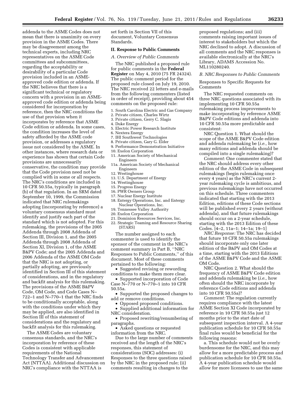addenda to the ASME Codes does not mean that there is unanimity on every provision in the ASME Codes. There may be disagreement among the technical experts, including NRC representatives on the ASME Code committees and subcommittees, regarding the acceptability or desirability of a particular Code provision included in an ASMEapproved code edition or addenda. If the NRC believes that there is a significant technical or regulatory concern with a provision in an ASMEapproved code edition or addenda being considered for incorporation by reference, then the NRC conditions the use of that provision when it incorporates by reference that ASME Code edition or addenda. In some cases, the condition increases the level of safety afforded by the ASME code provision, or addresses a regulatory issue not considered by the ASME. In other instances, where research data or experience has shown that certain Code provisions are unnecessarily conservative, the condition may provide that the Code provision need not be complied with in some or all respects. The NRC's conditions are included in 10 CFR 50.55a, typically in paragraph (b) of that regulation. In an SRM dated September 10, 1999, the Commission indicated that NRC rulemakings adopting (incorporating by reference) a voluntary consensus standard must identify and justify each part of the standard which is not adopted. For this rulemaking, the provisions of the 2005 Addenda through 2008 Addenda of Section III, Division 1, and the 2005 Addenda through 2008 Addenda of Section XI, Division 1, of the ASME B&PV Code; and the 2005 Addenda and 2006 Addenda of the ASME OM Code that the NRC is not adopting, or partially adopting, are previously identified in Section III of this statement of considerations, and in the regulatory and backfit analysis for this rulemaking. The provisions of the ASME B&PV Code, OM Code, and Code Cases N– 722–1 and N–770–1 that the NRC finds to be conditionally acceptable, along with the conditions under which they may be applied, are also identified in Section III of this statement of considerations and the regulatory and backfit analysis for this rulemaking.

The ASME Codes are voluntary consensus standards, and the NRC's incorporation by reference of these Codes is consistent with applicable requirements of the National Technology Transfer and Advancement Act (NTTAA). Additional discussion on NRC's compliance with the NTTAA is

set forth in Section VII of this document, Voluntary Consensus Standards.

#### **II. Response to Public Comments**

*A. Overview of Public Comments* 

The NRC published a proposed rule for public comments in the **Federal Register** on May 4, 2010 (75 FR 24324). The public comment period for the proposed rule closed on July 19, 2010. The NRC received 22 letters and e-mails from the following commenters (listed in order of receipt), providing about 454 comments on the proposed rule:

- 1. South Carolina Electric and Gas Company
- 2. Private citizen, Charles Wirtz
- 3. Private citizen, Gerry C. Slagis
- 4. Duke Energy
- 5. Electric Power Research Institute
- 6. Nextera Energy
- 7. IHI Southwest Technologies
- 8. Private citizen, Gary G. Elder
- 9. Performance Demonstration Initiative
- 10. Exelon Corporation
- 11. American Society of Mechanical Engineers
- 11a. American Society of Mechanical Engineers
- 12. Westinghouse
- 13. U.S. Department of Energy
- 14. Westinghouse
- 15. Progress Energy
- 16. PWR Owners Group
- 17. Nuclear Energy Institute
- 18. Entergy Operations, Inc. and Entergy Nuclear Operations, Inc.
- 19. Tennessee Valley Authority
- 20. Exelon Corporation
- 21. Dominion Resources Services, Inc.
- 22. Strategic Teaming and Resource Sharing (STARS)

The number assigned to each commenter is used to identify the sponsor of the comment in the NRC's comment summary in Part B, ''NRC Responses to Public Comments,'' of this document. Most of these comments pertained to the following:

• Suggested revising or rewording conditions to make them more clear.

• Supported incorporation of Code Case N–770 or N–770–1 into 10 CFR 50.55a.

• Supported the proposed changes to add or remove conditions.

• Opposed proposed conditions.

• Supplied additional information for NRC consideration.

• Proposed rewriting/renumbering of paragraphs.

• Asked questions or requested information from the NRC.

Due to the large number of comments received and the length of the NRC's responses, this statement of considerations (SOC) addresses: (i) Responses to the three questions raised by the NRC in the proposed rule; (ii) comments resulting in changes to the

proposed regulations; and (iii) comments raising important issues of interest to stakeholders but which the NRC declined to adopt. A discussion of all comments and the NRC responses is available electronically at the NRC's Library, ADAMS Accession No. ML110280240.

#### *B. NRC Responses to Public Comments*

Responses to Specific Requests for Comments

The NRC requested comments on three NRC questions associated with its implementing 10 CFR 50.55a rulemaking process improvements to make incorporating by reference ASME B&PV Code editions and addenda into 10 CFR 50.55a more predictable and consistent:

NRC Question 1. What should the scope of the ASME B&PV Code edition and addenda rulemaking be (*i.e.,* how many editions and addenda should be compiled into a single rulemaking)?

*Comment:* One commenter stated that the NRC should address every other edition of the ASME Code in subsequent rulemakings (begin rulemaking once every 4 years) as the NRC's current 2 year rulemaking cycle is ambitious, and previous rulemakings have not occurred on this schedule. Three commenters indicated that starting with the 2013 Edition, editions of these Code sections will be published every 2 years (without addenda), and that future rulemakings should occur on a 2-year schedule, starting with the 2013 Edition of these Codes. [4–2, 11a–1; 14–1a; 19–1]

*NRC Response:* The NRC has decided that future 10 CFR 50.55a rulemakings should incorporate only one later edition of the B&PV and OM Codes at a time, starting with the 2013 Editions of the ASME B&PV Code and the ASME OM Code.

NRC Question 2. What should the frequency of ASME B&PV Code edition and addenda rulemaking be (*i.e.,* how often should the NRC incorporate by reference Code editions and addenda into 10 CFR 50.55a)?

*Comment:* The regulation currently requires compliance with the latest ASME Section XI Code incorporated by reference in 10 CFR 50.55a just 12 months prior to the start date of subsequent inspection interval. A 4-year publication schedule for 10 CFR 50.55a final rules would be beneficial for the following reasons:

a. This schedule would not be overly burdensome for the NRC, and this may allow for a more predictable process and publication schedule for 10 CFR 50.55a. A 4-year publication schedule would allow for more licensees to use the same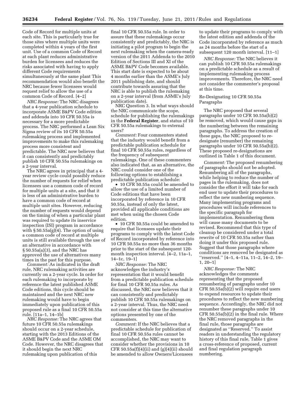Code of Record for multiple units at each site. This is particularly true for those sites where multiple units were completed within 4 years of the first unit. Use of a common Code of Record at each plant reduces administrative burden for licensees and reduces the risks associated with having to apply different Code requirements simultaneously at the same plant This recommendation would also benefit the NRC because fewer licensees would request relief to allow the use of a common Code of Record. [4–2]

*NRC Response:* The NRC disagrees that a 4-year publication schedule to incorporate ASME B&PV Code edition and addenda into 10 CFR 50.55a is necessary for a more predictable process. The NRC performed a Lean Six Sigma review of its 10 CFR 50.55a rulemaking process and implemented improvements to make this rulemaking process more consistent and predictable. The NRC now believes that it can consistently and predictably publish 10 CFR 50.55a rulemakings on a 2-year interval.

The NRC agrees in principal that a 4 year review cycle could possibly reduce the number of requests for relief when licensees use a common code of record for multiple units at a site, and that it is less of an administrative burden to have a common code of record at multiple unit sites. However, reducing the number of requests would depend on the timing of when a particular plant was required to update its inservice inspection (ISI) program in accordance with § 50.55a(g)(4). The option of using a common code of record at multiple units is still available through the use of an alternative in accordance with § 50.55a(a)(3), and the NRC has approved the use of alternatives many times in the past for this purpose.

*Comment:* As indicated in the draft rule, NRC rulemaking activities are currently on a 2-year cycle. In order for each rulemaking to incorporate by reference the latest published ASME Code editions, this cycle should be maintained and the next NRC new rulemaking would have to begin immediately upon publication of this proposed rule as a final 10 CFR 50.55a rule. [11a–1, 14–1b]

*NRC Response:* The NRC agrees that future 10 CFR 50.55a rulemakings should occur on a 2-year schedule, starting with the 2013 Editions of the ASME B&PV Code and the ASME OM Code. However, the NRC disagrees that it should begin the next NRC rulemaking upon publication of this

final 10 CFR 50.55a rule. In order to assure that these rulemakings occur consistently and predictably, the NRC is initiating a pilot program to begin the next rulemaking when the camera-ready version of the 2011 Addenda to the 2010 Edition of Sections III and XI of the ASME B&PV Code becomes available. This start date is expected to be about 4 months earlier than the ASME's July 2011 publishing date, and should contribute towards assuring that the NRC is able to publish the rulemaking on a 2-year interval (from ASME's July publication date).

NRC Question 3. In what ways should the NRC communicate the scope, schedule for publishing the rulemakings in the **Federal Register**, and status of 10 CFR 50.55a rulemakings to external users?

*Comment:* Four commenters stated that the industry would benefit from a predictable publication schedule for final 10 CFR 50.55a rules, regardless of the frequency of subsequent rulemakings. One of these commenters also indicated that, as an alternative, the NRC could consider one of the following options to establishing a predictable publication schedule:

• 10 CFR 50.55a could be amended to allow the use of a limited number of Code editions that have been incorporated by reference in 10 CFR 50.55a, instead of only the latest, provided all applicable conditions are met when using the chosen Code edition.

• 10 CFR 50.55a could be amended to require that licensees update their programs to comply with the latest Code of Record incorporated by reference into 10 CFR 50.55a no more than 36 months prior to the start of the subsequent 120 month inspection interval. [4–2, 11a–1, 14–1c, 19–1]

*NRC Response:* The NRC acknowledges the industry's representation that it would benefit from a predictable publication schedule for final 10 CFR 50.55a rules. As discussed, the NRC now believes that it can consistently and predictably publish 10 CFR 50.55a rulemakings on a 2-year interval. Thus, the NRC need not consider at this time the alternative options presented by one of the commenters.

*Comment:* If the NRC believes that a predictable schedule for publication of final 10 CFR 50.55a rules cannot be accomplished, the NRC may want to consider whether the provisions in 10 CFR 50.55a(f)(4)(ii) and  $(g)(4)$ (ii) should be amended to allow Owners/Licensees

to update their programs to comply with the latest edition and addenda of the Code incorporated by reference as much as 24 months before the start of a subsequent 120 month interval. [11–1]

*NRC Response:* The NRC believes it can publish 10 CFR 50.55a rulemakings on a predictable schedule as a result of implementing rulemaking process improvements. Therefore, the NRC need not consider the commenter's proposal at this time.

#### Re-Designating 10 CFR 50.55a Paragraphs

The NRC proposed that several paragraphs under 10 CFR 50.55a(b)(2) be removed, which would cause gaps in the numbering between the remaining paragraphs. To address the creation of these gaps, the NRC proposed to redesignate (renumber) the remaining paragraphs under 10 CFR 50.55a(b)(2). These proposed re-designations are outlined in Table 1 of this document.

*Comment:* The proposed renumbering of paragraphs should not be adopted. Renumbering all of the paragraphs, while helping to reduce the number of pages in the rulemaking, does not consider the effort it will take for each end user to update their procedures to reflect the new numbering sequence. Many implementing programs and procedures will include references to the specific paragraph for implementation. Renumbering them will cause many documents to be revised. Recommend that this type of cleanup be considered under a total rewrite of 10 CFR 50.55a rather than doing it under this proposed rule. Suggest that those paragraphs where conditions are removed be designated as ''reserved.'' [4–1, 4–11a, 11–2, 14–2, 19– 1, 20–1]

*NRC Response:* The NRC acknowledges the comments representing that the proposed renumbering of paragraphs under 10 CFR 50.55a(b)(2) will require end users to expend resources to update their procedures to reflect the new numbering sequence. Accordingly, the NRC did not renumber these paragraphs under 10 CFR 50.55a(b)(2) in the final rule. Where the NRC removed paragraphs in the final rule, those paragraphs are designated as ''Reserved.'' To assist readers in understanding the regulatory history of this final rule, Table 1 gives a cross-reference of proposed, current and final regulation paragraph numbering.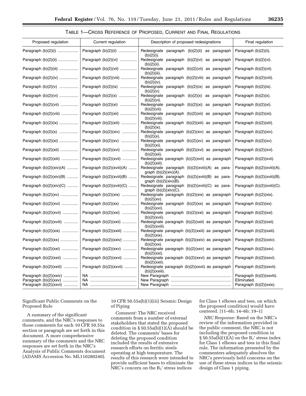TABLE 1—CROSS REFERENCE OF PROPOSED, CURRENT AND FINAL REGULATIONS

| Proposed regulation                                 | Current regulation           | Description of proposed redesignations                                      | Final regulation                         |
|-----------------------------------------------------|------------------------------|-----------------------------------------------------------------------------|------------------------------------------|
| Paragraph $(b)(2)(i)$                               | Paragraph (b)(2)(ii)         | Redesignate paragraph (b)(2)(ii) as paragraph<br>(b)(2)(i).                 | Paragraph (b)(2)(ii).                    |
| Paragraph (b)(2)(ii)                                | Paragraph (b)(2)(vi)         | Redesignate paragraph (b)(2)(vi) as paragraph<br>$(b)(2)(ii)$ .             | Paragraph $(b)(2)(vi)$ .                 |
| Paragraph (b)(2)(iii)                               | Paragraph (b)(2)(vii)        | Redesignate paragraph (b)(2)(vii) as paragraph<br>$(b)(2)(iii)$ .           | Paragraph (b)(2)(vii).                   |
| Paragraph $(b)(2)(iv)$                              | Paragraph (b)(2)(viii)       | Redesignate paragraph (b)(2)(viii) as paragraph<br>(b)(2)(iv).              | Paragraph (b)(2)(viii).                  |
| Paragraph $(b)(2)(v)$                               | Paragraph (b)(2)(ix)         | Redesignate paragraph (b)(2)(ix) as paragraph<br>(b)(2)(v).                 | Paragraph (b)(2)(ix).                    |
| Paragraph $(b)(2)(vi)$                              | Paragraph $(b)(2)(x)$        | Redesignate paragraph $(b)(2)(x)$<br>paragraph<br>as<br>(b)(2)(vi).         | Paragraph $(b)(2)(x)$ .                  |
| Paragraph $(b)(2)(vii)$                             | Paragraph (b)(2)(xi)         | Redesignate paragraph (b)(2)(xi) as paragraph<br>$(b)(2)(vii)$ .            | Paragraph $(b)(2)(xi)$ .                 |
| Paragraph $(b)(2)(viii)$                            | Paragraph $(b)(2)(xii)$      | Redesignate paragraph (b)(2)(xii) as paragraph<br>$(b)(2)(viii)$ .          | Paragraph (b)(2)(xii).                   |
| Paragraph (b)(2)(ix)                                | Paragraph (b)(2)(xiii)       | Redesignate paragraph (b)(2)(xiii) as paragraph<br>(b)(2)(ix).              | Paragraph (b)(2)(xiii).                  |
| Paragraph $(b)(2)(x)$                               | Paragraph $(b)(2)(xiv)$      | Redesignate paragraph (b)(2)(xiv) as paragraph<br>$(b)(2)(x)$ .             | Paragraph (b)(2)(xiv).                   |
| Paragraph (b)(2)(xi)                                | Paragraph (b)(2)(xv)         | Redesignate paragraph (b)(2)(xv) as paragraph<br>$(b)(2)(xi)$ .             | Paragraph $(b)(2)(xv)$ .                 |
| Paragraph (b)(2)(xii)                               | Paragraph (b)(2)(xvi)        | Redesignate paragraph (b)(2)(xvi) as paragraph<br>$(b)(2)(xii)$ .           | Paragraph (b)(2)(xvi).                   |
| Paragraph $(b)(2)(xiii)$                            | Paragraph $(b)(2)(xvii)$     | Redesignate paragraph (b)(2)(xvii) as paragraph<br>$(b)(2)(xiii)$ .         | Paragraph (b)(2)(xvii).                  |
| Paragraph (b)(2)(xiv)(A)                            | Paragraph (b)(2)(xviii)(A)   | Redesignate paragraph (b)(2)(xviii)(A) as para-<br>graph $(b)(2)(xiv)(A)$ . | Paragraph (b)(2)(xviii)(A).              |
| Paragraph $(b)(2)(xiv)(B)$                          | Paragraph (b)(2)(xviii)(B)   | Redesignate paragraph (b)(2)(xviii)(B) as para-<br>graph $(b)(2)(xiv)(B)$ . | Paragraph (b)(2)(xviii)(B).              |
| Paragraph $(b)(2)(xiv)(C)$                          | Paragraph $(b)(2)(xviii)(C)$ | Redesignate paragraph (b)(2)(xviii)(C) as para-<br>graph $(b)(2)(xiv)(C)$ . | Paragraph (b)(2)(xviii)(C).              |
| Paragraph $(b)(2)(xv)$                              | Paragraph $(b)(2)(xix)$      | Redesignate paragraph (b)(2)(xix) as paragraph<br>$(b)(2)(xy)$ .            | Paragraph $(b)(2)(\text{six}).$          |
| Paragraph $(b)(2)(xvi)$                             | Paragraph $(b)(2)(xx)$       | Redesignate paragraph (b)(2)(xx) as paragraph<br>(b)(2)(xvi).               | Paragraph $(b)(2)(xx)$ .                 |
| Paragraph (b)(2)(xvii)                              | Paragraph (b)(2)(xxi)        | Redesignate paragraph (b)(2)(xxi) as paragraph<br>$(b)(2)(xvii)$ .          | Paragraph (b)(2)(xxi).                   |
| Paragraph $(b)(2)(xviii)$                           | Paragraph $(b)(2)(xxii)$     | Redesignate paragraph (b)(2)(xxii) as paragraph<br>$(b)(2)(xviii)$ .        | Paragraph (b)(2)(xxii).                  |
| Paragraph $(b)(2)(xix)$                             | Paragraph (b)(2)(xxiii)      | Redesignate paragraph (b)(2)(xxiii) as paragraph<br>(b)(2)(xix).            | Paragraph (b)(2)(xxiii).                 |
| Paragraph $(b)(2)(xx)$                              | Paragraph $(b)(2)(xxiv)$     | Redesignate paragraph (b)(2)(xxiv) as paragraph<br>$(b)(2)(xx)$ .           | Paragraph (b)(2)(xxiv).                  |
| Paragraph (b)(2)(xxi)                               | Paragraph (b)(2)(xxv)        | Redesignate paragraph (b)(2)(xxv) as paragraph<br>(b)(2)(xxi).              | Paragraph $(b)(2)(xxx)$ .                |
| Paragraph $(b)(2)(xxii)$                            | Paragraph (b)(2)(xxvi)       | Redesignate paragraph (b)(2)(xxvi) as paragraph<br>$(b)(2)(xxii)$ .         | Paragraph (b)(2)(xxvi).                  |
| Paragraph $(b)(2)(xxiii)$                           | Paragraph (b)(2)(xxvii)      | Redesignate paragraph (b)(2)(xxvii) as paragraph<br>$(b)(2)(xxiii)$ .       | Paragraph (b)(2)(xxvii).                 |
| Paragraph $(b)(2)(xxiv)$<br>Paragraph $(b)(2)(xxx)$ |                              |                                                                             | Paragraph (b)(2)(xxviii).<br>Eliminated. |
| Paragraph (b)(2)(xxvi)                              |                              |                                                                             | Paragraph (b)(2)(xxix).                  |

Significant Public Comments on the Proposed Rule

A summary of the significant comments, and the NRC's responses to those comments for each 10 CFR 50.55a section or paragraph are set forth in this document. A more comprehensive summary of the comments and the NRC responses are set forth in the NRC's Analysis of Public Comments document (ADAMS Accession No. ML110280240).

10 CFR 50.55a(b)(1)(iii) Seismic Design of Piping

*Comment:* The NRC received comments from a number of external stakeholders that stated the proposed condition in  $\S 50.55a(b)(1)(A)$  should be deleted. The comments' bases for deleting the proposed condition included the results of extensive research efforts on ferritic steels operating at high temperature. The results of this research were intended to provide sufficient bases to eliminate the NRC's concern on the B2' stress indices

for Class 1 elbows and tees, on which the proposed condition) would have centered. [11–6b; 14–6b; 19–1]

*NRC Response:* Based on the NRC's review of the information provided in the public comment, the NRC is not including the proposed condition in  $\S 50.55a(b)(1)(A)$  on the B<sub>2</sub>' stress index for Class 1 elbows and tees in this final rule. The information presented by the commenters adequately absolves the NRC's previously held concerns on the use of these stress indices in the seismic design of Class 1 piping.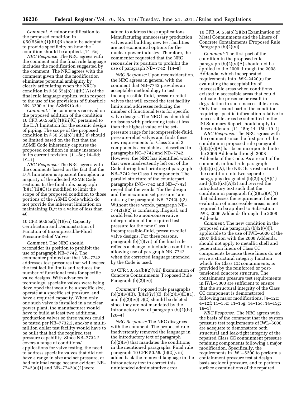*Comment:* A minor modification to the proposed condition in § 50.55a(b)(1)(iii)(B should be adopted to provide specificity on how the condition should be applied. [14–6c]

*NRC Response:* The NRC agrees with the comment and the final rule language includes the modification suggested by the comment. The NRC agrees with the comment given that the modification eliminates potential ambiguity by clearly articulating when the NRC's condition in  $\S 50.55a(b)(1)(iii)(A)$  of the final rule language applies, with respect to the use of the provisions of Subarticle NB–3200 of the ASME Code.

*Comment:* The comments received on the proposed addition of the condition 10 CFR 50.55a(b)(1)(iii)(C) pertained to the  $D_0/t$  limitation for the seismic design of piping. The scope of the proposed condition in § 50.55a(b)(1)(iii)(e) should be limited based on the fact that the ASME Code inherently captures the proposed condition in many instances in its current revision. [11–6d; 14–6d; 19–1]

*NRC Response:* The NRC agrees with the comments based on the fact that the Do/t limitation is apparent throughout a majority of the affected ASME Code sections. In the final rule, paragraph (b)(1)(iii)(C) is modified to limit the scope of the proposed condition to those portions of the ASME Code which do not provide the inherent limitation on maintaining  $D_0/t$  to a value of less than 40.

10 CFR 50.55a(b)(1)(vii) Capacity Certification and Demonstration of Function of Incompressible-Fluid Pressure-Relief Valves

*Comment:* The NRC should reconsider its position to prohibit the use of paragraph NB–7742. The commenter pointed out that NB–7742 addresses test pressures that will exceed the test facility limits and reduces the number of functional tests for specific valve designs. With advances in technology, specialty valves were being developed that would be a specific size, operate at a specific set pressure, and have a required capacity. When only one such valve is installed in a nuclear power plant, the manufacturer would have to build at least two additional production valves so three valves could be tested per NB–7732.2, and/or a multimillion dollar test facility would have to be built that had the required test pressure capability. Since NB–7732.2 covers a range of conditions/ applications for valve testing, the need to address specialty valves that did not have a range in size and set pressure, or had minimal range became evident. NB– 7742(a)(1) and NB–7742(a)(2) were

added to address these applications. Manufacturing unnecessary production valves and building new test facilities are not economical options for the nuclear power industry. Therefore, the commenter requested that the NRC reconsider its position to prohibit the use of paragraph NB–7742. [14–8]

*NRC Response:* Upon reconsideration, the NRC agrees in general with the comment that NB–7742 provides an acceptable methodology to test incompressible-fluid, pressure-relief valves that will exceed the test facility limits and addresses reducing the number of functional tests for specific valve designs. The NRC has identified no issues with performing tests at less than the highest value of the setpressure range for incompressible-fluid, pressure-relief valves and finds these new requirements for Class 2 and 3 components acceptable as described in paragraphs NC–7742 and ND–7742. However, the NRC has identified words that were inadvertently left out of the Code during final printing of paragraph NB–7742 for Class 1 components. The parallel structure of the counterpart paragraphs (NC–7742 and ND–7742) reveal that the words ''for the design and the maximum set pressure'' are missing for paragraph NB–7742(a)(2). Without these words, paragraph NB– 7742(a)(2) is confusing, illogical, and could lead to a non-conservative interpretation of the required test pressure for the new Class 1 incompressible-fluid, pressure-relief valve designs. For these reasons, paragraph (b)(1)(vii) of the final rule reflects a change to include a condition allowing use of paragraph NB–7742 when the corrected language intended by the Code is used.

10 CFR 50.55a(b)(2)(viii) Examination of Concrete Containments (Proposed Rule Paragraph (b)(2)(iv))

*Comment:* Proposed rule paragraphs  $(b)(2)(iv)(B), (b)(2)(iv)(C), (b)(2)(iv)(D)(1),$ and (b)(2)(iv)(D)(2) should be deleted since they are not mandated by the introductory text of paragraph (b)(2)(iv).  $[20-4]$ 

*NRC Response:* The NRC disagrees with the comment. The proposed rule inadvertently removed the language in the introductory text of paragraph (b)(2)(iv) that mandates the conditions in the mentioned paragraphs. Final rule paragraph 10 CFR 50.55a(b)(2)(viii) added back the removed language in the introductory text to correct this unintended administrative error.

10 CFR 50.55a(b)(2)(ix) Examination of Metal Containments and the Liners of Concrete Containments (Proposed Rule Paragraph (b)(2)(v))

*Comment:* The first part of the condition in the proposed rule paragraph  $(b)(2)(v)(A)$  should not be applied to the 2006 through the 2008 Addenda, which incorporated requirements into IWE–2420(c) for evaluating the acceptability of inaccessible areas when conditions existed in accessible areas that could indicate the presence or result in degradation to such inaccessible areas. Only the second part of the condition requiring specific information relative to inaccessible areas be submitted in the ISI Summary Report should apply to these addenda. [11–15b; 14–15b; 19–1]

*NRC Response:* The NRC agrees with the comment since the first part of the condition in proposed rule paragraph  $(b)(2)(v)(A)$  has been incorporated into the 2006 Addenda through 2008 Addenda of the Code. As a result of the comment, in final rule paragraph  $(b)(2)(ix)(A)$ , the NRC has restructured the condition into two separate paragraphs designated  $(b)(2)(ix)(A)(1)$ and  $(b)(2)(ix)(A)(2)$  and revised the introductory text such that the condition in paragraph  $(b)(2)(ix)(A)(1)$ that addresses the requirement for the evaluation of inaccessible areas, is not required to be applied to Subsection IWE, 2006 Addenda through the 2008 Addenda.

*Comment:* The new condition in the proposed rule paragraph  $(b)(2)(v)(J)$ , applicable to the use of IWE–5000 of the 2007 Edition with the 2008 Addenda, should not apply to metallic shell and penetration liners of Class CC components because these liners do not serve a structural integrity function which, for Class CC containments, is provided by the reinforced or posttensioned concrete structure. The containment pressure test requirements in IWL–5000 are sufficient to ensure that the structural integrity of the Class CC component is demonstrated following major modifications. [4–12c; 4–12f; 11–15c; 11–15g; 14–15c; 14–15g; 19–1]

*NRC Response:* The NRC agrees with the basis of the comment that the system pressure test requirements of IWL–5000 are adequate to demonstrate both structural and leak-tight integrity of the repaired Class CC containment pressure retaining components following a major modification. Specifically, the requirements in IWL–5200 to perform a containment pressure test at design basis accident pressure, and to perform surface examinations of the repaired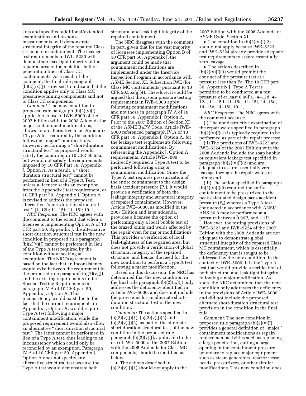area and specified additional/extended examinations and response measurements, will demonstrate structural integrity of the repaired Class CC concrete containment. The leakage test requirements in IWL–5230 will demonstrate leak-tight integrity of the repaired area of the metallic shell or penetration liner of Class CC containments. As a result of the comment, the final rule paragraph (b)(2)(ix)(J) is revised to indicate that the condition applies only to Class MC pressure-retaining components and not to Class CC components.

*Comment:* The new condition in proposed rule paragraph (b)(2)(v)(J), applicable to use of IWE–5000 of the 2007 Edition with the 2008 Addenda for major containment modifications, allows for an alternative to an Appendix J Type A test required by the condition following ''major'' modifications. However, performing a ''short-duration structural test'' as proposed would satisfy the condition in 10 CFR 50.55a, but would not satisfy the requirements imposed by 10 CFR Part 50, Appendix J, Option A. As a result, a ''short duration structural test'' cannot be performed in lieu of a Type A Test, unless a licensee seeks an exemption from the Appendix J test requirement, or 10 CFR part 50, Appendix J, Option A is revised to address the proposed alternative ''short-duration structural test.'' [4–12b; 11–15i; 14–15i; 19–1]

*NRC Response:* The NRC agrees with the comment to the extent that when a licensee is implementing Option A of 10 CFR part 50, Appendix J, the alternative short duration structural test in the new condition in proposed rule paragraph  $(b)(2)(v)(J)$  cannot be performed in lieu of the Type A test required by the condition without seeking an exemption. The NRC's agreement is based on the fact that an inconsistency would exist between the requirement in the proposed rule paragraph  $(b)(2)(v)(J)$ and the existing requirements under Special Testing Requirements in paragraph IV.A of 10 CFR part 50, Appendix J, Option A. This inconsistency would exist due to the fact that the current requirements in Appendix J, Option A, would require a Type A test following a major containment modification, while the proposed requirement would also allow an alternative ''short duration structural test.'' The latter cannot be performed in lieu of a Type A test, thus leading to an inconsistency which could only be reconciled by an exemption. Paragraph IV.A of 10 CFR part 50, Appendix J, Option A does not specify any alternative structural test because the Type A test would demonstrate both

structural and leak tight integrity of the repaired containment.

The NRC disagrees with the comment, in part, given that for the vast majority of licensees implementing Option B of 10 CFR part 50, Appendix J, the argument could be made that containment modifications are implemented under the Inservice Inspection Program in accordance with ASME Section XI, Subsection IWE (for Class MC containments) pursuant to 10 CFR 50.55a(g)(4). Therefore, it could be argued that the system pressure testing requirements in IWE–5000 apply following containment modifications and not those in paragraph IV.A of 10 CFR part 50, Appendix J, Option A. Prior to the 2007 Edition of Section XI of the ASME B&PV Code, Article IWE– 5000 referenced paragraph IV.A of 10 CFR part 50, Appendix J, Option A, for the leakage test requirements following containment modifications. By referencing the Appendix J, Option A, requirements, Article IWE–5000 indirectly required a Type A test to be performed following a major containment modification. Since the Type A test requires pressurization of the entire containment to the design basis accident pressure (Pa), it would provide a verification of both the leakage integrity and structural integrity of repaired containment. However, Article IWE–5000, as modified in the 2007 Edition and later addenda, provides a licensee the option of performing only a local bubble test of the brazed joints and welds affected by the repair even for major modifications. This provides a verification of local leak-tightness of the repaired area, but does not provide a verification of global structural integrity of the repaired structure, and hence, the need for the new condition to perform a Type A test following a major modification.

Based on this discussion, the NRC has determined that the new condition in the final rule paragraph  $(b)(2)(ix)(j)$  only addresses the deficiency identified in Article IWE–5000, and does not include the provisions for an alternate shortduration structural test in the new condition.

*Comment:* The actions specified in  $(b)(2)(v)(J)(1), (b)(2)(v)(J)(2)$  and  $(b)(2)(v)(J)(3)$ , as part of the alternate short duration structural test, of the new condition in the proposed rule paragraph  $(b)(2)(v)(J)$ , applicable to the use of IWE–5000 of the 2007 Edition with the 2008 Addenda for Class MC components, should be modified as below.

• The actions described in  $(b)(2)(v)(J)(1)$  should not apply to the 2007 Edition with the 2008 Addenda of ASME Code, Section XI.

• The condition in  $(b)(2)(v)(J)(2)$ should not apply because IWE–5223 and IWE–5224 already provide adequate test requirements to assure essentially zero leakage.

• The actions described in  $(b)(2)(v)(J)(3)$  would prohibit the conduct of the pressure test at a pressure less than Pa. The 10 CFR part 50, Appendix J, Type A Test is permitted to be conducted at a test pressure of at least 0.96Pa. [4–12d, 4– 12e, 11–15d, 11–15e, 11–15f, 14–15d, 14–15e, 14–15f, 19–1]

*NRC Response:* The NRC agrees with the comment because:

(i) The nondestructive examination of the repair welds specified in paragraph  $(b)(2)(v)(j)(1)$  is typically required to be performed as part of the repair process;

(ii) The provisions of IWE–5223 and IWE–5224 of the 2007 Edition with the 2008 Addenda include the soap bubble or equivalent leakage test specified in paragraph  $(b)(2)(v)(J)(2)$  and are adequate to assure essentially zero leakage through the repair welds or joints; and

(iii) The action specified in paragraph  $(b)(2)(v)(J)(3)$  required the entire containment to be pressurized to the peak calculated design basis accident pressure (Pa) whereas a Type A test conducted in accordance with ANSI/ ANS 56.8 may be performed at a pressure between  $0.96P_a$  and  $1.1P_a$ .

However, the testing provisions of IWE–5223 and IWE–5224 of the 2007 Edition with the 2008 Addenda are not adequate to demonstrate global structural integrity of the repaired Class MC containment, which is essentially the deficiency that is sought to be addressed by the new condition. In the context of IWE–5000, it is the Type A test that would provide a verification of both structural and leak-tight integrity following a major modification. As such, the NRC determined that the new condition only addresses the deficiency in the provisions of Article IWE–5000 and did not include the proposed alternate short-duration structural test provision in the condition in the final rule.

*Comment:* The new condition in proposed rule paragraph  $(b)(2)(v)(J)$ provides a general definition of ''major'' containment modifications as repair/ replacement activities such as replacing a large penetration, cutting a large opening in the containment pressure boundary to replace major equipment such as steam generators, reactor vessel heads, pressurizers, or other similar modifications. This new condition does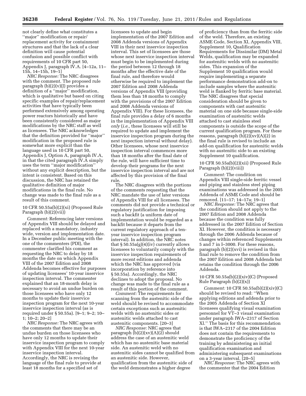not clearly define what constitutes a ''major'' modification or repair/ replacement activity for containment structures and that the lack of a clear definition will cause potential confusion and possible conflict with requirements of 10 CFR part 50, Appendix J, paragraph IV.A. [4–12a, 11– 15h, 14–15h, 19–1]

*NRC Response:* The NRC disagrees with the comment. The proposed rule paragraph (b)(2)(v)(J) provides a definition of a ''major'' modification, which is qualitative but based on citing specific examples of repair/replacement activities that have typically been performed extensively among operating power reactors historically and have been consistently considered as major modifications by the NRC staff as well as licensees. The NRC acknowledges that the definition provided for ''major'' modification in the proposed rule is somewhat more explicit than the language used in 10 CFR part 50, Appendix J, Option A, paragraph IV.A, in that the cited paragraph IV.A simply uses the term ''major modification'' without any explicit description, but the intent is consistent. Based on this discussion, the NRC has retained the qualitative definition of major modifications in the final rule. No change was made to the final rule as a result of this comment.

#### 10 CFR 50.55a(b)(2)(xi) (Proposed Rule Paragraph (b)(2)(vii))

*Comment:* Referencing later versions of Appendix VIII should be delayed and replaced with a mandatory, industry wide, version and implementation date. In a December public meeting with the one of the commenters (PDI), the commenter clarified his comment as requesting the NRC to delay by 18 months the date on which Appendix VIII of the 2007 Edition and 2008 Addenda becomes effective for purposes of updating licensees' 10-year inservice inspection interval. The commenter explained that an 18-month delay is necessary to avoid an undue burden on those licensees who have only 12 months to update their inservice inspection program for the next 10-year inservice inspection interval (as is required under § 50.55a). [9–1; 9–2; 10– 1; 10–2; 20–2]

*NRC Response:* The NRC agrees with the comments that there may be an undue burden on those licensees who have only 12 months to update their inservice inspection program to comply with Appendix VIII for the next 10-year inservice inspection interval. Accordingly, the NRC is revising the language of the final rule to provide at least 18 months for a specified set of

licensees to update and begin implementation of the 2007 Edition and 2008 Addenda versions of Appendix VIII in their next inservice inspection interval. This set of licensees are those whose next inservice inspection interval must begin to be implemented during the period between 12 through 18 months after the effective date of the final rule, and therefore would otherwise be required to implement the 2007 Edition and 2008 Addenda versions of Appendix VIII (providing them less than 18 months to comply with the provisions of the 2007 Edition and 2008 Addenda versions of Appendix VIII). For these licensees, the final rule provides a delay of 6 months in the implementation of Appendix VIII *only* (*i.e.,* these licensees will still be required to update and implement the inservice inspection program during the next inspection interval without delay). Other licensees, whose next inservice inspection interval commences more than 18 months after the final date of the rule, will have sufficient time to develop their programs for the next inservice inspection interval and are not affected by this provision of the final rule.

The NRC disagrees with the portions of the comments requesting that the NRC mandate the use of later versions of Appendix VIII for all licensees. The comments did not provide a technical or regulatory justification for imposing such a backfit (a uniform date of implementation would be regarded as a backfit because it departs from the current regulatory approach of a tenyear inservice inspection program interval). In addition, the NRC notes that § 50.55a(g)(4)(iv) currently allows licensees to voluntarily comply with the inservice inspection requirements of more recent editions and addenda which the NRC has approved (via incorporation by reference into § 50.55a). Accordingly, the NRC declines to adopt the proposal. No change was made to the final rule as a result of this portion of the comment.

*Comment:* The requirements for scanning from the austenitic side of the weld should be revised to accommodate certain exceptions such as austenitic welds with no austenitic sides or austenitic welds attached to cast austenitic components. [20–3]

*NRC Response:* NRC agrees that paragraph (b)(2)(xv)(A)(2) should address the case of an austenitic weld which has no austenitic base material side. An austenitic weld with no austenitic sides cannot be qualified from an austenitic side. However, qualification from the austenitic side of the weld demonstrates a higher degree

of proficiency than from the ferritic side of the weld. Therefore, an existing ASME Code, Section XI, Appendix VIII, Supplement 10, Qualification Requirements for Dissimilar (DM) Metal Welds, qualification may be expanded for austenitic welds with no austenitic sides. This expansion of the Supplement 10 qualification would require implementing a separate performance demonstration add-on to include samples where the austenitic weld is flanked by ferritic base material. The NRC disagrees that special consideration should be given to components with cast austenitic material on one side because single-side examination of austenitic welds attached to cast stainless steel components is outside the scope of the current qualification program. For these reasons, paragraph  $(b)(2)(x)(A)(2)$  in the final rule is revised to include an add-on qualification for austenitic welds with no austenitic side to an existing Supplement 10 qualification.

10 CFR 50.55a(b)(2)(xii) (Proposed Rule Paragraph (b)(2)(viii))

*Comment:* The condition on Appendix VIII single-side ferritic vessel and piping and stainless steel piping examinations was addressed in the 2005 Addenda of ASME Code and should be removed. [11–17; 14–17a; 19–1]

*NRC Response:* The NRC agrees that the condition should not apply to the 2007 Edition and 2008 Addenda because the condition was fully addressed in the 2007 Edition of Section XI. However, the condition is necessary through the 2006 Addenda because of changes within referenced Supplements 5 and 7 in I–3000. For these reasons, paragraph  $(b)(2)(xvi)$  is revised in this final rule to remove the condition from the 2007 Edition and 2008 Addenda but retains the condition through the 2006 Addenda.

#### 10 CFR 50.55a(b)(2)(xiv)(C) (Proposed Rule Paragraph  $(b)(2)(x)$

*Comment:* 10 CFR 50.55a(b)(2)(xiv)(C) should be revised to read: ''When applying editions and addenda prior to the 2005 Addenda of Section Xl licensees qualifying visual examination personnel for VT–3 visual examination under paragraph IWA–2317 of Section Xl.'' The basis for this recommendation is that IWA–2317 of the 2004 Edition does not contain the requirements to demonstrate the proficiency of the training by administering an initial qualification examination and administering subsequent examinations on a 3-year interval. [20–5]

*NRC Response:* The NRC agrees with the commenter that the 2004 Edition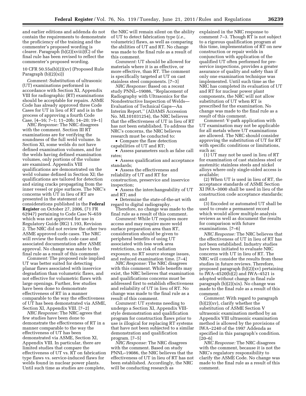and earlier editions and addenda do not contain the requirements to demonstrate the proficiency of the training and the commenter's proposed wording is clearer. Paragraph  $(b)(2)(xviii)(C)$  of the final rule has been revised to reflect the commenter's proposed wording.

10 CFR 50.55a(b)(2)(xv) (Proposed Rule Paragraph (b)(2)(xi))

*Comment:* Substitution of ultrasonic (UT) examinations performed in accordance with Section XI, Appendix VIII for radiographic (RT) examinations should be acceptable for repairs. ASME Code has already approved three Code Cases for UT in lieu of RT and is in the process of approving a fourth Code Case. [4–16; 7–1; 11–20b; 14–20; 19–1]

*NRC Response:* The NRC disagrees with the comment. Section III RT examinations are for verifying the soundness of the full weld volume. In Section XI, some welds do not have defined examination volumes, and for the welds having defined examination volumes, only portions of the volume are examined. Appendix VIII qualifications are demonstrated on the weld volume defined in Section XI; the qualifications are tailored for detection and sizing cracks propagating from the inner vessel or pipe surfaces. The NRC's concerns with UT in lieu of RT are presented in the statement of considerations published in the **Federal Register** on October 27, 2006, (71 FR 62947) pertaining to Code Case N–659 which was not approved for use in Regulatory Guide (RG) 1.193, Revision 2. The NRC did not review the other two ASME approved code cases. The NRC will review the fourth code case and associated documentation after ASME approval. No change was made to the final rule as a result of this comment.

*Comment:* The proposed rule implied UT was better suited for detecting planar flaws associated with inservice degradation than volumetric flaws, and not effective for volumetric flaws with large openings. Further, few studies have been done to demonstrate effectiveness of RT in a manner comparable to the way the effectiveness of UT has been demonstrated via ASME, Section XI, Appendix VIII. [7–2]

*NRC Response:* The NRC agrees that few studies have been done to demonstrate the effectiveness of RT in a manner comparable to the way the effectiveness of UT has been demonstrated via ASME, Section XI, Appendix VIII. In particular, there are limited studies that compare the effectiveness of UT vs. RT on fabrication type flaws vs. service-induced flaws for welds found in nuclear power plants. Until such time as studies are complete,

the NRC will remain silent on the ability of UT to detect fabrication type (*i.e.,*  volumetric) flaws, as well as comparing the abilities of UT and RT. No change was made to the final rule as a result of this comment.

*Comment:* UT should be allowed for materials where it is as effective, or more effective, than RT. The comment is specifically targeted at UT on cast stainless steel components. [7–3]

*NRC Response:* Based on a recent study PNNL–19086, ''Replacement of Radiography with Ultrasonics for the Nondestructive Inspection of Welds— Evaluation of Technical Gaps—An Interim Report,'' (ADAMS Accession No. ML101031254), the NRC believes that the effectiveness of UT in lieu of RT has not been established. To address the NRC's concerns, the NRC believes research must be conducted to:

• Compare the flaw detection capabilities of UT and RT;

• Assess parameters such as false call rates;

• Assess qualification and acceptance standards;

• Assess the effectiveness and reliability of UT and RT for construction, preservice and inservice inspection;

• Assess the interchangeability of UT and RT; and

• Determine the state-of-the-art with regard to digital radiography.

Therefore, no change was made to the final rule as a result of this comment.

*Comment:* While UT requires more access and may require more weld surface preparation area than RT, consideration should be given to peripheral benefits of using UT associated with less work area restrictions, no risk of radiation exposure, no RT source storage issues, and reduced examination time. [7–4]

*NRC Response:* The NRC disagrees with this comment. While benefits may exist, the NRC believes that examination and qualifications concerns must be addressed first to establish effectiveness and reliability of UT in lieu of RT. No change was made to the final rule as a result of this comment.

*Comment:* UT systems needing to undergo a Section XI, Appendix VIIIstyle demonstration and qualification program for construction flaws prior to use is illogical for replacing RT systems that have not been subjected to a similar demonstration and qualification program. [7–5]

*NRC Response:* The NRC disagrees with the comment. Based on study PNNL–19086, the NRC believes that the effectiveness of UT in lieu of RT has not been established. Accordingly, the NRC will be conducting research as

explained in the NRC response to comment 7–3. Though RT is not subject to a rigorous qualification program at this time, implementation of RT on new construction or repair welds in conjunction with application of the qualified UT often performed for preservice inspections, provides a greater assurance of quality and safety than if only one examination technique was implemented. Until such time as the NRC has completed its evaluation of UT and RT for nuclear power plant components, the NRC will not allow substitution of UT when RT is prescribed for the examination. No change was made to the final rule as a result of this comment.

*Comment:* V-path application with UT examination may not be applicable for all metals where UT examinations are allowed. The NRC should consider approving the substitution of UT for RT with specific conditions or limitations, such as:

(1) UT may not be used in lieu of RT for examination of cast stainless steel or austenitic stainless steels and nickel alloys where only single-sided access is available;

(2) When UT is used in lieu of RT, the acceptance standards of ASME Section XI IWA–3000 shall be used in lieu of the construction code acceptance standards; and

(3) Encoded or automated UT shall be used to create a permanent record which would allow multiple analysis reviews as well as document the results for comparison with future examinations. [7–6]

*NRC Response:* The NRC believes that the effectiveness of UT in lieu of RT has not been established. Industry studies have been initiated to evaluate NRC concerns with UT in lieu of RT. The NRC will consider the results from these studies in future reviews. Therefore, proposed paragraph (b)(2)(xv) pertaining to IWA–4520(b)(2) and IWA–4521 is adopted without change in final rule paragraph (b)(2)(xix). No change was made to the final rule as a result of this comment.

*Comment:* With regard to paragraph (b)(2)(xv), clarify whether the substitution of ASME Section V ultrasonic examination method by an Appendix VIII ultrasonic examination method is allowed by the provisions of IWA–2240 of the 1997 Addenda as specified in this paragraph's condition. [20–6]

*NRC Response:* The NRC disagrees with the comment, because it is not the NRC's regulatory responsibility to clarify the ASME Code. No change was made to the final rule as a result of this comment.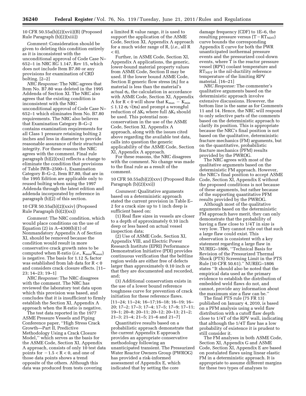#### 10 CFR 50.55a(b)(2)(xvii)(B) (Proposed Rule Paragraph (b)(2)(xiii))

*Comment:* Consideration should be given to deleting this condition entirely as it is inconsistent with the unconditional approval of Code Case N– 652–1 in NRC RG 1.147, Rev 15, which does not include Item B7.80 or any provisions for examination of CRD bolting. [2–2]

*NRC Response:* The NRC agrees that Item No. B7.80 was deleted in the 1995 Addenda of Section XI. The NRC also agrees that the existing condition is inconsistent with the NRC unconditional approval of Code Case N– 652–1 which eliminates Item No. B7.80 requirements. The NRC also believes that Examination Category B–G–2 contains examination requirements for all Class 1 pressure retaining bolting 2 inches and less in diameter to provide reasonable assurance of their structural integrity. For these reasons the NRC agrees with the comment. Final rule paragraph (b)(2)(xxi) reflects a change to eliminate the condition that provisions of Table IWB–2500–1, Examination Category B–G–2, Item B7.80, that are in the 1995 Edition are applicable only to reused bolting when using the 1997 Addenda through the latest edition and addenda incorporated by reference in paragraph (b)(2) of this section.

#### 10 CFR 50.55a(b)(2)(xxiv) (Proposed Rule Paragraph  $(b)(2)(xx)$

*Comment:* The NRC condition, which would place conditions on the use of Equation (2) in A–4300(b)(1) of Nonmandatory Appendix A of Section XI, should be removed because the condition would result in more conservative crack growth rates to be computed when R-ratio (*i.e.*, K<sub>min</sub>/K<sub>max</sub>) is negative. The basis for  $1.12 S_f$  factor was established from lab data for R < 0 and considers crack closure effects. [11– 23; 14–23; 19–1]

*NRC Response:* The NRC disagrees with the comment. The NRC has reviewed the laboratory test data upon which this provision was based, and concludes that it is insufficient to firmly establish the Section XI, Appendix A approach when the R-ratio is negative.

The test data reported in the 1977 ASME Pressure Vessels and Piping Conference paper, ''High Stress Crack Growth—Part II, Predictive Methodology Using a Crack Closure Model,'' which serves as the basis for the ASME Code, Section XI, Appendix A approach, consists of only 10 test data points for  $-1.5 < R < 0$ , and one of those data points shows a trend opposite of the others. Although this data was produced from tests covering

a limited R value range, it is used to support the application of the ASME Code, Section XI, Appendix A approach for a much wider range of R, (*i.e.,* all R  $<$  0).

Further, in ASME Code, Section XI, Appendix A applications, the generic, lower-bound material property values from ASME Code, Section II may be used. If the lower bound ASME Code, Section II generic flow stress  $(\sigma_f)$  for a material is less than the material's actual  $\sigma_f$ , the calculation in accordance with ASME Code, Section XI, Appendix A for  $R < 0$  will show that  $K_{\text{max}} - K_{\text{min}}$  $≤ 1.12$  σ<sub>f</sub> √(πa) and prompt a wrongful reduction of  $\Delta K_I$  where full  $\Delta K_I$  should be used. This potential nonconservatism in the use of the ASME Code, Section XI, Appendix A approach, along with the issues cited above regarding the available test data, calls into question the generic applicability of the ASME Code, Section XI, Appendix A approach.

For these reasons, the NRC disagrees with the comment. No change was made to the final rule as a result of the comment.

10 CFR 50.55a(b)(2)(xxv) (Proposed Rule Paragraph (b)(2)(xxi))

*Comment:* Qualitative arguments based on a deterministic approach stated the current provision in Table E– 2 for a crack size up to 1 inch deep is sufficient based on:

(1) Real flaw sizes in vessels are closer to a depth of approximately 0.10 inch deep or less based on actual vessel inspection data;

(2) Use of ASME Code, Section XI, Appendix VIII, and Electric Power Research Institute (EPRI) Performance Demonstration Initiative (PDI) provides continuous verification that the beltline region welds are either free of defects larger than approximately 0.10 inch or that they are documented and recorded, and;

(3) Additional conservatism exists in the use of a lower bound reference toughness curve for prevention of crack initiation for these reference flaws. [11–24; 11–24; 16–17;16–18; 16–19; 16– 20; 17–2; 17–3; 17–4; 17–5; 17–9; 17–11; 19–1; 20–8; 20–11; 20–12; 20–13; 21–2; 21–3; 21–4; 21–5; 21–6 and 21–7]

Quantitative results based on a probabilistic approach demonstrate that the current Appendix E approach provides an appropriate conservative methodology following an unanticipated transient. The Pressurized Water Reactor Owners Group (PWROG) has provided a risk-informed assessment of Appendix E, which indicated that by setting the core

damage frequency (CDF) to 1E–6, the resulting pressure versus  $(T - RT<sub>NDT</sub>)$ curve bounds the corresponding Appendix E curve for both the PWR unanticipated isothermal pressure events and the pressurized cool-down events, where T is the reactor pressure vessel (RPV) coolant temperature and  $RT<sub>NDT</sub>$  is the nil-ductility reference temperature of the limiting RPV material. [16–21]

*NRC Response:* The commenter's qualitative arguments based on the deterministic approach involve extensive discussions. However, the bottom line is the same as for Comments 11 and 14. Hence, the NRC will respond to only selective parts of the comments based on the deterministic approach to clarify its position. This is appropriate because the NRC's final position is not based on the qualitative, deterministic fracture mechanics (FM) arguments, but on the quantitative, probabilistic fracture mechanics (PFM) results provided by the PWROG.

The NRC agrees with most of the qualitative arguments based on the deterministic FM approach. However, the NRC's final position to accept ASME Code, Section XI, Appendix E without the proposed conditions is not because of these arguments, but rather because of the supporting quantitative PFM results provided by the PWROG.

Although most of the qualitative arguments based on the deterministic FM approach have merit, they can only demonstrate that the probability of having a flaw close to 1/4T in size is very low. They cannot rule out that such a large flaw could exist. This observation is consistent with a key statement regarding a large flaw in NUREG–1806, ''Technical Basis for Revision of the Pressurized Thermal Shock (PTS) Screening Limit in the PTS Rule (10 CFR 50.61).'' NUREG–1806 states ''It should also be noted that the empirical data used as the primary evidence to establish the distribution of embedded weld flaws do not, and cannot, provide any information about the maximum size a flaw can be.''

The final PTS rule (75 FR 13) published on January 4, 2010, is based on a PFM analysis using a weld flaw distribution with a cutoff flaw depth close to 1/4T of the RPV wall, indicating that although the 1/4T flaw has a low probability of existence it is prudent to still consider it.

The FM analyses in both ASME Code, Section XI, Appendix G and ASME Code, Section XI, Appendix E are based on postulated flaws using linear elastic FM in a deterministic approach. It is appropriate to assume different margins for these two types of analyses to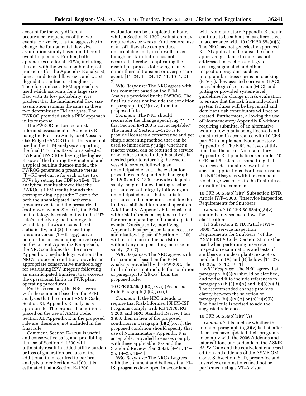account for the very different occurrence frequencies of the two events. However, it is too aggressive to change the fundamental flaw size assumption simply based on different event frequencies. Further, both appendices are for all RPVs, including the one with the worst combination of transients (for the Appendix E analysis), largest undetected flaw size, and worst degradation in fracture toughness. Therefore, unless a PFM approach is used which accounts for a large size flaw with its low probability, it is prudent that the fundamental flaw size assumption remains the same in these two deterministic FM analyses. The PWROG provided such a PFM approach in its response.

The PWROG performed a riskinformed assessment of Appendix E using the Fracture Analysis of Vessels— Oak Ridge (FAVOR) Code; the same tool used in the PFM analyses supporting the final PTS rule. Based on a selected PWR and BWR RPV having the highest  $RT<sub>NDT</sub>$  of the limiting RPV material and a typical beltline fluence model, the PWROG generated a pressure versus  $(T - RT<sub>NDT</sub>)$  curve for each of the two RPVs by setting the CDF to 1E–6. The analytical results showed that the PWROG's PFM results bounds the corresponding Appendix E curve for both the unanticipated isothermal pressure events and the pressurized cool-down events. Since (1) the PFM methodology is consistent with the PTS rule's underlying methodology, in which large flaws are considered statistically, and (2) the resulting pressure versus  $(T - RT<sub>NDT</sub>)$  curve bounds the corresponding curve based on the current Appendix E approach, the NRC concludes that the current Appendix E methodology, without the NRC's proposed condition, provides an appropriate conservative methodology for evaluating RPV integrity following an unanticipated transient that exceeds the operational limits in PWR plant operating procedures.

For these reasons, the NRC agrees with the comment based on the PFM analyses that the current ASME Code, Section XI, Appendix E analysis is appropriate. The proposed conditions placed on the use of ASME Code, Section XI, Appendix E in the proposed rule are, therefore, not included in the final rule.

*Comment:* Section E–1200 is useful and conservative as is, and prohibiting the use of Section E–1200 will ultimately result in added utility burden or loss of generation because of the additional time required to perform analysis under Section E–1300. It is estimated that a Section E–1200

evaluation can be completed in hours while a Section E–1300 evaluation may require days or weeks. Furthermore, use of a 1/4T flaw size can produce unacceptable analytical results, even though crack initiation has not occurred, thereby complicating the resolution process following a fairly minor thermal transient or overpressure event. [11–24, 14–24, 17–11, 19–1, 21– 7]

*NRC Response:* The NRC agrees with this comment based on the PFM Analysis provided by the PWROG. The final rule does not include the condition of paragraph (b)(2)(xxv) from the proposed rule.

*Comment:* The NRC should reconsider the change specifying ''\* \* \* that Section E–1200 is not acceptable.'' The intent of Section E–1200 is to provide licensees a conservative and yet simple screening method that can be used to immediately judge whether a reactor vessel can be returned to service or whether a more in-depth analysis is needed prior to returning the reactor vessel to service following an unanticipated event. The evaluation procedures in Appendix E, Paragraphs E–1200 and E–1300, provide adequate safety margins for evaluating reactor pressure vessel integrity following an unanticipated event that results in pressures and temperatures outside the limits established for normal operation. Additionally, Appendix E is consistent with risk-informed acceptance criteria for normal operating and unanticipated events. Consequently, modifying Appendix E as proposed is unnecessary and disallowing use of Section E–1200 will result in an undue hardship without any compensating increase in safety. [20–7]

*NRC Response:* The NRC agrees with this comment based on the PFM Analysis provided by the PWROG. The final rule does not include the condition of paragraph (b)(2)(xxv) from the proposed rule.

10 CFR 50.55a(b)(2)(xxvi) (Proposed Rule Paragraph (b)(2)(xxii))

*Comment:* If the NRC intends to require that Risk-Informed ISI (RI–ISI) Programs comply with RG 1.178, RG 1.200, and NRC Standard Review Plan 3.9.8, then in lieu of the proposed condition in paragraph (b)(2)(xxvi), the proposed condition should specify that use of Nonmandatory Appendix R is acceptable, provided licensees comply with these applicable RGs and the Standard Review Plan 3.9.8. [4–18; 11– 25; 14–25; 19–1]

*NRC Response:* The NRC disagrees with the comment and believes that RI– ISI programs developed in accordance

with Nonmandatory Appendix R should continue to be submitted as alternatives in accordance with 10 CFR 50.55a(a)(3). The NRC has not generically approved RI–ISI application because the codeapproved guidance to date has not addressed inspection strategy for existing augmented and other inspection programs such as intergranular stress corrosion cracking (IGSCC), flow assisted corrosion (FAC), microbiological corrosion (MIC), and pitting or provided system-level guidelines for change in risk evaluation to ensure that the risk from individual system failures will be kept small and dominant risk contributors will not be created. Furthermore, allowing the use of Nonmandatory Appendix R without requiring submittal of an alternative would allow plants being licensed and constructed in accordance with 10 CFR part 52 to implement Nonmandatory Appendix R. The NRC believes at this time that the use of Nonmandatory Appendix R at plants licensed under 10 CFR part 52 plants is something that requires additional review of plant specific applications. For these reasons the NRC disagrees with the comment. No change was made to the final rule as a result of the comment.

10 CFR 50.55a(b)(3)(v) Subsection ISTD. Article IWF–5000, ''Inservice Inspection Requirements for Snubbers''

*Comment:* 10 CFR 50.55a(b)(3)(v) should be revised as follows for clarification:

(v) Subsection ISTD. Article IWF– 5000, ''Inservice Inspection Requirements for Snubbers,'' of the ASME B&PV Code, Section XI, must be used when performing inservice inspection examinations and tests of snubbers at nuclear plants, except as modified in (A) and (B) below. [11–27; 14–27a; 17–12; 19–1]

*NRC Response:* The NRC agrees that paragraph (b)(3)(v) should be clarified, and revised it to include references to paragraphs  $(b)(3)(v)(A)$  and  $(b)(3)(v)(B)$ . The recommended change provides clarity between the selection of paragraph  $(b)(3)(v)(A)$  or  $(b)(3)(v)(B)$ . The final rule is revised to add the suggested references.

#### 10 CFR 50.55a(b)(3)(v)(A)

*Comment:* It is unclear whether the intent of paragraph (b)(3)(v) is that, after licensees have updated their programs to comply with the 2006 Addenda and later editions and addenda of the ASME B&PV Code and the equivalent endorsed edition and addenda of the ASME OM Code, Subsection ISTD, preservice and inservice examinations need not be performed using a VT–3 visual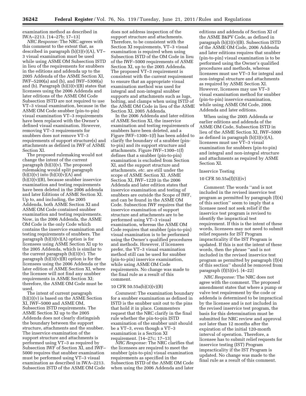examination method as described in IWA–2213. [14–27b; 17–13]

*NRC Response:* The NRC agrees with this comment to the extent that, as described in paragraph  $(b)(3)(v)(A)$ , VT-3 visual examination must be used while using ASME OM Subsection ISTD in lieu of the requirements for snubbers in the editions and addenda up to the 2005 Addenda of the ASME Section XI, IWF–5200(a) and (b), and IWF–5300(a) and (b). Paragraph  $(b)(3)(v)(B)$  states that licensees using the 2006 Addenda and later editions of the ASME OM Code Subsection ISTD are not required to use VT–3 visual examination, because in the ASME OM Code snubber (pin-to-pin) visual examination VT–3 requirements have been replaced with the Owner's defined visual examination. However, removing VT–3 requirements for snubbers does not remove VT–3 requirements of support structure(s) and attachments as defined in IWF of ASME Section XI.

The proposed rulemaking would not change the intent of the current paragraph (b)(3)(v). The proposed rulemaking would split paragraph  $(b)(3)(v)$  into  $(b)(3)(v)(A)$  and  $(b)(3)(v)(B)$ , because snubber inservice examination and testing requirements have been deleted in the 2006 addenda and later Editions of ASME Section XI. Up to, and including, the 2005 Addenda, both ASME Section XI and ASME OM Code contained snubber examination and testing requirements. Now, in the 2006 Addenda, the ASME OM Code is the only Code which contains the inservice examination and testing requirements of snubbers. The paragraph  $(b)(3)(v)(A)$  option is for licensees using ASME Section XI up to the 2005 Addenda, which is similar to the current paragraph (b)(3)(v). The paragraph  $(b)(3)\bar{v}(\bar{B})$  option is for the licensees using the 2006 Addenda or the later edition of ASME Section XI, where the licensee will not find any snubber requirements in ASME Section XI; therefore, the ASME OM Code must be used.

The intent of current paragraph (b)(3)(v) is based on the ASME Section XI, IWF–5000 and ASME OM, Subsection ISTD requirements. The ASME Section XI up to the 2005 Addenda does not clearly distinguish the boundary between the support structure, attachments and the snubber. The inservice examination of the support structure and attachments is performed using VT–3 as required by Subsection IWF of Section XI, and IWF– 5000 requires that snubber examination must be performed using VT–3 visual examination as described in IWA–2213. Subsection ISTD of the ASME OM Code

does not address inspection of the support structure and attachments. Therefore, to be consistent with the Section XI requirements, VT–3 visual examination is required when using Subsection ISTD of the OM Code in lieu of the IWF–5000 requirements of ASME Section XI, up to the 2005 Addenda. The proposed VT–3 requirement is consistent with the current requirement to ensure that an appropriate visual examination method was used for integral and non-integral snubber supports and attachments such as lugs, bolting, and clamps when using ISTD of the ASME OM Code in lieu of the ASME Section XI, 2005 Addenda.

In the 2006 Addenda and later edition of ASME Section XI, the inservice examination and testing requirements of snubbers have been deleted, and a Figure IWF–1300–1(f) has been added to clarify the boundary of a snubber (pinto-pin) and its support structure and attachments. Figure IWF–1300–1(f) defines that a snubber (pin-to-pin) examination is excluded from Section XI, and the support structure and attachments, *etc.* are still under the scope of ASME Section XI. ASME Section XI, IWF–1220 in the 2006 Addenda and later edition states that inservice examination and testing of snubbers are outside the Scope of IWF, and can be found in the ASME OM Code. Subsection IWF requires that the inservice examination of support structure and attachments are to be performed using VT–3 visual examination, whereas the ASME OM Code requires that snubber (pin-to-pin) visual examination is to be performed using the Owner's qualified procedures and methods. However, if licensees prefer, the VT–3 visual examination method still can be used for snubber (pin-to-pin) inservice examination, while using ASME OM Code requirements. No change was made to the final rule as a result of this comment.

#### 10 CFR 50.55a(b)(3)(v)(B)

*Comment:* The examination boundary for a snubber examination as defined in ISTD is the snubber unit out to the pins that hold it in place. Commenters request that the NRC clarify in the final rule whether the pin-to-pin ISTD examination of the snubber unit should be a VT–3, even though a VT–3 examination is a Section XI requirement. [14–27c; 17–13]

*NRC Response:* The NRC clarifies that the licensees are required to meet the snubber (pin-to-pin) visual examination requirements as specified in the Subsection ISTD of the ASME OM Code when using the 2006 Addenda and later

editions and addenda of Section XI of the ASME B&PV Code, as defined in paragraph (b)(3)(v)(B). Subsection ISTD of the ASME OM Code, 2006 Addenda and later editions requires that snubber (pin-to-pin) visual examination is to be performed using the Owner's qualified procedures and methods, whereas licensees must use VT–3 for integral and non-integral structure and attachments as required by ASME Section XI. However, licensees may use VT–3 visual examination method for snubber (pin-to-pin) inservice examination, while using ASME OM Code, 2006 Addenda and later editions.

When using the 2005 Addenda or earlier editions and addenda of the ASME OM Code, Subsection ISTD in lieu of the ASME Section XI, IWF–5000 as defined in paragraph  $(b)(3)(v)(A)$ , licensees must use VT–3 visual examination for snubbers (pin-to-pin) and integral and non-integral structure and attachments as required by ASME Section XI.

#### Inservice Testing

#### 10 CFR 50.55a(f)(5)(iv)

*Comment:* The words ''and is not included in the revised inservice test program as permitted by paragraph (f)(4) of this section'' seem to imply that a licensee need not seek relief if the inservice test program is revised to identify the impractical test requirement. If this is the intent of these words, licensees may not need to submit relief requests for IST Program impracticality if the IST Program is updated. If this is not the intent of these words, then the phrase ''and is not included in the revised inservice test program as permitted by paragraph (f)(4) of this section'' should be removed from paragraph  $(f)(5)(iv)$ . [4–22]

*NRC Response:* The NRC does not agree with the comment. The proposed amendment states that where a pump or valve test requirement by the code or addenda is determined to be impractical by the licensee and is not included in the revised inservice test program, the basis for this determination must be submitted for NRC review and approval not later than 12 months after the expiration of the initial 120-month interval of operation. Therefore, a licensee has to submit relief requests for inservice testing (IST) Program impracticality if the IST Program is updated. No change was made to the final rule as a result of this comment.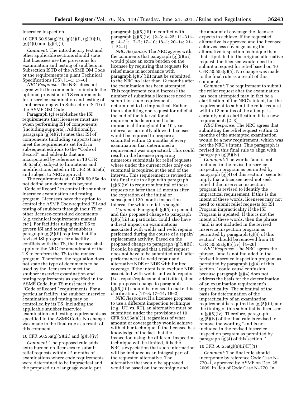#### Inservice Inspection

10 CFR 50.55a(g)(2), (g)(3)(i), (g)(3)(ii),  $(g)(4)(i)$  and  $(g)(4)(ii)$ 

*Comment:* The introductory text and other applicable sections should state that licensees use the provisions for examination and testing of snubbers in Subsection ISTD of the ASME OM Code or the requirements in plant Technical Specifications (TS). [1–1; 17–6]

*NRC Response:* The NRC does not agree with the commenter to include the optional provision of TS requirements for inservice examination and testing of snubbers along with Subsection ISTD of the ASME OM Code.

Paragraph (g) establishes the ISI requirements that licensees must use when performing ISI of components (including supports). Additionally, paragraph (g)(4)(iv) states that ISI of components (including supports) may meet the requirements set forth in subsequent editions to the ''Code of Record'' and addenda that are incorporated by reference in 10 CFR 50.55a(b), subject to limitations and modifications listed in 10 CFR 50.55a(b) and subject to NRC approval.

The requirements at 10 CFR 50.55a do not define any documents beyond ''Code of Record'' to control the snubber inservice examination and testing program. Licensees have the option to control the ASME Code-required ISI and testing of snubbers through their TS or other licensee-controlled documents (*e.g.* technical requirements manual, *etc.*). For facilities using their TS to govern ISI and testing of snubbers, paragraph (g)(5)(ii) requires that if a revised ISI program for a facility conflicts with the TS, the licensee shall apply to the NRC for amendment of the TS to conform the TS to the revised program. Therefore, the regulation does not state the type of documents to be used by the licensees to meet the snubber inservice examination and testing requirements as specified in the ASME Code, but TS must meet the ''Code of Record'' requirements. For a particular facility, the snubber inservice examination and testing may be controlled by its TS, including the applicable snubber inservice examination and testing requirements as specified in the ASME Code. No change was made to the final rule as a result of this comment.

#### 10 CFR 50.55a(g)(5)(iii) and (g)(5)(iv)

*Comment:* The proposed rule adds extra burden on licensees to submit relief requests within 12 months of examinations where code requirements were determined to be impractical and the proposed rule language would put

paragraph (g)(5)(iii) in conflict with paragraph (g)(5)(iv). [2–3; 4–25; 11–31a– g; 14–31; 17–7; 17–10; 18–1; 20–14; 21– 1; 22–1]

*NRC Response:* The NRC agrees with the comments that paragraph (g)(5)(iii) would place an extra burden on the licensee by requiring that requests for relief made in accordance with paragraph (g)(5)(iii) must be submitted to the NRC no later than 12 months after the examination has been attempted. This requirement could increase the number of submittals licensees need to submit for code requirements determined to be impractical. Rather than submitting one request for relief at the end of the interval for all requirements determined to be impractical throughout the 10-year interval as currently allowed, licensees would be required to prepare a submittal within 12 months of every examination that determined a requirement was impractical. This could result in the licensee preparing numerous submittals for relief requests where under the current rules only one submittal is required at the end of the interval. This requirement is revised in this final rule to align with paragraph (g)(5)(iv) to require submittal of these requests no later than 12 months after the expiration of the initial or subsequent 120-month inspection interval for which relief is sought.

*Comment:* Paragraph (g)(5) in general, and this proposed change to paragraph (g)(5)(iii) in particular, could also have a direct impact on examinations associated with welds and weld repairs performed during the course of a repair/ replacement activity. Based on the proposed change to paragraph (g)(5)(iii), it could be argued that a relief request does not have to be submitted until after performance of a weld repair and alternative NDE or NDE with limited coverage. If the intent is to exclude NDE associated with welds and weld repairs (*i.e.,* repair/replacement activities), then the proposed change to paragraph (g)(5)(iii) should be revised to make this clarification. [17–8; 17–14; 18–2]

*NRC Response:* If a licensee proposes to use a different inspection technique (*e.g.,* UT vs. RT), an alternative must be submitted under the provisions of 10 CFR 50.55a(a)(3), regardless of what amount of coverage they would achieve with either technique. If the licensee has knowledge of the fact that the inspection using the different inspection technique will be limited, it is the NRC's expectation that such information will be included as an integral part of the requested alternative. The alternative that would be approved would be based on the technique and

the amount of coverage the licensee expects to achieve. If the requested alternative is approved and the licensee achieves less coverage using the alternative inspection technique than that stipulated in the original alternative request, the licensee would need to submit a request for relief based on 10 CFR 50.55a(g)(5). No change was made to the final rule as a result of this comment.

*Comment:* The requirement to submit the relief request after the examination has been attempted may in fact be a clarification of the NRC's intent, but the requirement to submit the relief request within 12 months of the attempt is certainly not a clarification, it is a new requirement. [2–3]

*NRC Response:* The NRC agrees that submitting the relief request within 12 months of the attempted examination would be a new requirement, which was not the NRC's intent. This paragraph is revised in this final rule to align with paragraph (g)(5)(iv).

*Comment:* The words ''and is not included in the revised inservice inspection program as permitted by paragraph (g)(4) of this section'' seem to imply that a licensee need not seek relief if the inservice inspection program is revised to identify the impractical requirement. If this is the intent of these words, licensees may not need to submit relief requests for ISI Program impracticality if the ISI Program is updated. If this is not the intent of these words, then the phrase ''and is not included in the revised inservice inspection program as permitted by paragraph (g)(4) of this section'' should be removed from 10 CFR 50.55a(g)(5)(iv). [4–26]

*NRC Response:* The NRC agrees the phrase, ''and is not included in the revised inservice inspection program as permitted by paragraph (g)(4) of this section,'' could cause confusion, because paragraph (g)(4) does not address the basis for the determination of an examination requirement's impracticality. The submittal of the basis for determination of the impracticality of an examination requirement is required by (g)(5)(iii) and the timing of this submittal is discussed in (g)(5)(iv). Therefore, paragraph (g)(5)(iv) of the final rule is revised to remove the wording ''and is not included in the revised inservice inspection program as permitted by paragraph (g)(4) of this section.''

#### 10 CFR 50.55a(g)(6)(ii)(F)(1)

*Comment:* The final rule should incorporate by reference Code Case N– 770–1, approved by ASME on Dec. 25, 2009, in lieu of Code Case N–770. In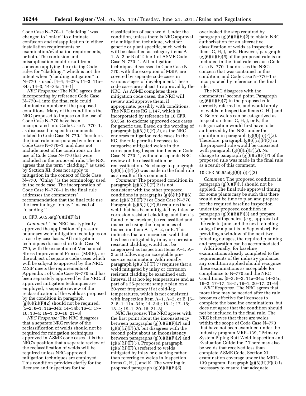Code Case N–770–1, ''cladding'' was changed to ''onlay'' to eliminate confusion and misapplication in either installation requirements or examination/evaluation requirements, or both. The confusion and misapplication could result from someone applying the existing Code rules for ''cladding,'' which is not the intent when ''cladding mitigation'' in N–770 is used. [4–4; 4–27a; 11–3; 11a– 34a; 14–3; 14–34a; 19–1]

*NRC Response:* The NRC agrees that incorporating by reference Code Case N–770–1 into the final rule could eliminate a number of the proposed conditions. Many of the conditions the NRC proposed to impose on the use of Code Case N–770 have been incorporated into Code Case N–770–1, as discussed in specific comments related to Code Case N–770. Therefore, the final rule incorporates by reference Code Case N–770–1, and does not include most of the conditions on the use of Code Case N–770 that were included in the proposed rule. The NRC agrees that the term ''cladding,'' as used by Section XI, does not apply to mitigation in the context of Code Case N–770. "Onlay" is the terminology used in the code case. The incorporation of Code Case N–770–1 in the final rule addresses the commenters' recommendation that the final rule use the terminology ''onlay'' instead of ''cladding.''

#### 10 CFR 50.55a(g)(6)(ii)(F)(2)

*Comment:* The NRC has typically approved the application of pressure boundary weld mitigation techniques on a case-by-case basis. All mitigation techniques discussed in Code Case N– 770, with the exception of Mechanical Stress Improvement Process (MSIP), are the subject of separate code cases which will be subject to approval by the NRC. MSIP meets the requirements of Appendix I of Code Case N–770 and has been separately approved by the NRC. If approved mitigation techniques are employed, a separate review of the reclassification of the welds as proposed by the condition in paragraph  $(g)(6)(ii)(F)(2)$  should not be required. [5–2; 8–1; 11a–34b; 14–34b; 16–1; 17– 16; 18–4; 19–1; 20–16; 21–8]

*NRC Response:* The NRC disagrees that a separate NRC review of the reclassification of welds should not be required for mitigation techniques approved in ASME code cases. It is the NRC's position that a separate review of the reclassification of welds will be required unless NRC-approved mitigation techniques are employed. This condition provides clarity for the licensee and inspectors for the

classification of each weld. Under the condition, unless there is NRC approval of a mitigation technique, whether generic or plant specific, such welds will be classified as category items A– 1, A–2 or B of Table 1 of ASME Code Case N–770–1. All mitigation techniques discussed in Code Case N– 770, with the exception of MSIP, are covered by separate code cases in various stages of development. These code cases are subject to approval by the NRC. As ASME completes these mitigation code cases, the NRC will review and approve them, if appropriate, possibly with conditions. The NRC uses RG 1.147, which is incorporated by reference in 10 CFR 50.55a, to endorse approved code cases for generic use. Based on the wording of paragraph (g)(6)(ii)(F)(*2*), as the NRC endorses mitigation code cases in the RG, the rule permits licensees to categorize mitigated welds in the corresponding Inspection Items in Code Case N–770–1, without a separate NRC review of the classification or reclassification. No change to paragraph (g)(6)(ii)(F)(*2*) was made in the final rule as a result of this comment.

*Comment:* The proposed condition in paragraph (g)(6)(ii)(F)(2) is not consistent with the other proposed conditions in paragraphs  $(g)(6)(ii)(F)(6)$ and  $(g)(6)(ii)(F)(7)$  or Code Case N-770. Paragraph (g)(6)(ii)(F)(6) requires that a weld that has been mitigated by inlay or corrosion resistant cladding, and then is found to be cracked, be reclassified and inspected using the frequencies of Inspection Item A–I, A–2, or B. This indicates that an uncracked weld that has been mitigated by inlay or corrosion resistant cladding would not be categorized as Inspection Items A–1, A– 2 or B following an acceptable preservice examination. Additionally, paragraph  $(g)(6)(ii)(F)(7)$  requires that a weld mitigated by inlay or corrosion resistant cladding be examined each interval if at hot-leg temperatures and as part of a 25-percent sample plan on a 20-year frequency if at cold-leg temperatures, which is not consistent with Inspection Item A–1, A–2, or B. [5– 2; 8–1; 11a–34b; 14–34b; 16–1; 17–16; 18–4; 19–1; 20–16; 21–8]

*NRC Response:* The NRC agrees with the first point about the inconsistency between paragraphs (g)(6)(ii)(F)(*2*) and  $(g)(6)(ii)(F)(6)$ , but disagrees with the second point about an inconsistency between paragraphs (g)(6)(ii)(F)(*2*) and (g)(6)(ii)(F)(*7*). Proposed paragraph  $(g)(6)(ii)(F)(6)$  referred to welds mitigated by inlay or cladding rather than referring to welds in Inspection Items G, H, J, and K. The wording in proposed paragraph (g)(6)(ii)(F)(*6*)

overlooked the step required by paragraph (g)(6)(ii)(F)(*2*) to obtain NRC authorization for an alternative classification of welds as Inspection Items G, H, J, or K. However, paragraph (g)(6)(ii)(F)(*6*) of the proposed rule is not included in the final rule because Code Case N–770–1 addresses the NRC's concern that was contained in this condition, and Code Case N–770–1 is incorporated by reference in the final rule.

The NRC disagrees with the commenters' second point. Paragraph (g)(6)(ii)(F)(*7*) in the proposed rule correctly referred to, and would apply to, welds in Inspection Items G, H, J and K. Before welds can be categorized as Inspection Items G, H, J, or K, the categorization would first have to be authorized by the NRC under the condition in paragraph (g)(6)(ii)(F)(*2*). Therefore, paragraph (g)(6)(ii)(F)(*7*) in the proposed rule would be consistent with paragraph (g)(6)(ii)(F)(*2*). No change to paragraph (g)(6)(ii)(F)(*7*) of the proposed rule was made in the final rule as a result of this comment.

#### 10 CFR 50.55a(g)(6)(ii)(F)(3)

*Comment:* The proposed condition in paragraph (g)(6)(F)(3) should not be applied. The final rule approval timing for some plants may be such that there would not be time to plan and prepare for the required baseline inspection under the proposed condition in paragraph  $(g)(6)(ii)(F)(3)$  and prepare repair contingencies, (*e.g.,* approval of the rule in June and the next refueling outage for a plant is in September). By providing a window of the next two refueling outages, the required planning and preparation can be accommodated.

Additionally, for baseline examinations already completed to the requirements of the industry guidance, any condition applied should recognize these examinations as acceptable for compliance to N–770 and the NRC Conditions. [5–3; 8–2; 11a–34c; 14–34c; 16–2; 17–17; 18–5; 19–1; 20–17; 21–9]

*NRC Response:* The NRC agrees that more time may be needed after the rule becomes effective for licensees to complete the baseline examinations, but does not agree that the condition should not be included in the final rule. The NRC believes that there are welds within the scope of Code Case N–770 that have not been examined under the industry program MRP–139, ''Primary System Piping Butt Weld Inspection and Evaluation Guideline.'' There may also be welds that received less than complete ASME Code, Section XI, examination coverage under the MRP– 139 program. Paragraph (g)(6)(ii)(F)(*3*) is necessary to ensure that adequate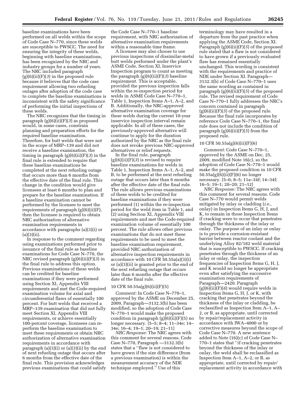baseline examinations have been performed on all welds within the scope of Code Case N–770, since these welds are susceptible to PWSCC. The need for ensuring the integrity of these welds, beginning with baseline examinations, has been recognized by the NRC and industry groups for a number of years. The NRC included paragraph (g)(6)(ii)(F)(*3*) in the proposed rule because it believes that the code case requirement allowing two refueling outages after adoption of the code case to complete the baseline examinations is inconsistent with the safety significance of performing the initial inspections of these welds.

The NRC recognizes that the timing in paragraph (g)(6)(ii)(F)(*3*) as proposed would, in some cases, constrain planning and preparation efforts for the required baseline examination. Therefore, for butt welds that were not in the scope of MRP–139 and did not receive a baseline examination, the timing in paragraph (g)(6)(ii)(F)(*3*) in the final rule is extended to require that these baseline examinations be completed at the next refueling outage that occurs more than 6 months from the effective date of the final rule. This change in the condition would give licensees at least 6 months to plan and prepare for the baseline examination. If a baseline examination cannot be performed by the licensee to meet the requirements of paragraph (g)(6)(ii)(F), then the licensee is required to obtain NRC authorization of alternative examination requirements in accordance with paragraphs (a)(3)(i) or  $(a)(3)(ii)$ .

In response to the comment regarding using examinations performed prior to issuance of the final rule as baseline examinations for Code Case N–770, the NRC revised paragraph (g)(6)(ii)(F)(*3*) in the final rule to address this option. Previous examinations of these welds can be credited for baseline examinations if they were performed using Section XI, Appendix VIII requirements and met the Code-required examination volume for axial and circumferential flaws of essentially 100 percent. For butt welds that received a MRP–139 examination that did not fully meet Section XI, Appendix VIII requirements, or achieve essentially 100-percent coverage, licensees can reperform the baseline examination to meet these requirements or obtain NRC authorization of alternative examination requirements in accordance with paragraph (a)(3)(i) or (a)(3)(ii) by the end of next refueling outage that occurs after 6 months from the effective date of the final rule. This provision acknowledges previous examinations that could satisfy

the Code Case N–770–1 baseline requirement, with NRC authorization of alternative examination requirements within a reasonable time frame.

A licensee may also choose to use previous inspections of dissimilar-metal butt welds performed under the plant's ASME Code, Section XI, Inservice Inspection program to count as meeting the paragraph (g)(6)(ii)(F)(*3*) baseline requirement. This is acceptable, provided the previous inspection falls within the re-inspection period for welds in ASME Code Case N–770–1, Table 1, Inspection Items A–1, A–2, and B. Additionally, the NRC-approved alternative examination coverage for these welds during the current 10-year inservice inspection interval remain applicable. In all of these cases, the previously-approved alternative will continue to apply for the duration authorized by the NRC as the final rule does not revoke previous NRC-approved alternatives or relief requests.

In the final rule, paragraph (g)(6)(ii)(F)(*3*) is revised to require baseline examinations for welds in Table 1, Inspection Items A–1, A–2, and B, to be performed at the next refueling outage that occurs later than 6 months after the effective date of the final rule. The rule allows previous examinations of these welds to be credited for baseline examinations if they were performed (1) within the re-inspection period for the weld item in Table 1, and (2) using Section XI, Appendix VIII requirements and met the Code-required examination volume of essentially 100 percent. The rule allows other previous examinations that do not meet these requirements to be used to meet the baseline examination requirement, provided NRC authorization of alternative inspection requirements in accordance with 10 CFR 50.55a(a)(3)(i) or (a)(3)(ii) is granted prior to the end of the next refueling outage that occurs later than 6 months after the effective date of the final rule.

#### 10 CFR 50.55a(g)(6)(ii)(F)(5)

*Comment:* In Code Case N–770–1, approved by the ASME on December 25, 2009, Paragraph—3132.3(b) has been modified, so the adoption of Code Case N–770–1 would make the proposed condition in paragraph  $(g)(6)(ii)(F)(5)$  no longer necessary. [5–5; 8–4; 11–34e; 14– 34e; 16–4; 19–1; 20–19; 21–11]

*NRC Response:* The NRC agrees with this comment for several reasons. Code Case N–770, Paragraph —3132.3(b) states that a ''flaw is not considered to have grown if the size difference (from a previous examination) is within the measurement accuracy of the NDE technique employed.'' Use of this

terminology may have resulted in a departure from the past practice when applying the ASME Code, Section XI. Paragraph (g)(6)(ii)(F)(*5*) of the proposed rule stated that a flaw is not considered to have grown if a previously evaluated flaw has remained essentially unchanged. This wording is consistent with the requirements and practice of NDE under Section XI. Paragraph— 3132.3(b) of Code Case N–770–1 uses the same wording as contained in paragraph (g)(6)(ii)(F)(*5*) of the proposed rule. The revised requirement of Code Case N–770–1 fully addresses the NRC's concern contained in paragraph  $(g)(6)(ii)(F)(5)$  of the proposed rule. Because the final rule incorporates by reference Code Case N–770–1, the final rule does not include the condition of paragraph (g)(6)(ii)(F)(*5*) from the proposed rule.

#### 10 CFR 50.55a(g)(6)(ii)(F)(6)

*Comment:* Code Case N–770–1, approved by the ASME on Dec. 25, 2009, modified Note 16(c), so the adoption of Code Case N–770–1 would make the proposed condition in 10 CFR 50.55a(g)(6)(ii)(F)(6) no longer necessary. [5–6; 8–5; 11a–34f; 14–34f; 16–5; 19–1; 20–20; 21–12]

*NRC Response:* The NRC agrees with this comment for several reasons. Code Case N–770 would permit welds mitigated by inlay or cladding (*i.e.,*  onlay) in Inspection Items G, H, J, and K, to remain in those Inspection Items if cracking were to occur that penetrates through the thickness of the inlay or onlay. The purpose of an inlay or onlay is to provide a corrosion-resistant barrier between reactor coolant and the underlying Alloy 82/182 weld material that is susceptible to PWSCC. If cracking penetrates through the thickness of an inlay or onlay, the inspection frequencies of Inspection Items G, H, J, and K would no longer be appropriate even after satisfying the successive examination requirements of Paragraph—2420. Paragraph  $(g)(6)(ii)(F)(6)$  would require welds in Inspection Items G, H, J, or K, with cracking that penetrates beyond the thickness of the inlay or cladding, be reclassified as Inspection Item A–1, A– 2, or B, as appropriate, until corrected by repair/replacement activity in accordance with IWA–4000 or by corrective measures beyond the scope of Code Case N–770. A new sentence added to Note (16)(c) of Code Case N– 770–1 states that ''if cracking penetrates beyond the thickness of the inlay or onlay, the weld shall be reclassified as Inspection Item A–1, A–2, or B, as appropriate, until corrected by repair/ replacement activity in accordance with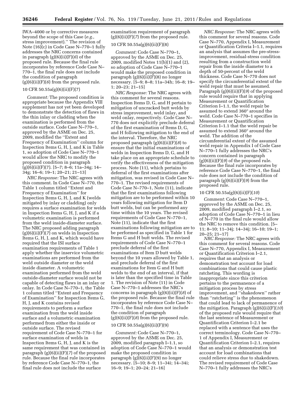IWA–4000 or by corrective measures beyond the scope of this Case (*e.g.,*  stress improvement).'' The revision of Note (16)(c) in Code Case N–770–1 fully addresses the NRC concerns contained in paragraph  $(g)(6)(ii)(F)(6)$  of the proposed rule. Because the final rule incorporates by reference Code Case N– 770–1, the final rule does not include the condition of paragraph (g)(6)(ii)(F)(*6*) from the proposed rule.

# 10 CFR 50.55a(g)(6)(ii)(F)(7)

*Comment:* The proposed condition is appropriate because the Appendix VIII supplement has not yet been developed to demonstrate the detection of flaws in the thin inlay or cladding when the examination is performed from the outside surface. Code Case N–770–1, approved by the ASME on Dec. 25, 2009, modified the ''Extent and Frequency of Examination'' column for Inspection Items G, H, J, and K in Table 1, so adoption of Code Case N–770–1 would allow the NRC to modify the proposed condition in paragraph  $(g)(6)(ii)(F)(7)$ . [5-7; 8-6; 11a-34g; 14-34g; 16–6; 19–1; 20–21; 21–13]

*NRC Response:* The NRC agrees with this comment. In Code Case N–770, the Table 1 column titled ''Extent and Frequency of Examination'' for Inspection Items G, H, J, and K (welds mitigated by inlay or cladding) only requires a surface examination for welds in Inspection Items G, H, J, and K if a volumetric examination is performed from the weld inside-diameter surface. The NRC proposed adding paragraph (g)(6)(ii)(F)(*7*) on welds in Inspection Items G, H, J, and K, which would have required that the ISI surface examination requirements of Table 1 apply whether the inservice volumetric examinations are performed from the weld outside diameter or the weld inside diameter. A volumetric examination performed from the weld outside-diameter surface would not be capable of detecting flaws in an inlay or onlay. In Code Case N–770–1, the Table 1 column titled ''Extent and Frequency of Examination'' for Inspection Items G, H, J, and K contains revised requirements to perform a surface examination from the weld inside surface and a volumetric examination performed from either the inside or outside surface. The revised requirement of Code Case N–770–1 for surface examination of welds in Inspection Items G, H, J, and K is the same requirement that was contained in paragraph (g)(6)(ii)(F)(*7*) of the proposed rule. Because the final rule incorporates by reference Code Case N–770–1, the final rule does not include the surface

examination requirement of paragraph (g)(6)(ii)(F)(*7*) from the proposed rule.

#### 10 CFR 50.55a(g)(6)(ii)(F)(8)

*Comment:* Code Case N–770–1, approved by the ASME on Dec. 25, 2009, modified Notes 11(b)(1) and (2), so adoption of Code Case N–770–1 would make the proposed condition in paragraph (g)(6)(ii)(F)(8) no longer necessary. [5–9; 8–8; 11a–34h; 16–8; 19– 1; 20–23; 21–15]

*NRC Response:* The NRC agrees with this comment for several reasons. Inspection Items D, G, and H pertain to mitigation of uncracked butt welds by stress improvement, weld inlay, and weld onlay, respectively. Code Case N– 770 does not explicitly preclude deferral of the first examination of Items D, G, and H following mitigation to the end of the interval. Therefore, the NRC proposed paragraph (g)(6)(ii)(F)(*8*) to ensure that the initial examinations of welds in Inspection Items D, G, and H take place on an appropriate schedule to verify the effectiveness of the mitigation process. Note (11), which pertains to deferral of the first examinations after mitigation, was revised in Code Case N– 770–1. The revised requirements of Code Case N–770–1, Note (11), indicate that the first examinations following mitigation are to be performed within 10 years following mitigation for Item D butt welds, but can be performed any time within the 10 years. The revised requirements of Code Case N–770–1, Note (11), indicate that the first examinations following mitigation are to be performed as specified in Table 1 for Items G and H butt welds. The revised requirements of Code Case N–770–1 preclude deferral of the first examinations of Item D butt welds beyond the 10 years allowed by Table 1, and preclude deferral of the first examinations for Item G and H butt welds to the end of an interval, if that is later than the specified time in Table 1. The revision of Note (11) in Code Case N–770–1 addresses the NRC's concerns in paragraph (g)(6)(ii)(F)(*8*) of the proposed rule. Because the final rule incorporates by reference Code Case N– 770–1, the final rule does not include the condition of paragraph (g)(6)(ii)(F)(*8*) from the proposed rule.

#### 10 CFR 50.55a(g)(6)(ii)(F)(9)

*Comment:* Code Case N–770–1, approved by the ASME on Dec. 25, 2009, modified paragraph I–1.1, so adoption of Code Case N–770–1 would make the proposed condition in paragraph (g)(6)(ii)(F)(9) no longer necessary. [5–10; 8–9; 11–34i; 14–34i; 16–9; 19–1; 20–24; 21–16]

*NRC Response:* The NRC agrees with this comment for several reasons. Code Case N–770, Appendix I, Measurement or Quantification Criteria I–1.1, requires an analysis that assumes the pre-stressimprovement, residual-stress condition resulting from a construction weld repair from the inside diameter to a depth of 50-percent of the weld thickness. Code Case N–770 does not specify the circumferential extent of the weld repair that must be assumed. Paragraph (g)(6)(ii)(F)(*9*) of the proposed rule would require that in applying Measurement or Quantification Criterion I–1.1, the weld repair be assumed to extend 360° around the weld. Code Case N–770–1 specifies in Measurement or Quantification Criterion I–1.1 that the weld repair be assumed to extend 360° around the weld. The addition of the circumferential extent of the assumed weld repair in Appendix I of Code Case N–770–1 fully addresses the NRC's concern contained in paragraph (g)(6)(ii)(F)(*9*) of the proposed rule. Because the final rule incorporates by reference Code Case N–770–1, the final rule does not include the condition of paragraph (g)(6)(ii)(F)(*9*) from the proposed rule.

#### 10 CFR 50.55a(g)(6)(ii)(F)(*10*)

*Comment:* Code Case N–770–1, approved by the ASME on Dec. 25, 2009, modified paragraph I–2.1, so adoption of Code Case N–770–1 in lieu of N–770 in the final rule would allow the NRC to remove this condition. [5– 11; 8–10; 11–34j; 14–34j; 16–10; 19–1; 20–25; 21–17]

*NRC Response:* The NRC agrees with this comment for several reasons. Code Case N–770, Appendix I, Measurement or Quantification Criterion I–2.1, requires that an analysis or demonstration test account for load combinations that could cause plastic ratcheting. This wording is inappropriate since this criterion pertains to the permanence of a mitigation process by stress improvement, and ''shakedown'' rather than ''ratcheting'' is the phenomenon that could lead to lack of permanence of the mitigation. Paragraph (g)(6)(ii)(F)(*10*) of the proposed rule would require that the last sentence of Measurement or Quantification Criterion I–2.1 be replaced with a sentence that uses the correct terminology. Code Case N–770– 1 of Appendix I, Measurement or Quantification Criterion I–2.1, requires that an analysis or demonstration test account for load combinations that could relieve stress due to shakedown. The revised requirement of Code Case N–770–1 fully addresses the NRC's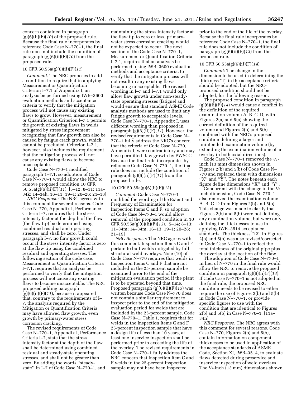concern contained in paragraph (g)(6)(ii)(F)(*10*) of the proposed rule. Because the final rule incorporates by reference Code Case N–770–1, the final rule does not include the condition of paragraph (g)(6)(ii)(F)(*10*) from the proposed rule.

#### 10 CFR 50.55a(g)(6)(ii)(F)(*11*)

*Comment:* The NRC proposes to add a condition to require that in applying Measurement or Quantification Criterion I–7.1 of Appendix I, an analysis be performed using IWB–3600 evaluation methods and acceptance criteria to verify that the mitigation process will not cause any existing flaws to grow. However, measurement or Quantification Criterion I–7.1 permits the growth of existing flaws in welds mitigated by stress improvement recognizing that flaw growth can also be caused by fatigue crack growth, which cannot be precluded. Criterion I–7.1, however, also includes the requirement that the mitigation process will not cause any existing flaws to become unacceptable.

Code Case N–770–1 modified paragraph 1–7.1, so adoption of Code Case N–770–1 would allow the NRC to remove proposed condition 10 CFR 50.55a(g)(6)(ii)(F)(*11*). [5–12; 8–11; 11a– 34k; 14–34k; 16–11; 19–1; 20–26; 21–18]

*NRC Response:* The NRC agrees with this comment for several reasons. Code Case N–770, Appendix I, Performance Criteria I–7, requires that the stress intensity factor at the depth of the flaw (the flaw tip) be determined using combined residual and operating stresses, and shall be zero. Under paragraph I–7, no flaw growth could occur if the stress intensity factor is zero at the flaw tip using the combined residual and operating stresses. The following section of the code case, Measurement or Quantification Criteria I–7.1, requires that an analysis be performed to verify that the mitigation process will not cause any existing flaws to become unacceptable. The NRC proposed adding paragraph (g)(6)(ii)(F)(*11*), because it appeared that, contrary to the requirements of I– 7, the analysis required by the Mitigation or Quantification Criteria may have allowed flaw growth, even growth by primary-water stress corrosion cracking.

The revised requirements of Code Case N–770–1, Appendix I, Performance Criteria I–7, state that the stress intensity factor at the depth of the flaw shall be determined using combined residual and steady-state operating stresses, and shall not be greater than zero. By adding the words ''steadystate'' in I–7 of Code Case N–770–1, and

maintaining the stress intensity factor at the flaw tip to zero or less, primarywater stress corrosion cracking would not be expected to occur. The next section of the Code Case N–770–1, Measurement or Quantification Criteria I–7.1, requires that an analysis be performed, using IWB–3600 evaluation methods and acceptance criteria, to verify that the mitigation process will not result in any existing flaws becoming unacceptable. The revised wording in I–7 and I–7.1 would only allow flaw growth under non-steadystate operating stresses (fatigue) and would ensure that standard ASME Code analysis methods are used to limit any fatigue growth to acceptable levels. Code Case N–770–1, Appendix I, uses different wording than proposed in paragraph (g)(6)(ii)(F)(*11*). However, the revised requirements in Code Case N– 770–1 fully address the NRC's concern that the criteria of Code Case N–770, Appendix I, were contradictory and may have permitted flaw growth by PWSCC. Because the final rule incorporates by reference Code Case N–770–1, the final rule does not include the condition of paragraph (g)(6)(ii)(F)(*11*) from the proposed rule.

#### 10 CFR 50.55a(g)(6)(ii)(F)(*13*)

*Comment:* Code Case N–770–1 modified the wording of the Extent and Frequency of Examination for Inspection Items C and F, so adoption of Code Case N–770–1 would allow removal of the proposed condition in 10 CFR 50.55a(g)(6)(ii)(F)(*13*). [5–14; 8–13; 11–34m; 14–34m; 16–13; 19–1; 20–28; 21–19]

*NRC Response:* The NRC agrees with this comment. Inspection Items C and F pertain to butt welds mitigated by full structural weld overlays. Note (10) of Code Case N–770 requires that welds in Inspection Items C and F that are not included in the 25-percent sample be examined prior to the end of the mitigation evaluation period if the plant is to be operated beyond that time. Proposed paragraph (g)(6)(ii)(F)(*13*) was written because Code Case N–770 does not contain a similar requirement to inspect prior to the end of the mitigation evaluation period for welds that are included in the 25-percent sample. Code Case N–770–1, Table 1, requires that for welds in the Inspection Items C and F 25-percent inspection sample that have a design life of less than 10 years, at least one inservice inspection shall be performed prior to exceeding the life of the overlay. The revised requirements in Code Case N–770–1 fully address the NRC concern that Inspection Item C and F welds in the 25-percent inspection sample may not have been inspected

prior to the end of the life of the overlay. Because the final rule incorporates by reference Code Case N–770–1, the final rule does not include the condition of paragraph (g)(6)(ii)(F)(*13*) from the proposed rule.

#### 10 CFR 50.55a(g)(6)(ii)(F)(*14*)

*Comment:* The change in the dimension to be used in determining the thickness ''t'' in the acceptance criteria should be adopted, but the NRCproposed condition should not be adopted, for the following reason.

The proposed condition in paragraph (g)(6)(ii)(F)(*14*) would cause a conflict in the definition of the required examination volume A–B–C–D, with Figures 2(a) and 5(a) showing the correct definition of the required volume and Figures 2(b) and 5(b) combined with the NRC's proposed condition defining a larger and unintended examination volume (by extending the examination volume of an overlay in both axial directions).

Code Case N–770–1 removed the  $\frac{1}{2}$ inch (13 mm) dimension shown in Figures 2(b) and 5(b) of Code Case N– 770 and replaced them with dimensions "X" and " $\bar{Y}$ ". The notes beneath each figure define dimensions ''X'' and ''Y''.

Concurrent with the change in the  $\frac{1}{2}$ inch dimension, Code Case N–770–1 also removed the examination volume A–B–C–D from Figures 2(b) and 5(b). This change was made to clarify that Figures  $2(\bar{b})$  and  $5(b)$  were not defining any examination volume, but were only defining the thicknesses to use in applying IWB–3514 acceptance standards. The thickness ''t2'' in Figures 2(b) and 5(b) was also revised/corrected in Code Case N–770–1 to reflect the total thickness of the original pipe plus the overlay at the location of the flaw.

The adoption of Code Case N–770–1 in lieu of N–770 in the final rule would allow the NRC to remove the proposed condition in paragraph (g)(6)(ii)(F)(*14*). If Code Case N–770–1 is not adopted in the final rule, the proposed NRC condition needs to be revised to either require the use of Figures 2(b) and 5(b) in Code Case N–770–1, or provide specific figures to use with the condition that are identical to Figures 2(b) and 5(b) in Case N–770–1. [11a– 34n]

*NRC Response:* The NRC agrees with this comment for several reasons. Code Case N–770, Figures 2(b) and 5(b), contain information on component thicknesses to be used in application of the acceptance standards of ASME Code, Section XI, lWB–3514, to evaluate flaws detected during preservice and inservice inspection of weld overlays. The 1⁄2-inch (13 mm) dimensions shown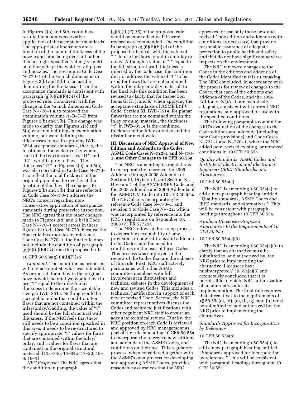in Figures 2(b) and 5(b) could have resulted in a non-conservative application of the acceptance standards. The appropriate dimensions are a function of the nominal thickness of the nozzle and pipe being overlaid rather than a single, specified value  $(1/2$ -inch) on either side of the weld for all pipes and nozzles. The revision in Code Case N-770-1 of the 1/2-inch dimension in Figures 2(b) and 5(b) to be used in determining the thickness ''t'' in the acceptance standards is consistent with paragraph (g)(6)(ii)(F)(*14*) of the proposed rule. Concurrent with the change in the 1⁄2 inch dimension, Code Case N–770–1 also removed the examination volume A–B–C–D from Figures 2(b) and 5(b). This change was made to clarify that Figures 2(b) and 5(b) were not defining an examination volume, but were defining the thicknesses to use in applying IWB– 3514 acceptance standards, that is, the locations in the weld overlay where each of the two thicknesses, ''t1'' and ''t2'', would apply to flaws. The thickness ''t2'' in Figures 2(b) and 5(b) was also corrected in Code Case N–770– 1 to reflect the total thickness of the original pipe plus the overlay at the location of the flaw. The changes to Figures 2(b) and 5(b) that are reflected in Code Case N–770–1 address the NRC's concern regarding nonconservative application of acceptance standards during preservice inspection. The NRC agrees that the other changes made to Figures 2(b) and 5(b) in Code Case N–770–1 correct errors in these figures in Code Case N–770. Because the final rule incorporates by reference Code Case N–770–1, the final rule does not include the condition of paragraph (g)(6)(ii)(F)(*14*) from the proposed rule.

#### 10 CFR 50.55a(g)(6)(ii)(F)(*15*)

*Comment:* The condition as proposed will not accomplish what was intended. As proposed, for a flaw in the original nozzle/weld material we would have to use ''t'' equal to the inlay/onlay thickness to determine the acceptable size per IWB–3514. Nothing would be acceptable under that condition. For flaws that are not contained within the inlay/onlay/cladding, the value of ''t'' used should be the full structural wall thickness. If the NRC feels that there still needs to be a condition specified in this area, it needs to be re-structured to specify appropriate ''t'' values for flaws that are contained within the inlay/ onlay, and t values for flaws that are contained in the original structural material. [11a–34o; 14–34o; 17–20; 18– 9; 19–1]

*NRC Response:* The NRC agrees that the condition in paragraph

(g)(6)(ii)(F)(*15*) of the proposed rule would be more effective if it were revised as recommended. The condition in paragraph (g)(6)(ii)(F)(*15*) of the proposed rule dealt with the value of ''t'' to use for flaws found in an inlay or onlay. Although a value of ''t'' equal to the full structural wall thickness is inferred by the code case, the condition did not address the value of ''t'' to be used for flaws that are not contained within the inlay or onlay material. In the final rule this condition has been revised to clarify that for Inspection Items G, H, J, and K, when applying the acceptance standards of ASME B&PV Code, Section XI, IWB–3514, for planar flaws that are not contained within the inlay or onlay material, the thickness ''t'' in IWB–3514 is the combined thickness of the inlay or onlay and the dissimilar metal weld.

#### **III. Discussion of NRC Approval of New Edition and Addenda to the Codes, ASME Code Cases N–722–1 and N–770– 1, and Other Changes to 10 CFR 50.55a**

The NRC is amending its regulations to incorporate by reference the 2005 Addenda through 2008 Addenda of Section III, Division 1, and Section XI, Division 1 of the ASME B&PV Code; and the 2005 Addenda and 2006 Addenda of the ASME OM Code into 10 CFR 50.55a. The NRC also is incorporating by reference Code Case N–770–1, and revision 1 to Code Case N–722, which was incorporated by reference into the NRC's regulations on September 10, 2008 (73 FR 52729).

The NRC follows a three-step process to determine acceptability of new provisions in new editions and addenda to the Codes, and the need for conditions on the uses of these Codes. This process was employed in the review of the Codes that are the subjects of this rule. First, NRC staff actively participates with other ASME committee members with full involvement in discussions and technical debates in the development of new and revised Codes. This includes a technical justification in support of each new or revised Code. Second, the NRC committee representatives discuss the Codes and technical justifications with other cognizant NRC staff to ensure an adequate technical review. Finally, the NRC position on each Code is reviewed and approved by NRC management as part of the rule amending 10 CFR 50.55a to incorporate by reference new editions and addenda of the ASME Codes, and conditions on their use. This regulatory process, when considered together with the ASME's own process for developing and approving ASME Codes, provides reasonable assurances that the NRC

approves for use only those new and revised Code edition and addenda (with conditions as necessary) that provide reasonable assurance of adequate protection to public health and safety and that do not have significant adverse impacts on the environment.

The NRC reviewed changes to the Codes in the editions and addenda of the Codes identified in this rulemaking. The NRC concluded, in accordance with the process for review of changes to the Codes, that each of the editions and addenda of the Codes, and the 1994 Edition of NQA–1, are technically adequate, consistent with current NRC regulations, and approved for use with the specified conditions.

The following paragraphs contain the NRC's evaluation of the changes to the Code editions and addenda (including new Code provisions) and Code Cases N–722–1 and N–770–1, where the NRC added new, revised existing, or removed conditions in 10 CFR 50.55a.

*Quality Standards, ASME Codes and Institute of Electrical and Electronics Engineers (IEEE) Standards, and Alternatives* 

#### 10 CFR 50.55a(a)

The NRC is amending § 50.55a(a) to add a new paragraph heading entitled ''Quality standards, ASME Codes and IEEE standards, and alternatives.'' This will be consistent with paragraph headings throughout 10 CFR 50.55a.

#### *Applicant/Licensee-Proposed Alternatives to the Requirements of 10 CFR 50.55a*

#### 10 CFR 50.55a(a)(3)

The NRC is amending § 50.55a(a)(3) to clarify that an alternative must be submitted to, and authorized by, the NRC prior to implementing the alternative. Licensees have misinterpreted § 50.55a(a)(3) and erroneously concluded that it is permissible to obtain NRC authorization of an alternative after its implementation. The final rule requires that alternatives to the requirements of §§ 50.55a(c), (d), (e), (f), (g), and (h) must be submitted to, and authorized by, the NRC prior to implementing the alternatives.

#### *Standards Approved for Incorporation by Reference*

#### 10 CFR 50.55a(b)

The NRC is amending § 50.55a(b) to add a new paragraph heading entitled ''Standards approved for incorporation by reference.'' This will be consistent with paragraph headings throughout 10 CFR 50.55a.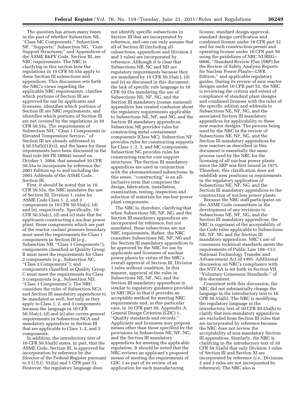The question has arisen many times in the past of whether Subsection NE, ''Class MC Components;'' Subsection NF, ''Supports;'' Subsection NG, ''Core Support Structures;'' and Appendices of the ASME B&PV Code, Section III, are NRC requirements. The NRC is clarifying in this section how the regulations in 10 CFR 50.55a apply to these Section III subsections and appendices. This discussion sets forth the NRC's views regarding the applicable NRC requirements, clarifies which portions of Section III are approved for use by applicants and licensees, identifies which portions of Section III are NRC requirements, and identifies which portions of Section III are not covered by the regulations in 10 CFR 50.55a. The requirements of Subsection NH, ''Class 1 Components in Elevated Temperature Service,'' of Section III are already addressed in § 50.55a(b)(1)(vi), and the bases for these requirements have been discussed in the final rule (69 FR 58804) issued on October 1, 2004, that amended 10 CFR 50.55a to incorporate by reference the 2001 Edition up to and including the 2003 Addenda of the ASME Code, Section III.

First, it should be noted that in 10 CFR 50.55a, the NRC mandates the use of Section III, Division 1, rules for ASME Code Class 1, 2, and 3 components in 10 CFR 50.55a(c), (d) and (e), respectively. Specifically, 10 CFR 50.55a(c), (d) and (e) state that for applicants constructing a nuclear power plant, those components which are part of the reactor coolant pressure boundary must meet the requirements for Class 1 components in Section III (*e.g.,*  Subsection NB, ''Class 1 Components''); components classified as Quality Group B must meet the requirements for Class 2 components (*e.g.,* Subsection NC, ''Class 2 Components''); and components classified as Quality Group C must meet the requirements for Class 3 components (*e.g.,* Subsection ND, ''Class 3 Components''). The NRC considers the rules of Subsection NCA and Section III mandatory appendices to be mandated as well, but only as they apply to Class 1, 2, and 3 components because the language in 10 CFR 50.55a(c), (d) and (e) also covers general requirements in Subsection NCA and mandatory appendices in Section III that are applicable to Class 1, 2, and 3 components.

In addition, the introductory text of 10 CFR 50.55a(b) states, in part, that the ASME Code, Section III, is approved for incorporation by reference by the Director of the Federal Register pursuant to 5 U.S.C. 552(a) and 1 CFR part 51. However, the regulatory language does

not identify specific subsections in Section III that are incorporated by reference, and one can only assume that all of Section III (including all subsections, appendices and Division 2 and 3 rules) are incorporated by reference. Although it is clear that Subsections NB, NC and ND are regulatory requirements because they are mandated by 10 CFR 50.55a(c), (d) and (e) as discussed in this document, the lack of specific rule language in 10 CFR 50.55a mandating the use of Subsections NE, NF, NG, and the Section III mandatory (roman numeral) appendices has created confusion about the regulatory requirements applicable to Subsections NE, NF, and NG, and the Section III mandatory appendices. Subsection NE provides rules for constructing metal containment components (Class MC). Subsection NF provides rules for constructing supports for Class 1, 2, 3, and MC components. Subsection NG provides rules for constructing reactor core support structures. The Section III mandatory appendices are used in conjunction with the aforementioned subsections. In this sense, "constructing" is an allinclusive term that comprises the design, fabrication, installation, examination, testing, inspection and selection of materials for nuclear power plant components.

The NRC is, therefore, clarifying that when Subsections NE, NF, NG, and the Section III mandatory appendices are incorporated by reference, but not mandated, these subsections are not NRC requirements. Rather, the NRC considers Subsections NE, NF, NG and the Section III mandatory appendices to be approved by the NRC for use by applicants and licensees of nuclear power plants by virtue of the NRC's overall approval of Section III, Division 1 rules without condition. In this manner, approval of the rules in Subsections NE, NF, NG, and the Section III mandatory appendices is similar to regulatory guidance provided in NRC RGs in that it provides an acceptable method for meeting NRC requirements and, in this particular case, in 10 CFR part 50, Appendix A, General Design Criterion (GDC) 1, ''Quality standards and records.'' Applicants and licensees may propose means other than those specified by the provisions in Subsections NE, NF, NG, and the Section III mandatory appendices for meeting the applicable regulation. It should be noted that the NRC reviews an applicant's proposed means of meeting the requirements of GDC 1 as part of its review of an application for each manufacturing

license, standard design approval, standard design certification and combined license under 10 CFR part 52 and for each construction permit and operating license under 10 CFR part 50 using the guidelines of NRC NUREG– 0800, ''Standard Review Plan [SRP] for the Review of Safety Analysis Reports for Nuclear Power Plants—LWR Edition,'' and applicable regulatory guides. During its review of new reactor designs under 10 CFR part 52, the NRC is reviewing the criteria and extent of compliance of standard plant designs and combined licenses with the rules of the specific edition and addenda to Subsections NE, NF, NG, and the associated Section III mandatory appendices for applicability to these new reactor designs. The process being used by the NRC in the review of Subsections NE, NF, NG, and the Section III mandatory appendices for new reactors as described in this document is essentially the same process used by the NRC for the licensing of all nuclear power plants since the SRP was first issued in 1975. Therefore, this clarification does not establish new positions or requirements in the regulatory application of Subsections NE, NF, NG, and the Section III mandatory appendices to the construction of nuclear power plants.

Because the NRC staff participates on the ASME Code committees in the development of any revisions to Subsections NE, NF, NG, and the Section III mandatory appendices, the NRC is cognizant of the acceptability of the Code rules applicable to Subsections NE, NF, NG and the Section III mandatory appendices. NRC's use of consensus technical standards meets the requirements of Public Law 104–113, National Technology Transfer and Advancement Act of 1995. Additional discussion on NRC's compliance with the NTTAA is set forth in Section VII, ''Voluntary Consensus Standards,'' of this document.

Consistent with this discussion, the NRC did not substantially change the language in the introductory text to 10 CFR 50.55a(b). The NRC is modifying the regulatory language in the introductory text of 10 CFR 50.55a(b) to clarify that non-mandatory appendices are excluded from Section III rules that are incorporated by reference because the NRC does not review the acceptability of non-mandatory Section III appendices. Similarly, the NRC is clarifying in the introductory text of 10 CFR 50.55a(b) that only Division 1 rules of Section III and Section XI are incorporated by reference (*i.e.,* Divisions 2 and 3 rules are not incorporated by reference). The NRC also is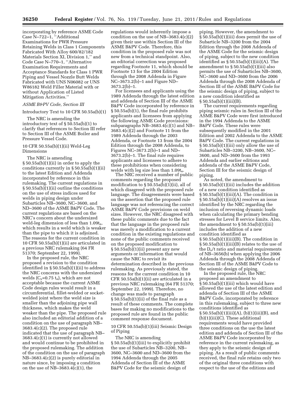incorporating by reference ASME Code Case N–722–1, ''Additional Examinations for PWR Pressure Retaining Welds in Class 1 Components Fabricated With Alloy 600/82/182 Materials Section XI, Division 1,'' and Code Case N–770–1, ''Alternative Examination Requirements and Acceptance Standards for Class 1 PWR Piping and Vessel Nozzle Butt Welds Fabricated with UNS N06082 or UNS W86182 Weld Filler Material with or without Application of Listed Mitigation Activities.''

# *ASME B&PV Code, Section III*

#### Introductory Text to 10 CFR 50.55a(b)(1)

The NRC is amending the introductory text of § 50.55a(b)(1) to clarify that references to Section III refer to Section III of the ASME Boiler and Pressure Vessel Code.

#### 10 CFR 50.55a(b)(1)(ii) Weld-Leg Dimensions

The NRC is amending § 50.55a(b)(1)(ii) in order to apply the conditions currently in § 50.55a(b)(1)(ii) to the latest Edition and Addenda incorporated by reference in this rulemaking. The current regulations in § 50.55a(b)(1)(ii) outline the conditions on the use of stress indices used for welds in piping design under Subarticles NB–3600, NC–3600, and ND–3600 of the ASME B&PV Code. The current regulations are based on the NRC's concern about the undersized weld-leg dimension of less than  $1.09t_n$ , which results in a weld which is weaker than the pipe to which it is adjoined. The reasons for the current condition in 10 CFR 50.55a(b)(1)(ii) are articulated in a previous NRC rulemaking (64 FR 51370; September 22, 1999).

In the proposed rule, the NRC proposed a revision to the condition identified in § 50.55a(b)(1)(ii) to address the NRC concerns with the undersized welds  $(C_x=0.75 t_n)$ , which are not acceptable because the current ASME Code design rules would result in a circumferential, fillet-welded or socketwelded joint where the weld size is smaller than the adjoining pipe wall thickness, which makes the weld weaker than the pipe. The proposed rule also included an editorial addition of a condition on the use of paragraph NB– 3683.4(c)(2). The proposed rule indicated that the use of paragraph NB– 3683.4(c)(1) is currently not allowed and would continue to be prohibited in the proposed rulemaking. The addition of the condition on the use of paragraph NB–3683.4(c)(2) is purely editorial in nature since, by imposing a condition on the use of NB–3683.4(c)(1), the

regulations would inherently impose a condition on the use of NB–3683.4(c)(2) given their use within Section III of the ASME B&PV Code. Therefore, this condition in the proposed rule was not new from a technical standpoint. Also, an editorial correction was proposed regarding Footnote 11, which should be Footnote 13 for the 2004 Edition through the 2008 Addenda in Figure NC–3673.2(b)–1 and Figure ND– 3673.2(b)–1.

For licensees and applicants using the 1989 Addenda through the latest edition and addenda of Section III of the ASME B&PV Code incorporated by reference in § 50.55a(b)(1), the final rule prohibits applicants and licensees from applying the following ASME Code provisions: subparagraphs NB–3683.4(c)(1) and NB– 3683.4(c)(2) and Footnote 11 from the 1989 Addenda through the 2003 Addenda, or Footnote 13 from the 2004 Edition through the 2008 Addenda, to Figures NC–3673.2(b)–1 and ND– 3673.2(b)–1. The final rule requires applicants and licensees to adhere to these prohibitions when considering welds with leg size less than  $1.09t_n$ .

The NRC received a number of public comments regarding the proposed modification to § 50.55a(b)(1)(ii), all of which disagreed with the proposed rule language. The disagreements were based on the assertion that the proposed rule language was not referencing the correct ASME B&PV Code provisions on weld sizes. However, the NRC disagreed with these public comments due to the fact that the language in the proposed rule was merely a modification to a current condition in the existing regulations and none of the public comments received on the proposed modification to § 50.55a(b)(1)(ii) present any new arguments or information that would cause the NRC to revisit its determination described in the previous rulemaking. As previously stated, the reasons for the current condition in 10 CFR 50.55a(b)(1)(ii) are articulated in a previous NRC rulemaking (64 FR 51370; September 22, 1999). Therefore, no change was made to paragraph § 50.55a(b)(1)(ii) of the final rule as a result of these comments. The complete bases for making no modifications to the proposed rule are found in the public comment response document.

#### 10 CFR 50.55a(b)(1)(iii) Seismic Design of Piping

The NRC is amending § 50.55a(b)(1)(iii) to explicitly prohibit the use of Subarticles NB–3200, NB– 3600, NC–3600 and ND–3600 from the 1994 Addenda through the 2005 Addenda of Section III of the ASME B&PV Code for the seismic design of

piping. However, the amendment to § 50.55a(b)(1)(iii) does permit the use of Subarticle NB–3200 from the 2004 Edition through the 2008 Addenda of the ASME Code for the seismic design of piping, subject to the new condition identified as  $\S 50.55a(b)(1)(iii)(A)$ . The amendment to § 50.55a(b)(1)(iii) also permits the use of Subarticles NB–3600, NC–3600 and ND–3600 from the 2006 Addenda through the 2008 Addenda of Section III of the ASME B&PV Code for the seismic design of piping, subject to a new condition identified as  $§ 50.55a(b)(1)(iii)(B).$ 

The current requirements regarding piping seismic rules in Section III of the ASME B&PV Code were first introduced in the 1994 Addenda to the ASME B&PV Code. These rules were subsequently modified in the 2001 Edition and 2002 Addenda to the ASME B&PV Code. The current regulations in § 50.55a(b)(1)(iii) only allow the use of Subarticles NB–3200, NB–3600, NC– 3600, and ND–3600 from the 1993 Addenda and earlier editions and addenda of the ASME B&PV Code, Section III for the seismic design of piping.

As noted, the amendment to § 50.55a(b)(1)(iii) includes the addition of a new condition identified as § 50.55a(b)(1)(iii)(A). The condition in § 50.55a(b)(1)(iii)(A) resolves an issue identified by the NRC regarding the inclusion of reversing dynamic loads when calculating the primary bending stresses for Level B service limits. Also, the amendment to  $\S 50.55a(b)(1)(iii)$ includes the addition of a new condition identified as § 50.55a(b)(1)(iii)(B). The condition in § 50.55a(b)(1)(iii)(B) relates to the use of the  $D_0/t$  ratio and material requirements of NB–3656(b) when applying the 2006 Addenda through the 2008 Addenda of Section III of the ASME B&PV Code to the seismic design of piping.

In the proposed rule, the NRC proposed an amendment to § 50.55a(b)(1)(iii) which would have allowed the use of the latest edition and addenda of Section III of the ASME B&PV Code, incorporated by reference in this rulemaking, subject to three new conditions identified as  $\S 50.55a(b)(1)(iii)(A), (b)(1)(iii)(B), and$ (b)(1)(iii)(C). These additional requirements would have provided three conditions on the use the latest edition and addenda of Section III of the ASME B&PV Code incorporated by reference in the current rulemaking, as they apply to the seismic design of piping. As a result of public comments received, the final rule retains only two of the original three conditions with respect to the use of the editions and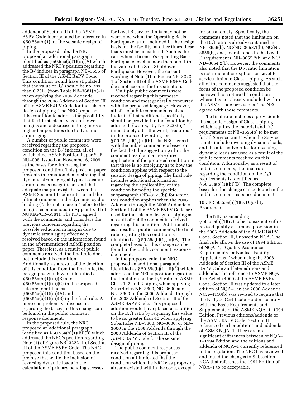addenda of Section III of the ASME B&PV Code incorporated by reference in § 50.55a(b)(1) for the seismic design of piping.

In the proposed rule, the NRC proposed an additional paragraph identified as § 50.55a(b)(1)(iii)(A) which addressed the NRC's position regarding the  $B_2$ ' indices in paragraph NB–3656 of Section III of the ASME B&PV Code. This condition would have stipulated that the value of  $B_2$ ' should be no less than  $0.75B_2$  (from Table NB-3681(A)-1) when applying the 2006 Addenda through the 2008 Addenda of Section III of the ASME B&PV Code for the seismic design of piping. The NRC proposed this condition to address the possibility that ferritic steels may exhibit lower margins and a decrease in toughness at higher temperatures due to dynamic strain aging.

A number of public comments were received regarding the proposed condition on the B<sub>2</sub>' indices, all of which cited ASME Position Paper STP– NU–008, issued on November 6, 2009, as the bases for eliminating the proposed condition. This position paper presents information demonstrating that dynamic strain aging at typical seismic strain rates is insignificant and that adequate margin exists between the ASME Section III code criteria and the ultimate moment under dynamic cyclic loading (''adequate margin'' refers to the margin recommended in Appendix III of NUREG/CR–5361). The NRC agreed with the comments, and considers the previous concerns regarding the possible reduction in margin due to dynamic strain aging effectively resolved based on the information found in the aforementioned ASME position paper. Therefore, as a result of public comments received, the final rule does not include this condition. Additionally, as a result of the deletion of this condition from the final rule, the paragraphs which were identified as  $\S 50.55a(b)(1)(iii)(B)$  and § 50.55a(b)(1)(iii)(C) in the proposed rule are identified as  $\S 50.55a(b)(1)(iii)(A)$  and  $\S 50.55a(b)(1)(iii)(B)$  in the final rule. A more comprehensive discussion regarding the bases for this change can be found in the public comment response document.

In the proposed rule, the NRC proposed an additional paragraph identified as § 50.55a(b)(1)(iii)(B) which addressed the NRC's position regarding Note (1) of Figure NB–3222–1 of Section III of the ASME B&PV Code. The NRC proposed this condition based on the premise that while the inclusion of reversing dynamic loads in the calculation of primary bending stresses

for Level B service limits may not be warranted when the Operating Basis Earthquake is not included in the design basis for the facility, at other times these loads must be considered. Such is the case when a licensee's Operating Basis Earthquake level is more than one-third the value of the Safe Shutdown Earthquake. However, the current wording of Note (1) in Figure NB–3222– 1 of Section III of the ASME B&PV Code does not account for this situation.

Multiple public comments were received regarding this proposed condition and most generally concurred with the proposed language. However, all of the public comments received indicated that additional specificity should be provided in the condition by adding the words, ''by NB–3223(b)'' immediately after the word, ''required'' in the proposed wording for § 50.55a(b)(1)(iii)(B). The NRC agreed with the public commenters based on the fact that the suggestion within the comment results in a more direct application of the proposed condition in that there is no ambiguity as to how the condition applies with respect to the seismic design of piping. The final rule includes additional information regarding the applicability of this condition by noting the specific subparagraph (NB–3223(b)) for which this condition applies when the 2006 Addenda through the 2008 Addenda of Section III of the ASME B&PV Code are used for the seismic design of piping as a result of public comments received regarding this condition. Additionally, as a result of public comments, the final rule regarding this condition is identified as  $\S 50.55a(b)(1)(iii)(A)$ . The complete bases for this change can be found in the public comment response document.

In the proposed rule, the NRC proposed an additional paragraph identified as  $\S 50.55a(b)(1)(iii)(C)$  which addressed the NRC's position regarding the limitation on the  $D_0/t$  ratio of ASME Class 1, 2 and 3 piping when applying Subarticles NB–3600, NC–3600 and ND–3600 in the 2006 Addenda through the 2008 Addenda of Section III of the ASME B&PV Code. This proposed addition would have placed a condition on the  $D_0/t$  ratio by requiring this value to be no greater than 40 when applying Subarticles NB–3600, NC–3600, or ND– 3600 in the 2006 Addenda through the 2008 Addenda of Section III of the ASME B&PV Code for the seismic design of piping.

The public comment responses received regarding this proposed condition all indicated that the condition which the NRC was proposing already existed within the code, except

for one anomaly. Specifically, the comments noted that the limitation on the  $D<sub>o</sub>/t$  ratio is already contained in NB–3656(b), NC/ND–3653.1(b), NC/ND– 3655(b), and, by reference to the Level D requirements, NB–3655.2(b) and NC/ ND–3654.2(b). However, the comments also noted that the  $D_0/t$  ratio limitation is not inherent or explicit for Level B service limits in Class 1 piping. As such, all of the comments suggested that the focus of the proposed condition be narrowed to capture the condition where it is not already included within the ASME Code provisions. The NRC agreed with these comments.

The final rule includes a provision for the seismic design of Class 1 piping which requires the material and  $D_0/t$ requirements of NB–3656(b) to be met for all Service Limits when the Service Limits include reversing dynamic loads, and the alternative rules for reversing dynamic loads are used as a result of the public comments received on this condition. Additionally, as a result of public comments, the final rule regarding the condition on the  $D_0/t$ requirements is identified as  $\S 50.55a(b)(1)(iii)(B)$ . The complete bases for this change can be found in the public comment response document.

#### 10 CFR 50.55a(b)(1)(iv) Quality Assurance

The NRC is amending § 50.55a(b)(1)(iv) to be consistent with a revised quality assurance provision in the 2006 Addenda of the ASME B&PV Code, Section III, Subsection NCA. The final rule allows the use of 1994 Edition of NQA–1, ''Quality Assurance Requirements for Nuclear Facility Applications,'' when using the 2006 Addenda of Section III of the ASME B&PV Code and later editions and addenda. The reference to ASME NQA– 1 in Article 4000 of the ASME B&PV Code, Section III was updated to a later edition of NQA–1 in the 2006 Addenda. NCA–4110(b) was revised to require that the N–Type Certificate Holders comply with the Basic Requirements and Supplements of the ASME NQA–1–1994 Edition. Previous editions/addenda of the ASME B&PV Code, Section III referenced earlier editions and addenda of ASME NQA–1. There are no significant differences between of NQA– 1–1994 Edition and the editions and addenda of NQA–1 currently referenced in the regulation. The NRC has reviewed and found the changes to Subsection NCA that reference the 1994 Edition of NQA–1 to be acceptable.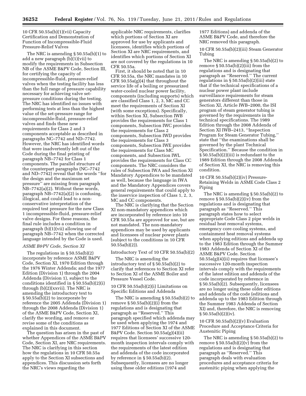10 CFR 50.55a(b)(1)(vii) Capacity Certification and Demonstration of Function of Incompressible-Fluid Pressure-Relief Valves

The NRC is amending § 50.55a(b)(1) to add a new paragraph (b)(1)(vii) to modify the requirements in Subsection NB of the ASME B&PV Code, Section III, for certifying the capacity of incompressible-fluid, pressure-relief valves when the testing facility has less than the full range of pressure capability necessary for achieving valve setpressure conditions during the testing. The NRC has identified no issues with performing tests at less than the highest value of the set-pressure range for incompressible-fluid, pressure-relief valves and finds these new requirements for Class 2 and 3 components acceptable as described in paragraphs NC–7742 and ND–7742. However, the NRC has identified words that were inadvertently left out of the Code during the final printing of paragraph NB–7742 for Class 1 components. The parallel structure of the counterpart paragraphs (NC–7742 and ND–7742) reveal that the words ''for the design and the maximum set pressure'' are missing from paragraph NB–7742(a)(2). Without these words, paragraph NB–7742(a)(2) is confusing, illogical, and could lead to a nonconservative interpretation of the required test pressure for the new Class 1 incompressible-fluid, pressure-relief valve designs. For these reasons, the final rule includes a condition in paragraph (b)(1)(vii) allowing use of paragraph NB–7742 when the corrected language intended by the Code is used.

#### *ASME B&PV Code, Section XI*

The regulations in § 50.55a(b)(2) incorporate by reference ASME B&PV Code, Section XI, 1970 Edition through the 1976 Winter Addenda; and the 1977 Edition (Division 1) through the 2004 Addenda (Division 1), subject to the conditions identified in § 50.55a(b)(2)(i) through (b)(2)(xxvii). The NRC is amending the introductory text to § 50.55a(b)(2) to incorporate by reference the 2005 Addenda (Division 1) through the 2008 Addenda (Division 1) of the ASME B&PV Code, Section XI, clarify the wording, and remove or revise some of the conditions as explained in this document.

The question has arisen in the past of whether Appendices of the ASME B&PV Code, Section XI, are NRC requirements. The NRC is clarifying in this section how the regulations in 10 CFR 50.55a apply to the Section XI subsections and appendices. This discussion sets forth the NRC's views regarding the

applicable NRC requirements, clarifies which portions of Section XI are approved for use by applicants and licensees, identifies which portions of Section XI are NRC requirements, and identifies which portions of Section XI are not covered by the regulations in 10 CFR 50.55a.

First, it should be noted that in 10 CFR 50.55a, the NRC mandates in 10 CFR 50.55a(g)(4) that throughout the service life of a boiling or pressurized water-cooled nuclear power facility, components (including supports) which are classified Class 1, 2, 3, MC and CC meet the requirements of Section XI (with some exceptions). Specifically, within Section XI, Subsection IWB provides the requirements for Class 1 components, Subsection IWC provides the requirements for Class 2 components, Subsection IWD provides the requirements for Class 3 components, Subsection IWE provides the requirements for Class MC components, and Subsection IWL provides the requirements for Class CC components. The NRC considers the rules of Subsection IWA and Section XI Mandatory Appendices to be mandated as well, because the language in IWA and the Mandatory Appendices covers general requirements that could apply to the inservice inspection of Class 1, 2, 3, MC and CC components.

The NRC is clarifying that the Section XI non-mandatory appendices which are incorporated by reference into 10 CFR 50.55a are approved for use, but are not mandated. The non-mandatory appendices may be used by applicants and licensees of nuclear power plants (subject to the conditions in 10 CFR 50.55a(b)(2)).

Introductory Text of 10 CFR 50.55a(b)(2)

The NRC is amending the introductory text of § 50.55a(b)(2) to clarify that references to Section XI refer to Section XI of the ASME Boiler and Pressure Vessel Code.

10 CFR 50.55a(b)(2)(i) Limitations on Specific Editions and Addenda

The NRC is amending § 50.55a(b)(2) to remove  $\S 50.55a(b)(2)(i)$  from the regulations and is designating that paragraph as ''Reserved.'' This paragraph specified which addenda may be used when applying the 1974 and 1977 Editions of Section XI of the ASME B&PV Code. Section 50.55a(g)(4)(ii) requires that licensees' successive 120 month inspection intervals comply with the requirements of the latest edition and addenda of the code incorporated by reference in § 50.55a(b)(2). Subsequently, licensees are no longer using these older editions (1974 and

1977 Editions) and addenda of the ASME B&PV Code, and therefore the NRC removed this paragraph.

10 CFR 50.55a(b)(2)(iii) Steam Generator Tubing

The NRC is amending § 50.55a(b)(2) to remove  $\S 50.55a(b)(2)(iii)$  from the regulations and is designating that paragraph as ''Reserved.'' The current regulations in § 50.55a(b)(2)(iii) state that if the technical specifications of a nuclear power plant include surveillance requirements for steam generators different than those in Section XI, Article IWB–2000, the ISI program of steam generator tubing is governed by the requirements in the technical specifications. The 1989 Edition through the 2008 Addenda of Section XI IWB–2413, ''Inspection Program for Steam Generator Tubing,'' state that ''the examinations shall be governed by the plant Technical Specification.'' Because the condition in § 50.55a(b)(2)(iii) is redundant to the 1989 Edition through the 2008 Addenda of Section XI, the NRC is removing this condition.

10 CFR 50.55a(b)(2)(iv) Pressure-Retaining Welds in ASME Code Class 2 Piping

The NRC is amending § 50.55a(b)(2) to remove  $\S 50.55a(b)(2)(iv)$  from the regulations and is designating that paragraph as ''Reserved.'' This paragraph states how to select appropriate Code Class 2 pipe welds in residual heat removal systems, emergency core cooling systems, and containment heat removal systems when applying editions and addenda up to the 1983 Edition through the Summer 1983 Addenda of Section XI of the ASME B&PV Code. Section 50.55a(g)(4)(ii) requires that licensee's successive 120-month inspection intervals comply with the requirements of the latest edition and addenda of the code incorporated by reference in § 50.55a(b)(2). Subsequently, licensees are no longer using these older editions and addenda of the code (editions and addenda up to the 1983 Edition through the Summer 1983 Addenda of Section XI) and, therefore, the NRC is removing  $§ 50.55a(b)(2)(iv).$ 

10 CFR 50.55a(b)(2)(v) Evaluation Procedure and Acceptance Criteria for Austenitic Piping

The NRC is amending § 50.55a(b)(2) to remove  $\S 50.55a(b)(2)(v)$  from the regulations and is designating that paragraph as ''Reserved.'' This paragraph deals with evaluation procedures and acceptance criteria for austenitic piping when applying the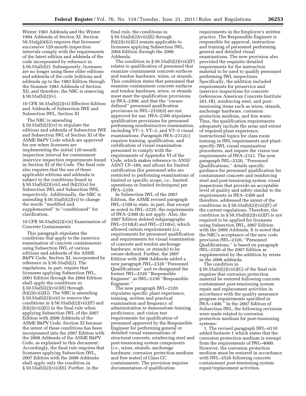Winter 1983 Addenda and the Winter 1984 Addenda of Section XI. Section 50.55a(g)(4)(ii) requires that licensees' successive 120-month inspection intervals comply with the requirements of the latest edition and addenda of the code incorporated by reference in § 50.55a(b)(2). Subsequently, licensees are no longer using these older editions and addenda of the code (editions and addenda up to the 1983 Edition through the Summer 1983 Addenda of Section XI), and therefore, the NRC is removing  $§ 50.55a(b)(2)(v).$ 

10 CFR 50.55a(b)(2)(vi) Effective Edition and Addenda of Subsection IWE and Subsection IWL, Section XI

The NRC is amending § 50.55a(b)(2)(vi) to stipulate the editions and addenda of Subsection IWE and Subsection IWL of Section XI of the ASME B&PV Code which are approved for use when licensees are implementing the initial 120-month inspection interval for containment inservice inspection requirements found in Section XI of the Code. The final rule also requires that the use of these applicable editions and addenda is subject to the conditions found in § 50.55a(b)(2)(viii) and (b)(2)(ix) for Subsection IWL and Subsection IWE, respectively. Additionally, the NRC is amending § 50.55a(b)(2)(vi) to change the words ''modified and supplemented'' to ''conditioned'' for clarification.

#### 10 CFR 50.55a(b)(2)(viii) Examination of Concrete Containments

This paragraph stipulates the conditions that apply to the inservice examination of concrete containments using Subsection IWL of various editions and addenda of the ASME B&PV Code, Section XI, incorporated by reference in § 50.55a(b)(2). The regulations, in part, require that licensees applying Subsection IWL, 2001 Edition through the 2004 Edition shall apply the conditions in § 50.55a(b)(2)(viii)(E) through (b)(2)(viii)(G). The NRC is amending § 50.55a(b)(2)(viii) to remove the conditions in  $\S 50.55a(b)(2)(viii)(F)$  and (b)(2)(viii)(G) in the final rule when applying Subsection IWL of the 2007 Edition with 2008 Addenda of the ASME B&PV Code, Section XI because the intent of these conditions has been incorporated into the 2007 Edition with the 2008 Addenda of the ASME B&PV Code, as explained in this document. Accordingly, the final rule requires that licensees applying Subsection IWL, 2007 Edition with the 2008 Addenda shall apply only the condition in  $§ 50.55a(b)(2)(viii)(E)$ . Further, in the

final rule, the conditions in  $\S 50.55a(b)(2)(viii)(E)$  through (b)(2)(viii)(G) remain applicable to licensees applying Subsection IWL, 2004 Edition through the 2006 Addenda.

The condition in § 50.55a(b)(2)(viii)(F) relates to qualification of personnel that examine containment concrete surfaces and tendon hardware, wires, or strands. This condition states that personnel that examine containment concrete surfaces and tendon hardware, wires, or strands must meet the qualification provisions in IWA–2300, and that the ''ownerdefined'' personnel qualification provisions in IWL–2310(d) are not approved for use. IWA–2300 stipulates qualification provisions for personnel performing nondestructive examination, including VT–1, VT–2, and VT–3 visual examinations. Paragraph IWA–2312(c) requires training, qualification, and certification of visual examination personnel to comply with the requirements of Appendix VI of the Code, which makes reference to ANSI/ ASNT CP–189, and allows for limited certification (for personnel who are restricted to performing examinations of limited or specific scope, *i.e.,* limited operations or limited techniques) per IWA–2350.

In Subsection IWL of the 2007 Edition, the ASME revised paragraph IWL–2100 to state, in part, that except as noted in IWL–2320, the requirements of IWA–2300 do not apply. Also, the 2007 Edition deleted subparagraphs IWL–2310(d) and IWL–2310(e), which allowed certain requirements (*i.e.,*  requirements for personnel qualification and requirements for visual examination of concrete and tendon anchorage hardware, wires, or strands) to be owner-defined. Further, the 2007 Edition with 2008 Addenda added a new paragraph IWL–2320 ''Personnel Qualifications'' and re-designated the former IWL–2320 ''Responsible Engineer'' as IWL–2330 ''Responsible Engineer.''

The new paragraph IWL–2320 stipulates specific plant experience, training, written and practical examination and frequency of administration to demonstrate training proficiency, and vision test requirements for qualification of personnel approved by the Responsible Engineer for performing general or detailed visual examinations of structural concrete, reinforcing steel and post-tensioning system components (*i.e.,* wires, strands, anchorage hardware, corrosion protection medium and free water) of Class CC containments. The provision requires documentation of qualification

requirements in the Employer's written practice. The Responsible Engineer is responsible for approval, instruction and training of personnel performing general and detailed visual examinations. The new provision also provided the requisite detailed requirements for the instruction material to be used to qualify personnel performing IWL inspections. Specifically, the addition included requirements for preservice and inservice inspections for concrete (references American Concrete Institute 201.1R), reinforcing steel, and posttensioning items such as wires, strands, anchorage hardware, corrosion protection medium, and free water. Thus, the qualification requirements adequately include the areas and extent of required plant experience, instructional topics for class room training in IWL requirements and plantspecific IWL visual examination procedures, and require the vision test requirements of IWA–2321. The new paragraph IWL–2320, ''Personnel Qualifications,'' details specific guidance for personnel qualification for containment concrete and reinforcing steel and post-tensioning system visual inspections that provide an acceptable level of quality and safety similar to the requirements in IWA–2300 and therefore, addressed the intent of the conditions in  $\S 50.55a(b)(2)(viii)(F)$  of the current regulations. Therefore, the condition in  $\S 50.55a(b)(2)(viii)(F)$  is not required to be applied for licensees using Subsection IWL, 2007 Edition with the 2008 Addenda. It is noted that the NRC's acceptance of the new code provision IWL–2320, ''Personnel Qualifications,'' is based on paragraph IWL–2320 of the 2007 Edition as supplemented by the addition by errata in the 2008 addenda. The condition in

§ 50.55a(b)(2)(viii)(G) of the final rule requires that corrosion protection material be restored following concrete containment post-tensioning system repair and replacement activities in accordance with the quality assurance program requirements specified in IWA–1400.'' In the 2007 Edition of Subsection IWL, the following revisions were made related to corrosion protection medium for post-tensioning systems:

1. The revised paragraph IWL–4110 added footnote 1 which states that the corrosion protection medium is exempt from the requirements of IWL–4000. However, the corrosion protection medium must be restored in accordance with IWL–2526 following concrete containment post-tensioning system repair/replacement activities.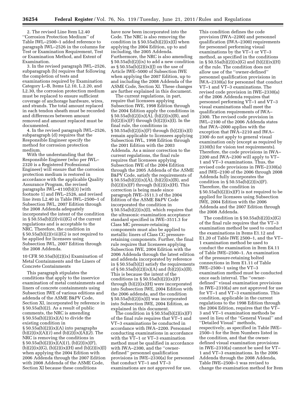2. The revised Line Item L2.40 ''Corrosion Protection Medium'' of Table IWL–2500–1 added reference to paragraph IWL–2526 in the columns for Test or Examination Requirement, Test or Examination Method, and Extent of Examination.

3. In the revised paragraph IWL–2526, subparagraph (b) requires that following the completion of tests and examinations required by Examination Category L–B, Items L2.10, L.2.20, and L2.30, the corrosion protection medium must be replaced to ensure sufficient coverage of anchorage hardware, wires, and strands. The total amount replaced in each tendon sheath must be recorded and differences between amount removed and amount replaced must be documented.

4. In the revised paragraph IWL–2526, subparagraph (d) requires that the Responsible Engineer specify the method for corrosion protection medium.

With the understanding that the Responsible Engineer (who per IWL– 2320 is a Registered Professional Engineer) will ensure that the corrosion protection medium is restored in accordance with the applicable Quality Assurance Program, the revised paragraphs IWL–4110(b)(3) [with footnote 1] and IWL–2526, and revised line item L2.40 in Table IWL–2500–1 of Subsection IWL, 2007 Edition through the 2008 Addenda adequately incorporated the intent of the condition in  $\S 50.55a(b)(2)(viii)(G)$  of the current regulations and is acceptable to the NRC. Therefore, the condition in § 50.55a(b)(2)(viii)(G) is not required to be applied for licensees using Subsection IWL, 2007 Edition through the 2008 Addenda.

10 CFR 50.55a(b)(2)(ix) Examination of Metal Containments and the Liners of Concrete Containments

This paragraph stipulates the conditions that apply to the inservice examination of metal containments and liners of concrete containments using Subsection IWE of various editions and addenda of the ASME B&PV Code, Section XI, incorporated by reference in § 50.55a(b)(2). As a result of public comments, the NRC is amending  $\S 50.55a(b)(2)(ix)(A)$  to divide the existing condition in § 50.55a(b)(2)(ix)(A) into paragraphs (b)(2)(ix)(A)(*1*) and (b)(2)(ix)(A)(*2*). The NRC is removing the conditions in § 50.55a(b)(2)(ix)(A)(*1*), (b)(2)(ix)(F),  $(b)(2)(ix)(G), (b)(2)(ix)(H)$  and  $(b)(2)(ix)(I)$ when applying the 2004 Edition with 2006 Addenda through the 2007 Edition with 2008 Addenda of the ASME Code, Section XI because these conditions

have now been incorporated into the Code. The NRC is also removing the condition in  $\S 50.55a(b)(2)(ix)(I)$  when applying the 2004 Edition, up to and including, the 2005 Addenda. Furthermore, the NRC is also amending § 50.55a(b)(2)(ix) to add a new condition as  $\S 50.55a(b)(2)(ix)(j)$  on the use of Article IWE–5000 of Subsection IWE when applying the 2007 Edition, up to and including the 2008 Addenda of the ASME Code, Section XI. These changes are further explained in this document.

The current regulations, in part, require that licensees applying Subsection IWE, 1998 Edition through the 2004 Edition apply the conditions in  $\S 50.55a(b)(2)(ix)(A), (b)(2)(ix)(B), and$  $(b)(2)(ix)(F)$  through  $(b)(2)(ix)(I)$ . In the final rule, the conditions in  $\S 50.55a(b)(2)(ix)(F)$  through  $(b)(2)(ix)(I)$ remain applicable to licensees applying Subsection IWL, 1998 Edition through the 2001 Edition with the 2003 Addenda. As a minor correction to the current regulations, the final rule requires that licensees applying Subsection IWE of the 2004 Edition through the 2005 Addenda of the ASME B&PV Code, satisfy the requirements of  $\S 50.55a(b)(2)(ix)(A), (b)(2)(ix)(B), and$  $(b)(2)(ix)(F)$  through  $(b)(2)(ix)(H)$ . This correction is being made since paragraph IWE–3511.3 of the 2004 Edition of the ASME B&PV Code incorporated the condition in § 50.55a(b)(2)(ix)(I), which requires that the ultrasonic examination acceptance standard specified in IWE–3511.3 for Class MC pressure-retaining components must also be applied to metallic liners of Class CC pressureretaining components. Further, the final rule requires that licensees applying Subsection IWE, 2004 Edition with the 2006 Addenda through the latest edition and addenda incorporated by reference in § 50.55a(b)(2) satisfy the requirements of  $\S 50.55a(b)(2)(ix)(A)$  and  $(b)(2)(ix)(B)$ . This is because the intent of the conditions in  $\S 50.55a(b)(2)(ix)(F)$ through (b)(2)(ix)(H) were incorporated into Subsection IWE, 2004 Edition with the 2006 addenda, and the condition § 50.55a(b)(2)(ix)(I) was incorporated into Subsection IWE, 2004 Edition, as explained in this document.

The condition in § 50.55a(b)(2)(ix)(F) of the final rule requires that VT–1 and VT–3 examinations be conducted in accordance with IWA–2200. Personnel conducting examinations in accordance with the VT–1 or VT–3 examination method must be qualified in accordance with IWA–2300, and the "ownerdefined'' personnel qualification provisions in IWE–2330(a) for personnel that conduct VT–1 and VT–3 examinations are not approved for use.

This condition defines the code provision (IWA–2200) and personnel qualification (IWA–2300) requirements for personnel performing visual examinations by the VT–1 or VT–3 method, as specified in the conditions in § 50.55a(b)(2)(ix)(G) and (b)(2)(ix)(H) of the rule. The condition does not allow use of the ''owner-defined'' personnel qualification provisions in IWA–2330(a) for personnel that conduct VT–1 and VT–3 examinations. The revised code provision in IWE–2330(a) of the 2006 Addenda requires that personnel performing VT–1 and VT–3 visual examinations shall meet the qualification requirements of IWA– 2300. The revised code provision in IWL–2100 of the 2006 Addenda states that IWA–2000 applies with the exception that IWA–2210 and IWA– 2300 do not apply to general visual examination only (except as required by 2330(b) for vision test requirements). Therefore, the code provisions in IWA– 2200 and IWA–2300 will apply to VT– 1 and VT–3 examinations. Thus, the revised code provisions in IWE–2330(a) and IWE–2100 of the 2006 through 2008 Addenda fully incorporates the condition in  $\S 50.55a(b)(2)(ix)(F)$ . Therefore, the condition in  $\S 50.55a(b)(2)(ix)(F)$  is not required to be applied for licensees using Subsection IWE, 2004 Edition with the 2006 Addenda and the 2007 Edition through the 2008 Addenda.

The condition in  $\S 50.55a(b)(2)(ix)(G)$ of the final rule requires that the VT–3 examination method be used to conduct the examinations in Items E1.12 and E1.20 of Table IWE 2500–1, and the VT– 1 examination method be used to conduct the examination in Item E4.11 of Table IWE–2500–1. An examination of the pressure-retaining bolted connections in Item E1.11 of Table IWE–2500–1 using the VT–3 examination method must be conducted once each interval. The ''ownerdefined'' visual examination provisions in IWE–2310(a) are not approved for use for VT–1 and VT–3 examinations. This condition, applicable in the current regulations to the 1998 Edition through the 2004 Edition, requires that the VT– 3 and VT–1 examination methods be used in lieu of the ''General Visual'' and ''Detailed Visual'' methods, respectively, as specified in Table IWE– 2500–1 for the Item Numbers listed in the condition, and that the ownerdefined visual examination provisions in IWE–2310(a) cannot be used for VT– 1 and VT–3 examinations. In the 2006 Addenda through the 2008 Addenda, Table IWE–2500–1 was revised to change the examination method for Item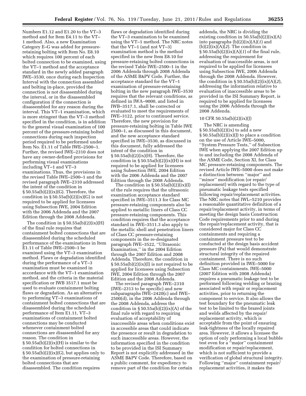Numbers E1.12 and E1.20 to the VT–3 method and for Item E4.11 to the VT– 1 method. Also, a new Examination Category E–G was added for pressureretaining bolting with Item No. E8.10 which requires 100 percent of each bolted connection to be examined, using the VT–1 method and the acceptance standard in the newly added paragraph IWE–3530, once during each Inspection Interval with the connection assembled and bolting in-place, provided the connection is not disassembled during the interval, or in the disassembled configuration if the connection is disassembled for any reason during the interval. This VT–1 examination, which is more stringent than the VT–3 method specified in the condition, is in addition to the general visual examination of 100 percent of the pressure-retaining bolted connections during each inspection period required to be performed under Item No. E1.11 of Table IWE–2500–1. Further, the revised IWE–2310 does not have any owner-defined provisions for performing visual examinations including VT–1 and VT–3 examinations. Thus, the provisions in the revised Table IWE–2500–1 and the revised paragraph IWE–2310 addressed the intent of the condition in  $\S 50.55a(b)(2)(ix)(G)$ . Therefore, the condition in  $\S 50.55a(b)(2)(ix)(G)$  is not required to be applied for licensees using Subsection IWE, 2004 Edition with the 2006 Addenda and the 2007 Edition through the 2008 Addenda.

The condition in  $\S 50.55a(b)(2)(ix)(H)$ of the final rule requires that containment bolted connections that are disassembled during the scheduled performance of the examinations in Item E1.11 of Table IWE–2500–1 be examined using the VT–3 examination method. Flaws or degradation identified during the performance of a VT–3 examination must be examined in accordance with the VT–1 examination method, and the criteria in the material specification or IWB 3517.1 must be used to evaluate containment bolting flaws or degradation. As an alternative to performing VT–3 examinations of containment bolted connections that are disassembled during the scheduled performance of Item E1.11, VT–3 examinations of containment bolted connections may be conducted whenever containment bolted connections are disassembled for any reason. The condition in  $\S 50.55a(b)(2)(ix)(H)$  is similar to the condition for bolted connections in  $\S 50.55a(b)(2)(ix)(G)$ , but applies only to the examination of pressure-retaining bolted connections that are disassembled. The condition requires

flaws or degradation identified during the VT–3 examination to be examined using the VT–1 method. The NRC notes that the VT–1 (and not VT–3) examination method is the method specified in the new Item E8.10 for pressure-retaining bolted connections in the revised Table IWE–2500–1 in the 2006 Addenda through 2008 Addenda of the ASME B&PV Code. Further, the acceptance standard for the VT–1 examination of pressure-retaining bolting in the new paragraph IWE–3530 requires that the relevant conditions, as defined in IWA–9000, and listed in IWB–3517.1, shall be corrected or evaluated to meet the requirements of IWE–3122, prior to continued service. Therefore, the new provision for pressure-retaining bolting in Table IWE 2500–1, as discussed in this document, and the new acceptance standard specified in IWE–3530, as discussed in this document, fully addressed the intent of the condition in  $\S 50.55a(b)(2)(ix)(H)$ . Therefore, the condition in  $\S 50.55a(b)(2)(ix)(H)$  is not required to be applied for licensees using Subsection IWE, 2004 Edition with the 2006 Addenda and the 2007 Edition through the 2008 Addenda.

The condition in  $\S 50.55a(b)(2)(ix)(I)$ of the rule requires that the ultrasonic examination acceptance standard specified in IWE–3511.3 for Class MC pressure-retaining components also be applied to metallic liners of Class CC pressure-retaining components. This condition requires that the acceptance standard in IWE–3511.3 also apply to the metallic shell and penetration liners of Class CC pressure-retaining components in the re-designated paragraph IWE–3522, ''Ultrasonic Examination,'' in the 2004 Edition through the 2007 Edition and 2008 Addenda. Therefore, the condition in § 50.55a(b)(2)(ix)(I) is not required to be applied for licensees using Subsection IWE, 2004 Edition through the 2007 Edition and the 2008 Addenda.

The revised paragraph IWE–2310 (IWE–2313 to be specific) and new subparagraphs IWE–2420(c) and IWE– 2500(d), in the 2006 Addenda through the 2008 Addenda, address the condition in  $\S 50.55a(b)(2)(ix)(A)$  of the final rule with regard to requiring evaluation of acceptability of inaccessible areas when conditions exist in accessible areas that could indicate the presence or result in degradation to such inaccessible areas. However, the information specified in the condition to be provided in the ISI Summary Report is not explicitly addressed in the ASME B&PV Code. Therefore, based on a public comment, for expediency to remove part of the condition for certain

addenda, the NRC is dividing the existing condition in 50.55a(b)(2)(ix)(A) into paragraphs (b)(2)(ix)(A)(*1*) and (b)(2)(ix)(A)(*2*). The condition in § 50.55a(b)(2)(ix)(A)(*1*) of the final rule, addressing the requirement for evaluation of inaccessible areas, is not required to be applied for licensees using Subsection IWE, 2006 Addenda through the 2008 Addenda. However, the condition in § 50.55a(b)(2)(ix)(A)(*2*), addressing the information relative to evaluation of inaccessible areas to be provided in the ISI Summary Report, is required to be applied for licensees using the 2006 Addenda through the 2008 Addenda.

#### 10 CFR 50.55a(b)(2)(ix)(J)

The NRC is amending § 50.55a(b)(2)(ix) to add a new § 50.55a(b)(2)(ix)(J) to place a condition on the use of Article IWE–5000, ''System Pressure Tests,'' of Subsection IWE when applying the 2007 Edition up to and including the 2008 Addenda of the ASME Code, Section XI, for Class MC pressure-retaining components. The revised Article IWE–5000 does not make a distinction between ''major'' and ''minor'' modification (or repair/ replacement) with regard to the type of pneumatic leakage tests specified following repair/replacement activities. The NRC notes that IWL–5210 provides a reasonable quantitative definition of a repair/replacement activity, in terms of meeting the design basis Construction Code requirements prior to and during the repair/replacement activity, that is considered major for Class CC containments and requiring a containment pressure test to be conducted at the design basis accident pressure (Pa) that would demonstrate structural integrity of the repaired containment. There is no such definition provided in IWE–5000 for Class MC containments. IWE–5000 (2007 Edition with 2008 Addenda) requires a pneumatic leakage test to be performed following welding or brazing associated with repair or replacement activities, prior to returning the component to service. It also allows the test boundary for the pneumatic leak test to be limited to the brazed joints and welds affected by the repair/ replacement activity, which is acceptable from the point of ensuring leak-tightness of the locally repaired area. However, it allows a licensee the option of only performing a local bubble test even for a ''major'' containment modification or repair/replacement, which is not sufficient to provide a verification of global structural integrity. Following ''major'' containment repair/ replacement activities, it makes the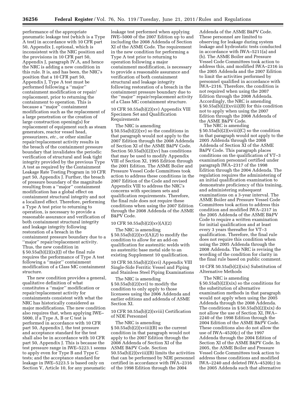performance of the appropriate pneumatic leakage test (which is a Type A test) in accordance with 10 CFR part 50, Appendix J, optional, which is inconsistent with the NRC position and the provisions in 10 CFR part 50, Appendix J, paragraph IV.A, and hence the NRC is adding a new condition in this rule. It is, and has been, the NRC's position that a 10 CFR part 50, Appendix J, Type A test must be performed following a ''major'' containment modification or repair/ replacement, prior to returning the containment to operation. This is because a ''major'' containment modification such as the replacement of a large penetration or the creation of large construction opening(s) for replacement of equipment such as steam generators, reactor vessel head, pressurizers, *etc.,* or other similar repair/replacement activity results in the breach of the containment pressure boundary that invalidates the periodic verification of structural and leak tight integrity provided by the previous Type A test as required by the Containment Leakage Rate Testing Program in 10 CFR part 50, Appendix J. Further, the breach of pressure boundary of the magnitude resulting from a ''major'' containment modification has a global effect on containment structural integrity and not a localized effect. Therefore, performing a Type A test prior to returning to operation, is necessary to provide a reasonable assurance and verification of both containment structural integrity and leakage integrity following restoration of a breach in the containment pressure boundary due to a ''major'' repair/replacement activity. Thus, the new condition in  $\S 50.55a(b)(2)(ix)(j)$  of the final rule requires the performance of Type A test following a ''major'' containment modification of a Class MC containment structure.

The new condition provides a general, qualitative definition of what constitutes a ''major'' modification or repair/replacement activity for containments consistent with what the NRC has historically considered as major modifications. The new condition also requires that, when applying IWE– 5000, if a Type A, B or C test is performed in accordance with 10 CFR part 50, Appendix J, the test pressure and acceptance standard for the test shall also be in accordance with 10 CFR part 50, Appendix J. This is because the test pressure range in IWE–5223.1 seems to apply even for Type B and Type C tests; and the acceptance standard for leakage in IWE–5223.5 is based only on Section V, Article 10, for any pneumatic

leakage test performed when applying IWE–5000 of the 2007 Edition up to and including the 2008 Addenda of Section XI of the ASME Code. The requirement in the new condition for performing a Type A test prior to returning to operation following a major containment modification, is necessary to provide a reasonable assurance and verification of both containment structural and leakage integrity following restoration of a breach in the containment pressure boundary due to the ''major'' repair/replacement activity of a Class MC containment structure.

#### 10 CFR 50.55a(b)(2)(xv) Appendix VIII Specimen Set and Qualification Requirements

The NRC is amending § 50.55a(b)(2)(xv) so the conditions in that paragraph would not apply to the 2007 Edition through the 2008 Addenda of Section XI of the ASME B&PV Code. Section 50.55a(b)(2)(xv) has conditions that may be used to modify Appendix VIII of Section XI, 1995 Edition through the 2001 Edition. The ASME Boiler and Pressure Vessel Code Committees took action to address these conditions in the 2007 Edition of the Code and revised Appendix VIII to address the NRC's concerns with specimen sets and qualification requirements. Therefore, the final rule does not require these conditions when using the 2007 Edition through the 2008 Addenda of the ASME B&PV Code.

#### 10 CFR 50.55a(b)(2)(xv)(A)(2)

The NRC is amending § 50.55a(b)(2)(xv)(A)(*2*) to modify the condition to allow for an add-on qualification for austenitic welds with no austenitic base metal side to an existing Supplement 10 qualification.

10 CFR 50.55a(b)(2)(xvi) Appendix VIII Single-Side Ferritic Vessel and Piping and Stainless Steel Piping Examinations

The NRC is amending § 50.55a(b)(2)(xvi) to modify the condition to only apply to those licensees using the 2006 Addenda and earlier editions and addenda of ASME Section XI.

10 CFR 50.55a(b)(2)(xviii) Certification of NDE Personnel

The NRC is amending  $\S 50.55a(b)(2)(xviii)(B)$  so the current condition in that paragraph would not apply to the 2007 Edition through the 2008 Addenda of Section XI of the ASME B&PV Code. Section 50.55a(b)(2)(xviii)(B) limits the activities that can be performed by NDE personnel certified in accordance with IWA–2316 of the 1998 Edition through the 2004

Addenda of the ASME B&PV Code. These personnel are limited to observing for leakage during system leakage and hydrostatic tests conducted in accordance with IWA–5211(a) and (b). The ASME Boiler and Pressure Vessel Code Committees took action to address this, and modified IWA–2316 in the 2005 Addenda and the 2007 Edition to limit the activities performed by personnel qualified in accordance with IWA–2316. Therefore, the condition is not required when using the 2007 Edition through the 2008 Addenda. Accordingly, the NRC is amending § 50.55a(b)(2)(xviii)(B) for this condition not to apply when using the 2007 Edition through the 2008 Addenda of the ASME B&PV Code.

The NRC is amending § 50.55a(b)(2)(xviii)(C) so the condition in that paragraph would not apply to the 2005 Addenda through the 2008 Addenda of Section XI of the ASME B&PV Code. This paragraph places conditions on the qualification of VT–3 examination personnel certified under paragraph IWA–2317 of the 1998 Edition through the 2004 Addenda. The regulation requires the administering of an initial qualification examination to demonstrate proficiency of this training, and administering subsequent examinations on a 3-year interval. The ASME Boiler and Pressure Vessel Code Committees took action to address this condition and modified IWA–2317 in the 2005 Addenda of the ASME B&PV Code to require a written examination for initial qualification and at least every 3 years thereafter for VT–3 qualification. Therefore, the final rule does not require this condition when using the 2005 Addenda through the 2008 Addenda. The NRC is revising the wording of the condition for clarity in the final rule based on public comment.

#### 10 CFR 50.55a(b)(2)(xix) Substitution of Alternative Methods

The NRC is amending § 50.55a(b)(2)(xix) so the conditions for the substitution of alternative examination methods in that paragraph would not apply when using the 2005 Addenda through the 2008 Addenda. The conditions in  $\S 50.55a(b)(2)(xix)$  do not allow the use of Section XI, IWA– 2240 of the 1998 Edition through the 2004 Edition of the ASME B&PV Code. These conditions also do not allow the use of IWA–4520(c) of the 1997 Addenda through the 2004 Edition of Section XI of the ASME B&PV Code. In 2005, the ASME Boiler and Pressure Vessel Code Committees took action to address these conditions and modified IWA–2240 and deleted IWA–4520(c) in the 2005 Addenda such that alternative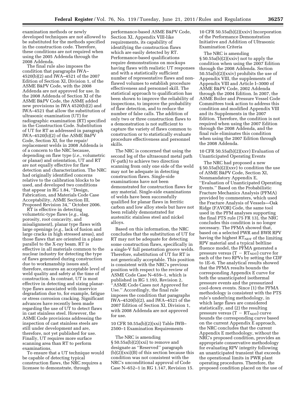examination methods or newly developed techniques are not allowed to be substituted for the methods specified in the construction code. Therefore, these conditions are not required when using the 2005 Addenda through the 2008 Addenda.

The final rule also imposes the condition that paragraphs IWA– 4520(b)(2) and IWA–4521 of the 2007 Edition of Section XI, Division 1, of the ASME B&PV Code, with the 2008 Addenda are not approved for use. In the 2008 Addenda of Section XI of the ASME B&PV Code, the ASME added new provisions in IWA 4520(b)(2) and IWA–4521 that allow the substitution of ultrasonic examination (UT) for radiographic examination (RT) specified in the Construction Code. Substitution of UT for RT as addressed in paragraph IWA–4520(b)(2) of the ASME B&PV Code, Section XI, for the repair/ replacement welds in 2008 Addenda is of a concern to the NRC because, depending on flaw type (*i.e.,* volumetric or planar) and orientation, UT and RT are not equally effective for flaw detection and characterization. The NRC had originally identified concerns relative to the calibration blocks to be used, and developed two conditions that appear in RG 1.84, ''Design, Fabrication, and Materials Code Case Acceptability, ASME Section III, Proposed Revision 34,'' October 2006.

RT is effective in detecting volumetric-type flaws (*e.g.,* slag, porosity, root concavity, and misalignment), planar type flaws with large openings (*e.g.,* lack of fusion and large cracks in high stressed areas), and those flaws that are oriented in a plane parallel to the X-ray beam. RT is effective in all materials common to the nuclear industry for detecting the type of flaws generated during construction due to workmanship issues and, therefore, ensures an acceptable level of weld quality and safety at the time of construction. In contrast, UT is most effective in detecting and sizing planartype flaws associated with inservice degradation due to, for example, fatigue or stress corrosion cracking. Significant advances have recently been made regarding the use of UT to detect flaws in cast stainless steel. However, the ASME Code provisions addressing the inspection of cast stainless steels are still under development and are, therefore, not yet published for use. Finally, UT requires more surface scanning area than RT to perform examinations.

To ensure that a UT technique would be capable of detecting typical construction flaws, the NRC requires a licensee to demonstrate, through

performance-based ASME B&PV Code, Section XI, Appendix VIII-like requirements, its capability of identifying the construction flaws which are easily detected by RT. Performance-based qualifications require demonstrations on mockups having flaws with realistic UT responses and with a statistically sufficient number of representative flaws and nonflawed volumes to establish procedure effectiveness and personnel skill. The statistical approach to qualification has been shown to improve the reliability of inspections, to improve the probability of flaw detection, and to reduce the number of false calls. The addition of only two or three construction flaws to a demonstration is not sufficient to capture the variety of flaws common to construction or to statistically evaluate procedure effectiveness and personnel skills.

The NRC is concerned that using the second leg of the ultrasound metal path (V-path) to achieve two direction scanning from only one side of the weld may not be adequate in detecting construction flaws. Single-side examinations have not been demonstrated for construction flaws for any material. Single-side examinations of welds have been successfully qualified for planar flaws in ferritic carbon and low alloy steels but have not been reliably demonstrated for austenitic stainless steel and nickel alloys.

Based on this information, the NRC concludes that the substitution of UT for RT may not be adequate for detecting some construction flaws, specifically in a single-V full penetration groove welds. Therefore, substitution of UT for RT is not generically acceptable. This position is consistent with the NRC's previous position with respect to the review of ASME Code Case N–659–1, which is published in RG 1.193, Revision 2, 'ASME Code Cases not Approved for Use.'' Accordingly, the final rule imposes the condition that paragraphs IWA–4520(b)(2), and IWA–4521 of the 2007 Edition of Section XI, Division 1, with 2008 Addenda are not approved for use.

#### 10 CFR 50.55a(b)(2)(xxi) Table IWB– 2500–1 Examination Requirements

The NRC is amending § 50.55a(b)(2)(xxi) to remove and designate as ''Reserved'' paragraph  $(b)(2)(xxi)(B)$  of this section because this condition was not consistent with the NRC's unconditional approval of Code Case N–652–1 in RG 1.147, Revision 15.

10 CFR 50.55a(b)(2)(xxiv) Incorporation of the Performance Demonstration Initiative and Addition of Ultrasonic Examination Criteria

The NRC is amending § 50.55a(b)(2)(xxiv) not to apply the condition when using the 2007 Edition through the 2008 Addenda. Section 50.55a(b)(2)(xxiv) prohibits the use of Appendix VIII, the supplements of Appendix VIII and Article I–3000 of ASME B&PV Code, 2002 Addenda through the 2004 Edition. In 2007, the ASME Boiler and Pressure Vessel Code Committees took action to address this condition and modified Appendix VIII and its Supplements in the 2007 Edition. Therefore, the condition is not required when using the 2007 Edition through the 2008 Addenda, and the final rule eliminates this condition when using the 2007 Edition through the 2008 Addenda.

10 CFR 50.55a(b) $(2)(xxx)$  Evaluation of Unanticipated Operating Events

The NRC had proposed a new § 50.55a(b)(2)(xxv) to condition the use of ASME B&PV Code, Section XI, Nonmandatory Appendix E, ''Evaluation of Unanticipated Operating Events.'' Based on the Probabilistic Fracture Mechanics Analysis (PFMA) provided by commenters, which used the Fracture Analysis of Vessels—Oak Ridge (FAVOR) Code, the same tool used in the PFM analyses supporting the final PTS rule (75 FR 13), the NRC concludes this condition is no longer necessary. The PFMA showed that, based on a selected PWR and BWR RPV having the highest  $RT<sub>NDT</sub>$  of the limiting RPV material and a typical beltline fluence model, the PFMA generated a pressure versus  $(T - RT<sub>NDT</sub>)$  curve for each of the two RPVs by setting the CDF to 1E–6. The analytical results showed that the PFMA results bounds the corresponding Appendix E curve for both the unanticipated isothermal pressure events and the pressurized cool-down events. Since (1) the PFMA methodology is consistent with the PTS rule's underlying methodology, in which large flaws are considered statistically, and (2) the resulting pressure versus  $(T - RT<sub>NDT</sub>)$  curve bounds the corresponding curve based on the current Appendix E approach, the NRC concludes that the current Appendix E methodology, without the NRC's proposed condition, provides an appropriate conservative methodology for evaluating RPV integrity following an unanticipated transient that exceeds the operational limits in PWR plant operating procedures. Therefore, the proposed condition placed on the use of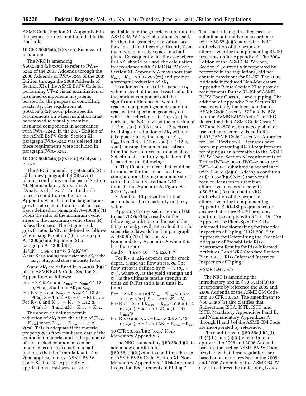ASME Code, Section XI, Appendix E in the proposed rule is not included in the final rule.

#### 10 CFR 50.55a(b)(2)(xxvii) Removal of Insulation

The NRC is amending  $\S 50.55a(b)(2)(xxvii)$  to refer to IWA-5242 of the 2003 Addenda through the 2006 Addenda or IWA–5241 of the 2007 Edition through the 2008 Addenda of Section XI of the ASME B&PV Code for performing VT–2 visual examination of insulated components in systems borated for the purpose of controlling reactivity. The regulations at § 50.55a(b)(2)(xxvii) place specific requirements on when insulation must be removed to visually examine insulated components in accordance with IWA–5242. In the 2007 Edition of the ASME B&PV Code, Section XI, paragraph IWA–5242 was deleted and these requirements were included in paragraph IWA–5241.

10 CFR 50.55a(b)(2)(xxviii) Analysis of Flaws

The NRC is amending § 50.55a(b)(2) to add a new paragraph (b)(2)(xxviii) placing conditions on the use of Section XI, Nonmandatory Appendix A, ''Analysis of Flaws.'' The final rule places a condition on the use of Appendix A related to the fatigue crack growth rate calculation for subsurface flaws defined in paragraph A–4300(b)(1) when the ratio of the minimum cyclic stress to the maximum cyclic stress (R) is less than zero. The fatigue crack growth rate, da/dN, is defined as follows when using Equation (1) in paragraph A–4300(a) and Equation (2) in paragraph  $A-4300(b)(1)$ :  $da/dN = 1.99 \times 10^{-10} S (\Delta K_I)^{3.07}$ 

Where S is a scaling parameter and  $\Delta K_I$  is the range of applied stress intensity factor.

S and  $\Delta K_I$  are defined in A–4300 (b)(1) of the ASME B&PV Code, Section XI, Appendix A as follows:

For  $-2 \leq R \leq 0$  and  $K_{\rm max}~-~K_{\rm min} \leq 1.12$  $\sigma_f \sqrt{\pi a}$ , S = 1 and  $\Delta K_I = K_{\text{max}}$ 

For  $R < -2$  and  $K_{\text{max}} - K_{\text{min}} \leq 1.12 \sigma_f$  $\sqrt{\pi a}$ , S = 1 and  $\Delta K_I = (1 - R) K_{max/3}$ 

For  $R<0$  and  $K_{\rm max}\,-\,K_{\rm min} > 1.12\ \sigma_{\rm f}$  $\sqrt{\pi a}$ , S = 1 and  $\Delta K_I = K_{max} - K_{min}$ 

The above guidelines permit reduction of  $\Delta K_I$  from the value of  $(K_{\text{max}})$  $-$  K<sub>min</sub>) when K<sub>max</sub>  $-$  K<sub>min</sub>  $\leq 1.12$   $\sigma_f$  $\sqrt{\pi}$ a). This is adequate if the material property  $\sigma_f$  is from test-based data of the component material and if the geometry of the cracked component can be modeled as an edge crack in a half plane, so that the formula  $K = 1.12 \sigma$ √(πa) applies. In most ASME B&PV Code, Section XI, Appendix A applications, test-based  $\sigma_f$  is not

available, and the generic value from the ASME B&PV Code tabulations is used. Further, the geometry of a subsurface flaw in a plate differs significantly from the model of an edge crack in a half plane. Consequently, for the case where full  $\Delta K_I$  should be used, the calculation in accordance with ASME B&PV Code, Section XI, Appendix A may show that  $K_{\text{max}}-K_{\text{min}} \leq 1.12 \sigma_f \sqrt{\pi a}$  and prompt a wrongful reduction of  $\Delta K_I$ .

To address the use of the generic  $\sigma_{\mathrm{f}}$ value instead of the test-based value for the cracked component and the significant difference between the cracked component geometry and the cracked test-specimen geometry on which the criterion of 1.12  $\sigma_f \sqrt{\pi a}$  is derived, the NRC revised the criterion of 1.12  $\sigma_f \sqrt{\pi}$  to 0.8 times 1.12  $\sigma_f \sqrt{\pi}$ a). By doing so, reduction of  $\Delta K_I$  will not take place during the range of  $K_{\text{max}}$ K<sub>min</sub> from 0.8 × 1.12  $\sigma_f$   $\sqrt{\pi}$ a) to 1.12  $\sigma_f$  $\sqrt{\pi}$ a), erasing the non-conservatism from the two sources mentioned above. Selection of a multiplying factor of 0.8 is based on the following:

• The 10 percent error that could be introduced for the subsurface flaw configurations having membrane stress correction factors less than 1.12 as indicated in Appendix A, Figure A– 3310–1; and

• Another 10-percent error that accounts for the uncertainty in the  $\sigma_f$ value.

Applying the revised criterion of 0.8 times 1.12  $\sigma_f \sqrt{\pi a}$ , results in the following condition on the use of the fatigue crack growth rate calculation for subsurface flaws defined in paragraph A–4300(b)(1) of Section XI, Nonmandatory Appendix A when R is less than zero:

da/dN =  $1.99 \times 10^{-10}$  S ( $\Delta K_I$ )<sup>3.07</sup>

For  $R < 0$ ,  $\Delta K_I$  depends on the crack depth, a, and the flow stress,  $\sigma_f$ . The flow stress is defined by  $\sigma_f = \frac{1}{2} (\sigma_{vs} +$  $\sigma_{ult}$ ), where  $\sigma_{vs}$  is the yield strength and  $\sigma_{ult}$  is the ultimate tensile strength in units ksi (MPa) and a is in units in. (mm).

- For  $-2 \le R \le 0$  and  $K_{\text{max}} K_{\text{min}} \le 0.8 \times$ 1.12  $\sigma_f \sqrt{\pi a}$ , S = 1 and  $\Delta K_I = K_{\text{max}}$
- For R <  $-2$  and K<sub>max</sub>  $-$  K<sub>min</sub>  $\leq 0.8 \times 1.12$  $\sigma_f \sqrt{\pi a}$ , S = 1 and  $\Delta K_I = (1 - R)$  $K_{\rm max}/3$

For  $R < 0$  and  $K_{\text{max}} - K_{\text{min}} > 0.8 \times 1.12$  $\sigma_f \sqrt{\pi a}$ , S = 1 and  $\Delta K_I = K_{max} - K_{min}$ 

10 CFR 50.55a(b)(2)(xxix) Non-Mandatory Appendix R

The NRC is amending § 50.55a(b)(2) to add a new condition in § 50.55a(b)(2)(xxix) to condition the use of ASME B&PV Code, Section XI, Non-Mandatory Appendix R, ''Risk-Informed Inspection Requirements of Piping.''

The final rule requires licensees to submit an alternative in accordance with  $\S 50.55a(a)(3)$  and obtain NRC authorization of the proposed alternative prior to implementing RI–ISI programs under Appendix R. The 2004 Edition of the ASME B&PV Code, Section XI, currently incorporated by reference in the regulations, did not contain provisions for RI–ISI. The 2005 Addenda introduced Non-Mandatory Appendix R into Section XI to provide requirements for the RI–ISI of ASME B&PV Code Class 1, 2 and 3 piping. The addition of Appendix R to Section XI was essentially the incorporation of ASME Code Cases N–577 and N–578 into the ASME B&PV Code. The NRC determined that ASME Code Cases N– 577 and N–578 were unacceptable for use and are currently listed in RG 1.193,''ASME Code Cases Not Approved for Use,'' Revision 2. Licensees have been implementing RI–ISI requirements for piping as an alternative to the ASME B&PV Code, Section XI requirements of Tables IWB–2500–1, IWC–2500–1 and IWD–2500–1 submitted in accordance with § 50.55a(a)(3). Adding a condition as  $\S 50.55a(b)(2)(xxv)$  that would require licensees to submit an alternative in accordance with § 50.55a(a)(3) and obtain NRC authorization of the proposed alternative prior to implementing Appendix R, RI–ISI programs would ensure that future RI–ISI programs continue to comply with RG 1.178, ''An Approach for Plant-Specific Risk-Informed Decisionmaking for Inservice Inspection of Piping,'' RG1.200, ''An Approach for Determining the Technical Adequacy of Probabilistic Risk Assessment Results for Risk-Informed Activities,'' and NRC Standard Review Plan 3.9.8, ''Risk-Informed Inservice Inspection of Piping.''

## *ASME OM Code*

The NRC is amending the introductory text in § 50.55a(b)(3) to incorporate by reference the 2005 and 2006 Addenda of the ASME OM Code into 10 CFR 50.55a. The amendment to § 50.55a(b)(3) also clarifies that Subsections ISTA, ISTB, ISTC, and ISTD, Mandatory Appendices I and II, and Nonmandatory Appendices A through H and J of the ASME OM Code are incorporated by reference.

The conditions in  $\S 50.55a(b)(3)(i)$ ,  $(b)(3)(ii)$ , and  $(b)(3)(iv)$  continue to apply to the 2005 and 2006 Addenda because the earlier ASME B&PV Code provisions that these regulations are based on were not revised in the 2005 and 2006 Addenda of the ASME B&PV Code to address the underlying issues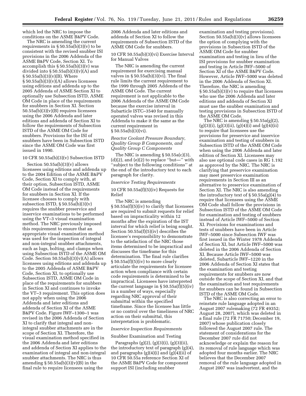which led the NRC to impose the conditions on the ASME B&PV Code.

The NRC is amending the current requirements in  $\S 50.55a(b)(3)(v)$  to be consistent with the revised snubber ISI provisions in the 2006 Addenda of the ASME B&PV Code, Section XI. To accomplish this  $\S 50.55a(b)(3)(v)$  was divided into  $\S 50.55a(b)(3)(v)(A)$  and  $§ 50.55a(b)(3)(v)(B)$ . Where  $\S 50.55a(b)(3)(v)(A)$  allows licensees using editions and addenda up to the 2005 Addenda of ASME Section XI to optionally use Subsection ISTD, ASME OM Code in place of the requirements for snubbers in Section XI. Section  $50.55a(b)(3)(v)(B)$  requires licensees using the 2006 Addenda and later editions and addenda of Section XI to follow the requirements of Subsection ISTD of the ASME OM Code for snubbers. Provisions for the ISI of snubbers have been in Subsection ISTD since the ASME OM Code was first issued in 1990.

## 10 CFR 50.55a(b)(3)(v) Subsection ISTD

Section  $50.55a(b)(3)(v)$  allows licensees using editions and addenda up to the 2004 Edition of the ASME B&PV Code, Section XI to comply with, at their option, Subsection ISTD, ASME OM Code instead of the requirements for snubbers in Section XI. If the licensee chooses to comply with subsection ISTD,  $\S 50.55a(b)(3)(v)$ requires the snubber preservice and inservice examinations to be performed using the VT–3 visual examination method. The NRC previously imposed this requirement to ensure that an appropriate visual examination method was used for the inspection of integral and non-integral snubber attachments, such as lugs, bolting, and clamps when using Subsection ISTD of the ASME OM Code. Section  $50.55a(b)(3)(v)(A)$  allows licensees using editions and addenda up to the 2005 Addenda of ASME B&PV Code, Section XI, to optionally use Subsection ISTD, ASME OM Code in place of the requirements for snubbers in Section XI and continues to invoke the VT–3 requirement. This option does not apply when using the 2006 Addenda and later editions and addenda of Section XI of the ASME B&PV Code. Figure IWF–1300–1 was revised in the 2006 Addenda of Section XI to clarify that integral and nonintegral snubber attachments are in the scope of Section XI. Therefore, the visual examination method specified in the 2006 Addenda and later editions and addenda of Section XI applies to the examination of integral and non-integral snubber attachments. The NRC is thus amending  $\S 50.55a(b)(3)(v)(B)$  in the final rule to require licensees using the

2006 Addenda and later editions and addenda of Section XI to follow the requirements of Subsection ISTD of the ASME OM Code for snubbers.

10 CFR 50.55a(b)(3)(vi) Exercise Interval for Manual Valves

The NRC is amending the current requirement for exercising manual valves in  $\S 50.55a(b)(3)(vi)$ . The final rule limits the current requirement to the 1999 through 2005 Addenda of the ASME OM Code. The current requirement is not applicable to the 2006 Addenda of the ASME OM Code because the exercise interval in Subarticle ISTC–3540 for manually operated valves was revised in this Addenda to make it the same as the current requirement in § 50.55a(b)(3)(vi).

#### *Reactor Coolant Pressure Boundary, Quality Group B Components, and Quality Group C Components*

The NRC is amending  $\S 50.55a(c)(3)$ ,  $(d)(2)$ , and  $(e)(2)$  to replace "but—" with ''subject to the following conditions'' at the end of the introductory text to each paragraph for clarity.

#### *Inservice Testing Requirements*

10 CFR  $50.55a(f)(5)(iv)$  Requests for Relief

The NRC is amending § 50.55a(f)(5)(iv) to clarify that licensees are required to submit requests for relief based on impracticality within 12 months after the expiration of the IST interval for which relief is being sought. Section 50.55a(f)(5)(iv) describes the licensee's responsibility to demonstrate to the satisfaction of the NRC those items determined to be impractical and discusses the timeframe for this determination. The final rule clarifies § 50.55a(f)(5)(iv) to more clearly articulate the requirements for licensee action when compliance with certain code requirements is determined to be impractical. Licensees have interpreted the current language in  $\S 50.55a(f)(5)(iv)$ in a number of ways, especially regarding NRC approval of their submittal within the specified timeframe. Since the licensee has little or no control over the timeliness of NRC action on their submittal, this interpretation is problematic.

#### *Inservice Inspection Requirements*

#### Snubber Examination and Testing

Paragraphs (g)(2), (g)(3)(i), (g)(3)(ii), the introductory text of paragraph (g)(4), and paragraphs  $(g)(4)(i)$  and  $(g)(4)(ii)$  of 10 CFR 50.55a reference Section XI of the ASME B&PV Code for component support ISI (including snubber

examination and testing provisions). Section 50.55a(b)(3)(v) allows licensees the option of complying with the provisions in Subsection ISTD of the ASME OM Code for snubber examination and testing in lieu of the ISI provisions for snubber examination and testing in Article IWF–5000 of Section XI of the ASME B&PV Code. However, Article IWF–5000 was deleted in the 2006 Addenda of Section XI. Therefore, the NRC is amending § 50.55a(b)(3)(v) to require that licensees who use the 2006 Addenda and later editions and addenda of Section XI must use the snubber examination and testing provisions in Subsection ISTD of the ASME OM Code.

The NRC is amending § 50.55a(g)(2),  $(g)(3)(i)$ ,  $(g)(3)(ii)$ ,  $(g)(4)(i)$  and  $(g)(4)(ii)$ to require that licensees use the provisions for preservice and inservice examination and testing of snubbers in Subsection ISTD of the ASME OM Code when using the 2006 Addenda and later edition of Section XI. Licensees may also use optional code cases in RG 1.192 as approved by the NRC. The NRC is clarifying that preservice examination may meet preservice examination requirements in Section III as an alternative to preservice examination of Section XI. The NRC is also amending the introductory text of  $\S 50.55a(g)(4)$  to require that licensees using the ASME OM Code shall follow the provisions in Subsection ISTD of the ASME OM Code for examination and testing of snubbers instead of Article IWF–5000 of Section XI. Provisions for examinations and tests of snubbers have been in Article IWF–5000 since Subsection IWF was first issued in the Winter 1978 Addenda of Section XI, but Article IWF–5000 was deleted in the 2006 Addenda of Section XI. Because Article IWF–5000 was deleted, Subarticle IWF–1220 in the 2006 Addenda of Section XI states that the examination and testing requirements for snubbers are now outside the scope of Section XI, and that the examination and test requirements for snubbers can be found in Subsection ISTD of the ASME OM Code.

The NRC is also correcting an error to reinstate rule language adopted in an August 2007 rulemaking (72 FR 49352; August 28, 2007), which was deleted in a final rule (72 FR 71750; December 19, 2007) whose publication closely followed the August 2007 rule. The statement of considerations for the December 2007 rule did not acknowledge or explain the reason for its removal of rule language which was adopted four months earlier. The NRC believes that the December 2007 removal of the rule language adopted in August 2007 was inadvertent, and the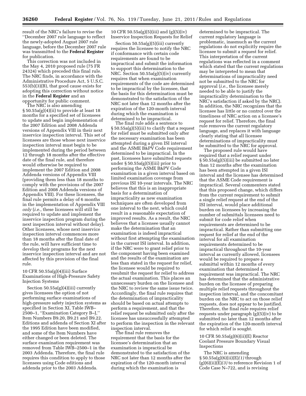result of the NRC's failure to revise the ''December 2007 rule language to reflect the newly-adopted August 2007 rule language, before the December 2007 rule was transmitted to the **Federal Register**  for publication.

This correction was not included in the May 4, 2010 proposed rule (75 FR 24324) which preceded this final rule. The NRC finds, in accordance with the Administrative Procedure Act, 5 U.S.C. 553(b)(3)(B), that good cause exists for adopting this correction without notice in the **Federal Register** and an opportunity for public comment.

The NRC is also amending

§ 50.55a(g)(4)(ii) to provide at least 18 months for a specified set of licensees to update and begin implementation of the 2007 Edition and 2008 Addenda versions of Appendix VIII in their next inservice inspection interval. This set of licensees are those whose next inservice inspection interval must begin to be implemented during the period between 12 through 18 months after the effective date of the final rule, and therefore would otherwise be required to implement the 2007 Edition and 2008 Addenda versions of Appendix VIII (providing them less than 18 months to comply with the provisions of the 2007 Edition and 2008 Addenda versions of Appendix VIII). For these licensees, the final rule permits a delay of 6 months in the implementation of Appendix VIII *only* (*i.e.,* these licensees will still be required to update and implement the inservice inspection program during the next inspection interval without delay). Other licensees, whose next inservice inspection interval commences more than 18 months after the final date of the rule, will have sufficient time to develop their programs for the next inservice inspection interval and are not affected by this provision of the final rule.

#### 10 CFR 50.55a(g)(4)(iii) Surface Examinations of High-Pressure Safety Injection Systems

Section 50.55a(g)(4)(iii) currently gives licensees the option of not performing surface examinations of high-pressure safety injection systems as specified in Section XI, Table IWB– 2500–1, ''Examination Category B–J,'' Item Numbers B9.20, B9.21 and B9.22. Editions and addenda of Section XI after the 1995 Edition have been modified, and some of the Item Numbers have either changed or been deleted. The surface examination requirement was removed from Table IWB–2500–1 in the 2003 Addenda. Therefore, the final rule requires this condition to apply to those licensees using Code editions and addenda prior to the 2003 Addenda.

10 CFR 50.55a(g)(5)(iii) and (g)(5)(iv) Inservice Inspection Requests for Relief

Section 50.55a(g)(5)(iii) currently requires the licensee to notify the NRC if conformance with certain code requirements are found to be impractical and submit the information to support this determination to the NRC. Section 50.55a(g)(5)(iv) currently requires that when examination requirements of the code are determined to be impractical by the licensee, that the basis for this determination must be demonstrated to the satisfaction of the NRC not later than 12 months after the expiration of the 120-month interval during which the examination is determined to be impractical.

The final rule adds a sentence to § 50.55a(g)(5)(iii) to clarify that a request for relief must be submitted only after the necessary examination has been attempted during a given ISI interval and the ASME B&PV Code requirement determined to be impractical. In the past, licensees have submitted requests under § 50.55a(g)(5)(iii) prior to performing the ASME B&PV Code examination in a given interval based on limited examination coverage from previous ISI 10-year intervals. The NRC believes that this is an inappropriate basis for a determination of impracticality as new examination techniques are often developed from one interval to the next, which could result in a reasonable expectation of improved results. As a result, the NRC believes that a licensee usually cannot make the determination that an examination is indeed impractical without first attempting the examination in the current ISI interval. In addition, if the NRC were to grant relief prior to the component having been examined and the results of the examination are less than stated in the request for relief, the licensee would be required to resubmit the request for relief to address the actual examination. This places an unnecessary burden on the licensee and the NRC to review the same issue twice. Accordingly, the final rule requires that the determination of impracticality should be based on actual attempts to perform a requirement, and that the relief request be submitted only after the licensee has unsuccessfully attempted to perform the inspection in the relevant inspection interval.

The final rule removes the requirement that the basis for the licensee's determination that an examination is impractical be demonstrated to the satisfaction of the NRC not later than 12 months after the expiration of the 120-month interval during which the examination is

determined to be impractical. The current regulatory language is problematic, inasmuch as the current regulations do not explicitly require the licensee to submit a request for relief. This interpretation of the current regulations was reflected in a comment which stated that the current regulations may be interpreted to mean that determinations of impracticality need not be submitted to the NRC for approval (*i.e.,* the licensee merely needed to be able to justify the impracticality determination to the NRC's satisfaction if asked by the NRC). In addition, the NRC recognizes that the licensee has little or no control over the timeliness of NRC action on a licensee's request for relief. Therefore, the final rule removes the current regulatory language, and replaces it with language clearly stating that all licensee determinations of impracticality must be submitted to the NRC for approval.

The proposed rule would have required that a relief request under § 50.55a(g)(5)(iii) be submitted no later than 12 months after the examination has been attempted in a given ISI interval and the licensee has determined that the ASME Code requirement is impractical. Several commenters stated that this proposed change, which differs from the current requirement to submit a single relief request at the end of the ISI interval, would place additional burden on licensees by increasing the number of submittals licensees need to submit for code relief when requirements are determined to be impractical. Rather than submitting one request for relief at the end of the interval for all examination requirements determined to be impractical throughout the 10-year interval as currently allowed, licensees would be required to prepare a submittal within 12 months of every examination that determined a requirement was impractical. The NRC has determined that the administrative burden on the licensee of preparing multiple relief requests throughout the inspection interval, and the concomitant burden on the NRC to act on those relief requests, does not appear to be justified. Therefore, the final rule requires relief requests under paragraph (g)(5)(iv) to be submitted no later than 12 months after the expiration of the 120-month interval for which relief is sought.

#### 10 CFR 50.55a(g)(6)(ii)(E) Reactor Coolant Pressure Boundary Visual Inspections

The NRC is amending § 50.55a(g)(6)(ii)(E)*(1)* through (g)(6)(ii)(E)*(3)* to reference Revision 1 of Code Case N–722, and is revising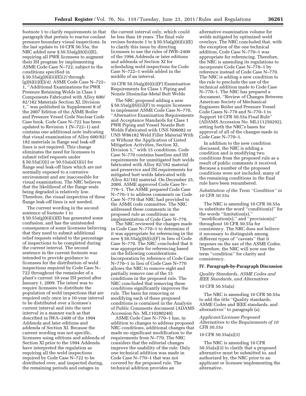footnote 1 to clarify requirements in that paragraph that pertain to reactor coolant pressure boundary visual inspections. In the last update to 10 CFR 50.55a, the NRC added new § 50.55a(g)(6)(ii)(E), requiring all PWR licensees to augment their ISI program by implementing ASME Code Case N–722, subject to the conditions specified in § 50.55a(g)(6)(ii)(E)*(2)* through (g)(6)(ii)(E)*(4).* ASME Code Case N–722– 1, ''Additional Examinations for PWR Pressure Retaining Welds in Class 1 Components Fabricated with Alloy 600/ 82/182 Materials Section XI, Division 1,'' was published in Supplement 8 of the 2007 Edition of the ASME Boiler and Pressure Vessel Code Nuclear Code Case book. Code Case N–722 has been updated to Revision 1 (N–722–1) and contains one additional note indicating that visual examination of Alloy 600/82/ 182 materials in flange seal leak-off lines is not required. This change eliminates the need for licensees to submit relief requests under § 50.55a(3)(i) or 50.55a(a)(3)(ii) for flange seal leak-off lines which are not normally exposed to a corrosive environment and are inaccessible for visual examination. The NRC believes that the likelihood of the flange seals being degraded is relatively low. Therefore, the visual inspection of these flange leak-off lines is not needed.

The current wording in the second sentence of footnote 1 to § 50.55a(g)(6)(ii)(E) has generated some confusion, and has the unintended consequence of some licensees believing that they need to submit additional relief requests related to the percentage of inspections to be completed during the current interval. The second sentence in the current footnote was intended to provide guidance to licensees for the distribution of weld inspections required by Code Case N– 722 throughout the remainder of a plant's current 10-year ISI period after January 1, 2009. The intent was to require licensees to distribute the population of weld inspections that are required only once in a 10-year interval to be distributed over a licensee's current interval and into the next interval in a manner such as that described in IWA–2400 of the 1994 Addenda and later editions and addenda of Section XI. Because the current wording was not specific, licensees using editions and addenda of Section XI prior to the 1994 Addenda have interpreted the regulation as requiring all the weld inspections required by Code Case N–722 to be distributed over, and inspected during, the remaining periods and outages in

the current interval only, which could be less than 10 years. The final rule revises footnote 1 to  $\S 50.55a(g)(6)(ii)(E)$ to clarify this issue by directing licensees to use the rules of IWB–2400 of the 1994 Addenda or later editions and addenda of Section XI for scheduling weld inspections for Code Case N–722–1 welds added in the middle of an interval.

10 CFR 50.55a(g)(6)(ii)(F) Examination Requirements for Class 1 Piping and Nozzle Dissimilar-Metal Butt Welds

The NRC proposed adding a new § 50.55a(g)(6)(ii)(F) to require licensees to implement ASME Code Case N–770, ''Alternative Examination Requirements and Acceptance Standards for Class 1 PWR Piping and Vessel Nozzle Butt Welds Fabricated with UNS N06082 or UNS W86182 Weld Filler Material With or Without the Application of Listed Mitigation Activities, Section XI, Division 1,'' with 15 conditions. Code Case N–770 contains baseline and ISI requirements for unmitigated butt welds fabricated with Alloy 82/182 material and preservice and ISI requirements for mitigated butt welds fabricated with Alloy 82/182 material. On December 25, 2009, ASME approved Code Case N– 770–1. The ASME prepared Code Case N–770–1 to address comments on Code Case N–770 that NRC had provided to the ASME code committee. The NRC addressed these comments in the proposed rule as conditions on implementation of Code Case N–770.

The NRC reviewed the changes made in Code Case N–770–1 to determine if it was appropriate for referencing in the new § 50.55a(g)(6)(ii)(F) in lieu of Code Case N–770. The NRC concluded that it was appropriate for referencing based on the following considerations. Incorporation by reference of Code Case N–770–1 in lieu of Code Case N–770 allows the NRC to remove eight and partially remove one of the 15 conditions in the proposed rule. The NRC concluded that removing these conditions significantly improves the rule. The basis for removing or modifying each of these proposed conditions is contained in the Analysis of Public Comments document (ADAMS Accession No. ML110280240).

ASME Code Case N–770–1 has, in addition to changes to address proposed NRC conditions, additional changes that made no significant modification to the requirements from N–770. The NRC considers that the editorial changes improve the usability of the rule. Only one technical addition was made in Code Case N–770–1 that was not covered by the proposed rule. The technical addition provides an

alternative examination volume for welds mitigated by optimized weld overlays. The NRC concluded that, with the exception of the one technical addition, Code Case N–770–1 was appropriate for referencing. Therefore, the NRC is amending its regulations to incorporate Code Case N–770–1 by reference instead of Code Case N–770. The NRC is adding a new condition to the rule to preclude the use of the technical addition made to Code Case N–770–1. The NRC has prepared a document, ''Review of Changes Between American Society of Mechanical Engineers Boiler and Pressure Vessel Code Cases N–770 and N–770–1 to Support 10 CFR 50.55a Final Rule'' (ADAMS Accession No. ML111250292), setting forth the NRC's bases for approval of all of the changes made in Code Case N–770–1.

In addition to the new condition discussed, the NRC is adding a condition and is modifying two conditions from the proposed rule as a result of public comments it received. Because a number of the proposed conditions were not included, many of the remaining conditions in the final rule have been renumbered.

#### *Substitution of the Term ''Condition'' in 10 CFR 50.55a*

The NRC is amending 10 CFR 50.55a to substitute the word ''condition(s)'' for the words ''limitation(s),'' ''modification(s),'' and ''provision(s)'' throughout 10 CFR 50.55a for consistency. The NRC does not believe it necessary to distinguish among different types of ''caveats'' that it imposes on the use of the ASME Codes. Therefore, the NRC will now use the term ''condition'' for clarity and consistency.

#### **IV. Paragraph-by-Paragraph Discussion**

*Quality Standards, ASME Codes and IEEE Standards, and Alternatives* 

#### 10 CFR 50.55a(a)

The NRC is amending 10 CFR 50.55a to add the title ''Quality standards, ASME Codes and IEEE standards, and alternatives'' to paragraph (a).

#### *Applicant/Licensee Proposed Alternatives to the Requirements of 10 CFR 50.55a*

#### 10 CFR 50.55a(a)(3)

The NRC is amending 10 CFR 50.55a(a)(3) to clarify that a proposed alternative must be submitted to, and authorized by, the NRC prior to an applicant or licensee implementing the alternative.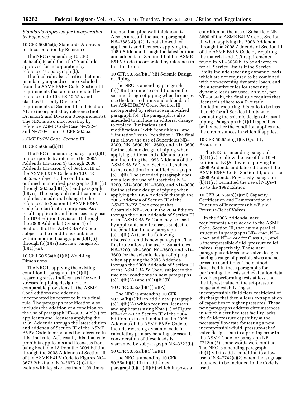#### *Standards Approved for Incorporation by Reference*

#### 10 CFR 50.55a(b) Standards Approved for Incorporation by Reference

The NRC is amending 10 CFR 50.55a(b) to add the title ''Standards approved for incorporation by reference'' to paragraph (b).

The final rule also clarifies that nonmandatory appendices are excluded from the ASME B&PV Code, Section III requirements that are incorporated by reference into 10 CFR 50.55a, and clarifies that only Division 1 requirements of Section III and Section XI are incorporated by reference (not Division 2 and Division 3 requirements). The NRC is also incorporating by reference ASME Code Case N–722–1 and N–770–1 into 10 CFR 50.55a.

#### *ASME B&PV Code, Section III*

#### 10 CFR 50.55a(b)(1)

The NRC is amending paragraph (b)(1) to incorporate by reference the 2005 Addenda (Division 1) through 2008 Addenda (Division 1) of Section III of the ASME B&PV Code into 10 CFR 50.55a, subject to the conditions outlined in modified paragraphs (b)(1)(i) through 50.55a(b)(1)(vi) and paragraph (b)(vii). The paragraph modification also includes an editorial change to the references to Section III ASME B&PV Code for clarification purposes. As a result, applicants and licensees may use the 1974 Edition (Division 1) through the 2008 Addenda (Division 1) of Section III of the ASME B&PV Code subject to the conditions contained within modified paragraphs (b)(1)(i) through (b)(1)(vi) and new paragraph  $(b)(1)(vii)$ .

#### 10 CFR 50.55a(b)(1)(ii) Weld-Leg Dimensions

The NRC is applying the existing condition in paragraph (b)(1)(ii) regarding stress indices used for weld stresses in piping design to the comparable provisions in the ASME Code editions and addenda incorporated by reference in this final rule. The paragraph modification also includes the addition of a condition on the use of paragraph NB–3683.4(c)(2) for applicants and licensees applying the 1989 Addenda through the latest edition and addenda of Section III of the ASME B&PV Code incorporated by reference in this final rule. As a result, this final rule prohibits applicants and licensees from using Footnote 13 from the 2004 Edition through the 2008 Addenda of Section III of the ASME B&PV Code to Figures NC– 3673.2(b)-1 and ND–3673.2(b)-1 for welds with leg size less than 1.09 times

the nominal pipe wall thickness  $(t_n)$ . Also as a result, the use of paragraph NB–3683.4(c)(2), is not allowed for applicants and licensees applying the 1989 Addenda through the latest edition and addenda of Section III of the ASME B&PV Code incorporated by reference in this final rule.

10 CFR 50.55a(b)(1)(iii) Seismic Design of Piping

The NRC is amending paragraph (b)(1)(iii) to impose conditions on the seismic design of piping when licensees use the latest editions and addenda of the ASME B&PV Code, Section III, incorporated by reference in modified paragraph (b). The paragraph is also amended to include an editorial change to replace ''limitations and modifications'' with ''conditions'' and ''limitation'' with ''condition.'' The final rule allows the use of Subarticles NB– 3200, NB–3600, NC–3600, and ND–3600 for the seismic design of piping when applying editions and addenda, up to and including the 1993 Addenda of the ASME B&PV Code, Section III, subject to the condition in modified paragraph (b)(1)(ii). The amended paragraph does not allow the use of Subarticles NB– 3200, NB–3600, NC–3600, and ND–3600 for the seismic design of piping when applying the 1994 Addenda through the 2005 Addenda of Section III of the ASME B&PV Code except that Subarticle NB–3200 in the 2004 Edition through the 2008 Addenda of Section III of the ASME B&PV Code may be used by applicants and licensees subject to the condition in new paragraph  $(b)(1)(iii)(A)$  (see the following discussion on this new paragraph). The final rule allows the use of Subarticles NB–3200, NB–3600, NC–3600, and ND– 3600 for the seismic design of piping when applying the 2006 Addenda through the 2008 Addenda of Section III of the ASME B&PV Code, subject to the two new conditions in new paragraphs  $(b)(1)(iii)(A)$  and  $(b)(1)(iii)(B)$ .

#### 10 CFR 50.55a(b)(1)(iii)(A)

The NRC is amending 10 CFR 50.55a(b)(1)(iii) to add a new paragraph (b)(1)(iii)(A) which requires licensees and applicants using Note (1) of Figure NB–3222–1 in Section III of the 2004 Edition up to and including the 2008 Addenda of the ASME B&PV Code to include reversing dynamic loads in calculating primary bending stresses, if consideration of these loads is warranted by subparagraph NB–3223(b).

#### 10 CFR 50.55a(b)(1)(iii)(B)

The NRC is amending 10 CFR  $50.55a(b)(1)(iii)$  to add a new paragraph(b)(1)(iii)(B) which imposes a

condition on the use of Subarticle NB– 3600 of the ASME B&PV Code, Section III when applying the 2006 Addenda through the 2008 Addenda of Section III of the ASME B&PV Code by requiring the material and  $D<sub>o</sub>/t$  requirements found in NB–3656(b) to be adhered to for all Service Limits if the Service Limits include reversing dynamic loads which are not required to be combined with non-reversing dynamic loads, and the alternative rules for reversing dynamic loads are used. As such, per NB–3656(b), the final rule requires that licensee's adhere to a D<sub>o</sub>/t ratio limitation requiring this ratio to be less than 40 for all Service Limits when evaluating the seismic design of Class 1 piping. Paragraph (b)(1)(iii) specifies both whether the condition applies and the circumstances in which it applies.

#### 10 CFR 50.55a(b)(1)(iv) Quality Assurance

The NRC is amending paragraph (b)(1)(iv) to allow the use of the 1994 Edition of NQA–1 when applying the 2006 Addenda and later editions of the ASME B&PV Code, Section III, up to the 2008 Addenda. Previously paragraph  $(b)(1)(iv)$  permitted the use of NQA–1 up to the 1992 Edition.

#### 10 CFR 50.55a(b)(1)(vii) Capacity Certification and Demonstration of Function of Incompressible-Fluid Pressure-Relief Valves

In the 2006 Addenda, new requirements were added to the ASME Code, Section III, that have a parallel structure in paragraphs NB–7742, NC– 7742, and ND–7742 for Class 1, 2, and 3 incompressible-fluid, pressure relief valves, respectively. These new paragraphs address new valve designs having a range of possible sizes and setpressure conditions. The method described in these paragraphs for performing the tests and evaluation data involves performing tests at less than the highest value of the set-pressure range and establishing an incompressible fluid flow coefficient of discharge that then allows extrapolation of capacities to higher pressures. These new paragraphs address circumstances in which a certified test facility lacks the fluid-pressure capability at the necessary flow rate for testing a new, incompressible-fluid, pressure-relief valve design. Due to a printing error in the ASME Code for paragraph NB– 7742(a)(2), some words were omitted. The NRC is amending paragraph (b)(1)(vii) to add a condition to allow use of NB–7742(a)(2) when the language intended to be included in the Code is used.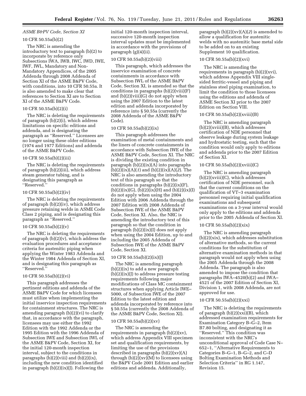#### *ASME B&PV Code, Section XI*

#### 10 CFR 50.55a(b)(2)

The NRC is amending the introductory text to paragraph (b)(2) to incorporate by reference only Subsections IWA, IWB, IWC, IWD, IWE, IWF, IWL, Mandatory and Non-Mandatory Appendices, of the 2005 Addenda through 2008 Addenda of Section XI of the ASME B&PV Code, with conditions, into 10 CFR 50.55a. It is also amended to make clear that references to Section XI are to Section XI of the ASME B&PV Code.

#### 10 CFR 50.55a(b)(2)(i)

The NRC is deleting the requirements of paragraph (b)(2)(i), which address limitations on specific editions and addenda, and is designating the paragraph as ''Reserved.'' Licensees are no longer using these older editions (1974 and 1977 Editions) and addenda of the ASME B&PV Code.

#### 10 CFR 50.55a(b)(2)(iii)

The NRC is deleting the requirements of paragraph (b)(2)(iii), which address steam generator tubing, and is designating this paragraph as ''Reserved.''

#### 10 CFR 50.55a(b)(2)(iv)

The NRC is deleting the requirements of paragraph (b)(2)(iv), which address pressure retaining welds in ASME Code Class 2 piping, and is designating this paragraph as ''Reserved.''

#### 10 CFR 50.55a(b)(2)(v)

The NRC is deleting the requirements of paragraph (b)(2)(v), which address the evaluation procedures and acceptance criteria for austenitic piping when applying the Winter 1983 Addenda and the Winter 1984 Addenda of Section XI, and is designating this paragraph as ''Reserved.''

#### 10 CFR 50.55a(b)(2)(vi)

This paragraph addresses the pertinent editions and addenda of the ASME B&PV Code for which licensees must utilize when implementing the initial inservice inspection requirements for containment structures. The NRC is amending paragraph (b)(2)(vi) to clarify that, in accordance with the paragraph, licensees may use either the 1992 Edition with the 1992 Addenda or the 1995 Edition with the 1996 Addenda of Subsection IWE and Subsection IWL of the ASME B&PV Code, Section XI, for the initial 120-month inspection interval, subject to the conditions in paragraphs (b)(2)(viii) and (b)(2)(ix), including the new condition identified in paragraph  $(b)(2)(ix)(J)$ . Following the

initial 120-month inspection interval, successive 120-month inspection interval updates must be implemented in accordance with the provisions of paragraph (g)(4)(ii).

#### 10 CFR 50.55a(b)(2)(viii)

This paragraph, which addresses the inservice examination of concrete containments in accordance with Subsection IWL of the ASME B&PV Code, Section XI, is amended so that the conditions in paragraphs (b)(2)(viii)(F) and (b)(2)(viii)(G) do not apply when using the 2007 Edition to the latest edition and addenda incorporated by reference into § 50.55a (currently the 2008 Addenda of the ASME B&PV Code).

#### 10 CFR 50.55a(b)(2)(ix)

This paragraph addresses the examination of metal containments and the liners of concrete containments in accordance with Subsection IWE of the ASME B&PV Code, Section XI. The NRC is dividing the existing condition in paragraph  $(b)(2)(ix)(A)$  into paragraphs (b)(2)(ix)(A)(*1*) and (b)(2)(ix)(A)(*2*). The NRC is also amending the introductory text of this paragraph so that the conditions in paragraphs  $(b)(2)(ix)(F)$ ,  $(b)(2)(ix)(G), (b)(2)(ix)(H)$  and  $(b)(2)(ix)(I)$ do not apply when using the 2004 Edition with 2006 Addenda through the 2007 Edition with 2008 Addenda of Subsection IWE of the ASME B&PV Code, Section XI. Also, the NRC is amending the introductory text of this paragraph so that the condition in paragraph (b)(2)(ix)(I) does not apply when using the 2004 Edition, up to and including the 2005 Addenda of Subsection IWE of the ASME B&PV Code, Section XI.

#### 10 CFR 50.55a(b)(2)(ix)(J)

The NRC is amending paragraph (b)(2)(ix) to add a new paragraph  $(b)(2)(ix)(j)$  to address pressure testing requirements following major modifications of Class MC containment structures when applying Article IWE– 5000, of Subsection IWE of the 2007 Edition to the latest edition and addenda incorporated by reference into § 50.55a (currently the 2008 Addenda of the ASME B&PV Code, Section XI).

#### 10 CFR 50.55a(b)(2)(xv)

The NRC is amending the requirements in paragraph (b)(2)(xv), which address Appendix VIII specimen set and qualification requirements, by limiting the use of the provisions described in paragraphs (b)(2)(xv)(A) through  $(b)(2)(x)(M)$  to licensees using the B&PV Code 2001 Edition and earlier editions and addenda. Additionally,

paragraph (b)(2)(xv)(A)(*2*) is amended to allow a qualification for austenitic welds with no austenitic base metal side to be added on to an existing Supplement 10 qualification.

#### 10 CFR 50.55a(b)(2)(xvi)

The NRC is amending the requirements in paragraph (b)(2)(xvi), which address Appendix VIII singlesided ferritic-vessel and piping and stainless steel piping examination, to limit the condition to those licensees using the editions and addenda of ASME Section XI prior to the 2007 Edition on Section VIII.

#### 10 CFR 50.55a(b)(2)(xviii)(B)

The NRC is amending paragraph (b)(2)(xviii)(B), which addresses certification of NDE personnel that observe leakage during system leakage and hydrostatic testing, such that the condition would only apply to editions and addenda prior to the 2007 Edition of Section XI.

#### 10 CFR 50.55a(b)(2)(xviii)(C)

The NRC is amending paragraph (b)(2)(xviii)(C), which addresses certification of NDE personnel, such that the current conditions on the qualification of VT–3 examination personnel requiring initial qualification examinations and subsequent examinations on a 3-year interval would only apply to the editions and addenda prior to the 2005 Addenda of Section XI.

#### 10 CFR 50.55a(b)(2)(xix)

The NRC is amending paragraph (b)(2)(xix), which addresses substitution of alternative methods, so the current conditions for the substitution of alternative examination methods in that paragraph would not apply when using the 2005 Addenda through the 2008 Addenda. The paragraph is also amended to impose the condition that paragraphs IWA–4520(b)(2) and IWA– 4521 of the 2007 Edition of Section XI, Division 1, with 2008 Addenda, are not approved for use.

#### 10 CFR 50.55a(b)(2)(xxi)

The NRC is deleting the requirements of paragraph  $(b)(2)(xxi)(B)$ , which addressed examination requirements for Examination Category B–G–2, Item B7.80 bolting, and designating it as ''Reserved.'' This condition was inconsistent with the NRC's unconditional approval of Code Case N– 652–1, ''Alternative Requirements to Categories B–G–1, B–G–2, and C–D Bolting Examination Methods and Selection Criteria'' in RG 1.147, Revision 15.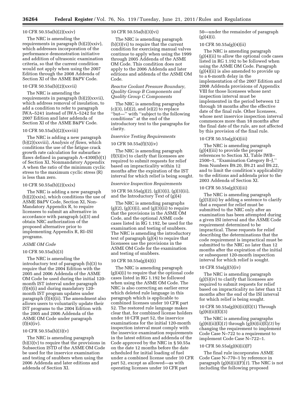#### 10 CFR 50.55a(b)(2)(xxiv)

The NRC is amending the requirements in paragraph (b)(2)(xxiv), which addresses incorporation of the performance demonstration initiative and addition of ultrasonic examination criteria, so that the current condition would not apply when using the 2007 Edition through the 2008 Addenda of Section XI of the ASME B&PV Code.

#### 10 CFR 50.55a(b)(2)(xxvii)

The NRC is amending the requirements in paragraph (b)(2)(xxvii), which address removal of insulation, to add a condition to refer to paragraph IWA–5241 instead of IWA–5242 for the 2007 Edition and later addenda of Section XI of the ASME B&PV Code.

#### 10 CFR 50.55a(b)(2)(xxviii)

The NRC is adding a new paragraph (b)(2)(xxviii), *Analysis of flaws,* which conditions the use of the fatigue crack growth rate calculation for subsurface flaws defined in paragraph A–4300(b)(1) of Section XI, Nonmandatory Appendix A when the ratio of the minimum cyclic stress to the maximum cyclic stress (R) is less than zero.

#### 10 CFR 50.55a(b)(2)(xxix)

The NRC is adding a new paragraph  $(b)(2)(xxix)$ , which conditions the use of ASME B&PV Code, Section XI, Non-Mandatory Appendix R, to require licensees to submit an alternative in accordance with paragraph (a)(3) and obtain NRC authorization of the proposed alternative prior to implementing Appendix R, RI–ISI programs.

#### *ASME OM Code*

#### 10 CFR 50.55a(b)(3)

The NRC is amending the introductory text of paragraph (b)(3) to require that the 2004 Edition with the 2005 and 2006 Addenda of the ASME OM Code be used during the initial 120 month IST interval under paragraph (f)(4)(i) and during mandatory 120 month IST program updates under paragraph (f)(4)(ii). The amendment also allows users to voluntarily update their IST programs to the 2004 Edition with the 2005 and 2006 Addenda of the ASME OM Code under paragraph  $(f)(4)(iv)$ .

#### 10 CFR 50.55a(b)(3)(v)

The NRC is amending paragraph (b)(3)(v) to require that the provisions in Subsection ISTD of the ASME OM Code be used for the inservice examination and testing of snubbers when using the 2006 Addenda and later editions and addenda of Section XI.

#### 10 CFR 50.55a(b)(3)(vi)

The NRC is amending paragraph (b)(3)(vi) to require that the current condition for exercising manual valves continue to apply when using the 1999 through 2005 Addenda of the ASME OM Code. This condition does not apply to the 2006 Addenda and later editions and addenda of the ASME OM Code.

#### *Reactor Coolant Pressure Boundary, Quality Group B Components and Quality Group C Components*

The NRC is amending paragraphs  $(c)(3)$ ,  $(d)(2)$ , and  $(e)(2)$  to replace ''but—'' with ''subject to the following conditions'' at the end of the introductory text to the paragraphs for clarity.

#### *Inservice Testing Requirements*

#### 10 CFR 50.55a(f)(5)(iv)

The NRC is amending paragraph (f)(5)(iv) to clarify that licensees are required to submit requests for relief based on impracticality within 12 months after the expiration of the IST interval for which relief is being sought.

#### *Inservice Inspection Requirements*

10 CFR 50.55a(g)(2), (g)(3)(i), (g)(3)(ii), and the Introductory Text of (g)(4)

The NRC is amending paragraphs  $(g)(2)$ ,  $(g)(3)(i)$ , and  $(g)(3)(ii)$  to require that the provisions in the ASME OM Code, and the optional ASME code cases listed in RG 1.192, be used for the examination and testing of snubbers. The NRC is amending the introductory text of paragraph (g)(4) to require that licensees use the provisions in the ASME OM Code for the examination and testing of snubbers.

#### 10 CFR 50.55a(g)(4)(i)

The NRC is amending paragraph (g)(4)(i) to require that the optional code cases listed in RG 1.192 be followed when using the ASME OM Code. The NRC is also correcting an earlier error which deleted rule language in this paragraph which is applicable to combined licenses under 10 CFR part 52. The restored rule language makes clear that, for combined license holders under 10 CFR part 52, the inservice examinations for the initial 120-month inspection interval must comply with the inservice examination requirements in the latest edition and addenda of the Code approved by the NRC in § 50.55a on the date 12 months before the date scheduled for initial loading of fuel under a combined license under 10 CFR part 52, except as allowed—as with operating licenses under 10 CFR part

50—under the remainder of paragraph  $(g)(4)(i).$ 

#### 10 CFR 50.55a(g)(4)(ii)

The NRC is amending paragraph (g)(4)(ii) to allow the optional code cases listed in RG 1.192 to be followed when using the ASME OM Code. Paragraph  $(g)(4)$ (ii) is also amended to provide up to a 6-month delay in the implementation of the 2007 Edition and 2008 Addenda provisions of Appendix VIII for those licensees whose next inspection interval must be implemented in the period between 12 through 18 months after the effective date of the final rule. Other licensees, whose next inservice inspection interval commences more than 18 months after the final date of the rule, are not affected by this provision of the final rule.

## 10 CFR 50.55a(g)(4)(iii)

The NRC is amending paragraph (g)(4)(iii) to provide the proper references to Section XI, Table IWB– 2500–1, ''Examination Category B–J,'' Item Numbers B9.20, B9.21 and B9.22, and to limit the condition's applicability to the editions and addenda prior to the 2003 Addenda of Section XI.

#### 10 CFR 50.55a(g)(5)(iii)

The NRC is amending paragraph (g)(5)(iii) by adding a sentence to clarify that a request for relief must be submitted to the NRC only after an examination has been attempted during a given ISI interval and the ASME Code requirement determined to be impractical. These requests for relief describing the determinations that the code requirement is impractical must be submitted to the NRC no later than 12 months after the expiration of the initial or subsequent 120-month inspection interval for which relief is sought.

#### 10 CFR 55a(g)(5)(iv)

The NRC is amending paragraph (g)(5)(iv) to clarify that licensees are required to submit requests for relief based on impracticality no later than 12 months after the end of the ISI interval for which relief is being sought.

#### 10 CFR 50.55a(g)(6)(ii)(E)(1) Through  $(g)(6)(ii)(E)(3)$

The NRC is amending paragraphs (g)(6)(ii)(E)(*1*) through (g)(6)(ii)(E)*(3)* by changing the requirement to implement Code Case N–722 to a requirement to implement Code Case N–722–1.

#### 10 CFR 50.55a(g)(6)(ii)(F)

The final rule incorporates ASME Code Case N–770–1 by reference in paragraph (g)(6)(ii)(F)(*1*). The NRC is not including the following proposed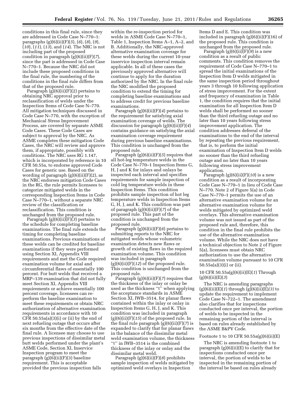conditions in this final rule, since they are addressed in Code Case N–770–1: paragraphs (g)(6)(ii)(F)(*5*), (*6*), (*8*), (*9*), (*10*), (*11*), (*13*), and (*14*). The NRC is not including part of the proposed condition in paragraph (g)(6)(ii)(F)(*7*), since the part is addressed in Code Case N–770–1. Because the NRC did not include these proposed conditions in the final rule, the numbering of the conditions in the final rule differs from that of the proposed rule.

Paragraph  $(g)(6)(ii)(F)(2)$  pertains to obtaining NRC approval prior to reclassification of welds under the Inspection Items of Code Case N–770. All mitigation techniques discussed in Code Case N–770, with the exception of Mechanical Stress Improvement Process, are covered by separate ASME Code Cases. These Code Cases are subject to approval by the NRC. As ASME completes these mitigation Code Cases, the NRC will review and approve them, if appropriate, possibly with conditions. The NRC uses RG 1.147, which is incorporated by reference in 10 CFR 50.55a, to endorse approved Code Cases for generic use. Based on the wording of paragraph  $(g)(6)(ii)(F)(2)$ , as the NRC endorses mitigation Code Cases in the RG, the rule permits licensees to categorize mitigated welds in the corresponding Inspection Items in Code Case N–770–1, without a separate NRC review of the classification or reclassification. This condition is unchanged from the proposed rule.

Paragraph (g)(6)(ii)(F)(*3*) pertains to the schedule for completing baseline examinations. The final rule extends the timing for completing baseline examinations. Previous examinations of these welds can be credited for baseline examinations if they were performed using Section XI, Appendix VIII requirements and met the Code required examination volume for axial and circumferential flaws of essentially 100 percent. For butt welds that received a MRP–139 examination that did not fully meet Section XI, Appendix VIII requirements or achieve essentially 100 percent coverage, licensees can reperform the baseline examination to meet these requirements or obtain NRC authorization of alternative examination requirements in accordance with 10 CFR  $50.55a(a)(3)(i)$  or (ii) by the end of next refueling outage that occurs after six months from the effective date of the final rule. A licensee may choose to use previous inspections of dissimilar metal butt welds performed under the plant's ASME Code, Section XI, Inservice Inspection program to meet the paragraph (g)(6)(ii)(F)(3) baseline requirement. This is acceptable provided the previous inspection falls

within the re-inspection period for welds in ASME Code Case N–770–1, Table 1, Inspection Items A–1, A–2, and B. Additionally, the NRC-approved alternative examination coverage for these welds during the current 10-year inservice inspection interval remain applicable. In all of these cases the previously approved alternative will continue to apply for the duration authorized by the NRC. In the final rule the NRC modified the proposed condition to extend the timing for completing baseline examinations and to address credit for previous baseline examinations.

Paragraph (g)(6)(ii)(F)(*4*) pertains to the requirement for satisfying axial examination coverage of welds. The discussion for paragraph (g)(6)(ii)(F)(*4*) contains guidance on satisfying the axial examination coverage requirement during previous baseline examinations. This condition is unchanged from the proposed rule.

Paragraph (g)(6)(ii)(F)(*5*) requires that all hot-leg temperature welds in the Code Case N–770–1 Inspection Items G, H, J and K for inlays and onlays be inspected each interval and specifies requirements for sample inspection of cold leg temperature welds in these Inspection Items. This condition prohibits sample inspection of hot leg temperature welds in Inspection Items G, H, J, and K. This condition was part of paragraph (g)(6)(ii)(F)(*7*) of the proposed rule. This part of the condition is unchanged from the proposed rule.

Paragraph (g)(6)(ii)(F)(*6*) pertains to submitting reports to the NRC for mitigated welds whose volumetric examination detects new flaws or growth of existing flaws in the required examination volume. This condition was included in paragraph  $(g)(6)(ii)(F)(12)$  of the proposed rule. This condition is unchanged from the proposed rule.

Paragraph (g)(6)(ii)(F)(*7*) requires that the thickness of the inlay or onlay be used as the thickness "t" when applying the acceptance standards in ASME Section XI, IWB–3514, for planar flaws contained within the inlay or onlay in Inspection Items G, H, J, and K. This condition was included in paragraph (g)(6)(ii)(F)(*15*) of the proposed rule. In the final rule paragraph (g)(6)(ii)(F)(*7*) is expanded to clarify that for planar flaws in the balance of the dissimilar metal weld examination volume, the thickness "t" in IWB-3514 is the combined thickness of the inlay or onlay and the dissimilar metal weld.

Paragraph (g)(6)(ii)(F)(*8*) prohibits sample inspection of welds mitigated by optimized weld overlays in Inspection

Items D and E. This condition was included in paragraph  $(g)(6)(ii)(F)(16)$  of the proposed rule. This condition is unchanged from the proposed rule.

Paragraph (g)(6)(ii)(F)(9) is a new condition as a result of public comments. This condition removes the requirement of Code Case N–770–1 to spread the initial examinations of the Inspection Item D welds mitigated in the same inspection period throughout years 3 through 10 following application of stress improvement. For the extent and frequency of examination in Table 1, the condition requires that the initial examination for all Inspection Item D welds shall be performed no sooner than the third refueling outage and no later than 10 years following stress improvement application. The condition addresses deferral of the examinations to the end of the interval by repeating the previous requirement, that is, to perform the initial examination of Inspection Item D welds no sooner than the third refueling outage and no later than 10 years following stress improvement application.

Paragraph (g)(6)(ii)(F)(*10*) is a new condition as a result of incorporating Code Case N–770–1 in lieu of Code Case N–770. Note 2 of Figure 5(a) in Code Case N–770–1 permits the use of an alternative examination volume for an alternative examination volume for welds mitigated by optimized weld overlays. This alternative examination volume was not issued as part of the proposed rule and, therefore, this condition in the final rule prohibits the use of the alternative examination volume. While the NRC does not have a technical objection to Note 2 of Figure 5(a), licensees must obtain NRC authorization to use the alternative examination volume pursuant to 10 CFR 50.55a(a)(3)(i) or (ii).

10 CFR 50.55a(g)(6)(ii)(E)(*1*) Through (g)(6)(ii)(E)(*3*)

The NRC is amending paragraphs (g)(6)(ii)(E)(*1*) through (g)(6)(ii)(E)*(3)* to update the requirement to implement Code Case N–722–1. The amendment also clarifies that for inspections conducted once per interval, the portion of welds to be inspected in the remaining portion of the interval is based on rules already established by the ASME B&PV Code.

#### Footnote 1 to 10 CFR  $50.55a(g)(6)(ii)(E)$

The NRC is amending footnote 1 to paragraph (g)(6)(ii)(E) to clarify that for inspections conducted once per interval, the portion of welds to be inspected in the remaining portion of the interval be based on rules already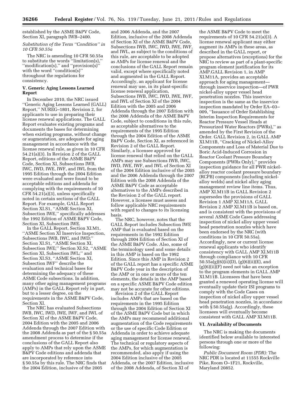established by the ASME B&PV Code, Section XI, paragraph IWB–2400.

#### *Substitution of the Term ''Condition'' in 10 CFR 50.55a*

The NRC is amending 10 CFR 50.55a to substitute the words ''limitation(s),'' ''modification(s),'' and ''provision(s)'' with the word "condition(s)" throughout the regulations for consistency.

#### **V. Generic Aging Lessons Learned Report**

In December 2010, the NRC issued ''Generic Aging Lessons Learned (GALL) Report,'' NUREG–1801, Revision 2, for applicants to use in preparing their license renewal applications. The GALL Report evaluates existing programs and documents the bases for determining when existing programs, without change or augmentation, are adequate for aging management in accordance with the license renewal rule, as given in 10 CFR 54.21(a)(3). In Revision 2 of the GALL Report, editions of the ASME B&PV Code, Section XI, Subsections IWB, IWC, IWD, IWE, IWF, and IWL from the 1995 Edition through the 2004 Edition were evaluated and were found to be acceptable editions and addenda for complying with the requirements of 10 CFR 54.21(a)(3), unless specifically noted in certain sections of the GALL Report. For example, GALL Report Section XI.S1, ''ASME Section XI, Subsection IWE,'' specifically addresses the 1992 Edition of ASME B&PV Code, Section XI, Subsection IWE.

In the GALL Report, Section XI.M1, ''ASME Section XI Inservice Inspection, Subsections IWB, IWC, and IWD;'' Section XI.S1, ''ASME Section XI, Subsection IWE;'' Section XI.S2, ''ASME Section XI, Subsection IWL;'' and Section XI.S3, ''ASME Section XI, Subsection IWF'' describe the evaluation and technical bases for determining the adequacy of these ASME Code subsections. In addition, many other aging management programs (AMPs) in the GALL Report rely in part, but to a lesser degree, on the requirements in the ASME B&PV Code, Section XI.

The NRC has evaluated Subsections IWB, IWC, IWD, IWE, IWF, and IWL of Section XI of the ASME B&PV Code, 2004 Edition with the 2005 and 2006 Addenda through the 2007 Edition with the 2008 Addenda as part of the § 50.55a amendment process to determine if the conclusions of the GALL Report also apply to AMPs that rely upon the ASME B&PV Code editions and addenda that are incorporated by reference into § 50.55a by this rule. The NRC finds that the 2004 Edition, inclusive of the 2005

and 2006 Addenda, and the 2007 Edition, inclusive of the 2008 Addenda of Section XI of the ASME B&PV Code, Subsections IWB, IWC, IWD, IWE, IWF, and IWL, as subject to the conditions of this rule, are acceptable to be adopted as AMPs for license renewal and the conclusions of the GALL Report remain valid, except where specifically noted and augmented in the GALL Report. Accordingly, an applicant for license renewal may use, in its plant-specific license renewal application, Subsections IWB, IWC, IWD, IWE, IWF, and IWL of Section XI of the 2004 Edition with the 2005 and 2006 Addenda through the 2007 Edition with the 2008 Addenda of the ASME B&PV Code, subject to conditions in this rule, as acceptable alternatives to the requirements of the 1995 Edition through the 2004 Edition of the ASME B&PV Code, Section XI, as referenced in Revision 2 of the GALL Report. Similarly, a licensee approved for license renewal that relied on the GALL AMPs may use Subsections IWB, IWC, IWD, IWE, IWF, and IWL of Section XI of the 2004 Edition inclusive of the 2005 and the 2006 Addenda through the 2007 Edition with the 2008 Addenda of the ASME B&PV Code as acceptable alternatives to the AMPs described in the Revision 2 of the GALL report. However, a licensee must assess and follow applicable NRC requirements with regard to changes to its licensing basis.

The NRC, however, notes that the GALL Report includes Subsection IWE AMP that is evaluated based on the requirements in the 1992 Edition through 2004 Edition of Section XI of the ASME B&PV Code. Also, some of the terminology used and some details in this AMP is based on the 1992 Edition. Since this AMP in Revision 2 of the GALL report has a specific ASME B&PV Code year in the description of the AMP or in one or more of the ten elements, the details in the AMP based on a specific ASME B&PV Code edition may not be accurate for other editions.

Revision 2 of the GALL Report includes AMPs that are based on the requirements in the 1995 Edition through the 2004 Edition of Section XI of the ASME B&PV Code but in which the AMPs may recommend additional augmentation of the Code requirements or the use of specific Code Edition or Addenda in order to achieve adequate aging management for license renewal. The technical or regulatory aspects of the AMPs, for which augmentation is recommended, also apply if using the 2004 Edition inclusive of the 2005 Addenda, or the 2007 Edition, inclusive of the 2008 Addenda, of Section XI of

the ASME B&PV Code to meet the requirements of 10 CFR 54.21(a)(3). A license renewal applicant may either augment its AMPs in these areas, as described in the GALL report, or propose alternatives (exceptions) for the NRC to review as part of a plant-specific program element justification for its AMP.GALL Revision 1, in AMP XI.M11A, provides an acceptable approach for aging management through inservice inspection—of PWR nickel-alloy upper vessel head penetration nozzles. This inservice inspection is the same as the inservice inspection mandated by Order EA–03– 009, ''Issuance of Order Establishing Interim Inspection Requirements for Reactor Pressure Vessel Heads at Pressurized Water Reactors (PWRs),'' as amended by the First Revision of the Order. GALL Revision 2, in GALL AMP XI.M11B, ''Cracking of Nickel-Alloy Components and Loss of Material Due to Boric Acid-Induced Corrosion in Reactor Coolant Pressure Boundary Components (PWRs Only),'' provides inspection guidance for all PWR nickelalloy reactor coolant pressure boundary (RCPB) components (including nickelalloy welds) and nickel alloy aging management review line items. Thus, AMP XI.M11B in GALL Revision 2 supersedes the provisions of GALL Revision 1 AMP XI.M11A. GALL Revision 2 AMP XI.M11B is based on, and is consistent with the provisions of several ASME Code Cases addressing inspection of nickel alloy upper vessel head penetration nozzles which have been endorsed by the NRC (with conditions in 10 CFR 50.55a). Accordingly, new or current license renewal applicants who identify consistency with GALL AMP XI.M11B through compliance with 10 CFR 50.55a(g)(6)(ii)(D), (g)(6)(ii)(E), and (g)(6)(ii)(F) need not take an exception to the program elements in GALL AMP XI.M11B. Licensees that have been granted a renewed operating license will eventually update their ISI programs to comply with the Code Cases on inspection of nickel alloy upper vessel head penetration nozzles, in accordance with § 50.55a(g). Accordingly, these licensees will eventually become consistent with GALL AMP XI.M11B.

#### **VI. Availability of Documents**

The NRC is making the documents identified below available to interested persons through one or more of the following:

*Public Document Room (PDR):* The NRC PDR is located at 11555 Rockville Pike, Room O–1F21, Rockville, Maryland 20852.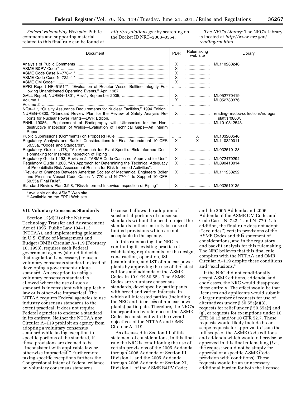*Federal rulemaking Web site:* Public comments and supporting material related to this final rule can be found at *<http://regulations.gov>* by searching on the Docket ID NRC–2008–0554.

*The NRC's Library:* The NRC's Library is located at *[http://www.nrc.gov/](http://www.nrc.gov/reading-rm.html) [reading-rm.html](http://www.nrc.gov/reading-rm.html)*.

| Document                                                                                                                                                                                                                                                                                                                                                                              | <b>PDR</b>                                 | Rulemaking<br>web site | Library                                                               |
|---------------------------------------------------------------------------------------------------------------------------------------------------------------------------------------------------------------------------------------------------------------------------------------------------------------------------------------------------------------------------------------|--------------------------------------------|------------------------|-----------------------------------------------------------------------|
| EPRI Report NP-5151**, "Evaluation of Reactor Vessel Beltline Integrity Fol-<br>lowing Unanticipated Operating Events," April 1987.                                                                                                                                                                                                                                                   | X<br>X<br>X<br>X<br>X<br>.<br>$\mathsf{x}$ |                        | ML110280240.<br>ML052770419.                                          |
|                                                                                                                                                                                                                                                                                                                                                                                       | X<br>.                                     |                        | ML052780376.                                                          |
| NQA-1 <sup>*</sup> , "Quality Assurance Requirements for Nuclear Facilities," 1994 Edition.<br>NUREG-0800, "Standard Review Plan for the Review of Safety Analysis Re-<br>ports for Nuclear Power Plants—LWR Edition.<br>PNNL-19086, "Replacement of Radiography with Ultrasonics for the Non-<br>destructive Inspection of Welds—Evaluation of Technical Gaps—An Interim<br>Report". | $\mathsf{x}$<br>.                          |                        | reading-rm/doc-collections/nuregs/<br>staff/sr0800/.<br>ML1010312543. |
|                                                                                                                                                                                                                                                                                                                                                                                       |                                            | Х                      | ML103200546.                                                          |
| Regulatory Analysis and Backfit Considerations for Final Amendment 10 CFR<br>50.55a. "Codes and Standards".                                                                                                                                                                                                                                                                           | X                                          | X                      | ML110320011.                                                          |
| Regulatory Guide 1.178, "An Approach for Plant-Specific Risk-Informed Deci-<br>sionmaking for Inservice Inspection of Piping".                                                                                                                                                                                                                                                        | X                                          |                        | ML032510128.                                                          |
| Regulatory Guide 1.193, Revision 2, "ASME Code Cases not Approved for Use"                                                                                                                                                                                                                                                                                                            | X                                          |                        | ML072470294.                                                          |
| Regulatory Guide 1.200, "An Approach for Determining the Technical Adequacy<br>of Probabilistic Risk Assessment Results for Risk-Informed Activities".                                                                                                                                                                                                                                | X                                          |                        | ML090410014.                                                          |
| "Review of Changes Between American Society of Mechanical Engineers Boiler<br>and Pressure Vessel Code Cases N-770 and N-770-1 to Support 10 CFR<br>50.55a Final Rule".                                                                                                                                                                                                               | X                                          |                        | ML111250292.                                                          |
| Standard Review Plan 3.9.8, "Risk-Informed Inservice Inspection of Piping"                                                                                                                                                                                                                                                                                                            | X                                          |                        | ML032510135.                                                          |

\* Available on the ASME Web site.

\*\* Available on the EPRI Web site.

#### **VII. Voluntary Consensus Standards**

Section 12(d)(3) of the National Technology Transfer and Advancement Act of 1995, Public Law 104–113 (NTTAA), and implementing guidance in U.S. Office of Management and Budget (OMB) Circular A–119 (February 10, 1998), requires each Federal government agency (should it decide that regulation is necessary) to use a voluntary consensus standard instead of developing a government-unique standard. An exception to using a voluntary consensus standard is allowed where the use of such a standard is inconsistent with applicable law or is otherwise impractical. The NTTAA requires Federal agencies to use industry consensus standards to the extent practical; it does not require Federal agencies to endorse a standard in its entirety. Neither the NTTAA nor Circular A–119 prohibit an agency from adopting a voluntary consensus standard while taking exception to specific portions of the standard, if those provisions are deemed to be ''inconsistent with applicable law or otherwise impractical.'' Furthermore, taking specific exceptions furthers the Congressional intent of Federal reliance on voluntary consensus standards

because it allows the adoption of substantial portions of consensus standards without the need to reject the standards in their entirety because of limited provisions which are not acceptable to the agency.

In this rulemaking, the NRC is continuing its existing practice of establishing requirements for the design, construction, operation, ISI (examination) and IST of nuclear power plants by approving the use of the latest editions and addenda of the ASME Codes in 10 CFR 50.55a. The ASME Codes are voluntary consensus standards, developed by participants with broad and varied interests, in which all interested parties (including the NRC and licensees of nuclear power plants) participate. Therefore, the NRC's incorporation by reference of the ASME Codes is consistent with the overall objectives of the NTTAA and OMB Circular A–119.

As discussed in Section III of this statement of considerations, in this final rule the NRC is conditioning the use of certain provisions of the 2005 Addenda through 2008 Addenda of Section III, Division 1, and the 2005 Addenda through 2008 Addenda of Section XI, Division 1, of the ASME B&PV Code;

and the 2005 Addenda and 2006 Addenda of the ASME OM Code, and Code Cases N–722–1 and N–770–1. In addition, the final rule does not adopt (''excludes'') certain provisions of the ASME Codes and this statement of considerations, and in the regulatory and backfit analysis for this rulemaking. The NRC believes that this final rule complies with the NTTAA and OMB Circular A–119 despite these conditions and ''exclusions.''

If the NRC did not conditionally accept ASME editions, addenda, and code cases, the NRC would disapprove these entirely. The effect would be that licensees and applicants would submit a larger number of requests for use of alternatives under § 50.55a(a)(3), requests for relief under § 50.55a(f) and (g), or requests for exemptions under 10 CFR 50.12 and/or 10 CFR 52.7. These requests would likely include broadscope requests for approval to issue the full scope of the ASME Code editions and addenda which would otherwise be approved in this final rulemaking (*i.e.,*  the request would not be simply for approval of a specific ASME Code provision with conditions). These requests would be an unnecessary additional burden for both the licensee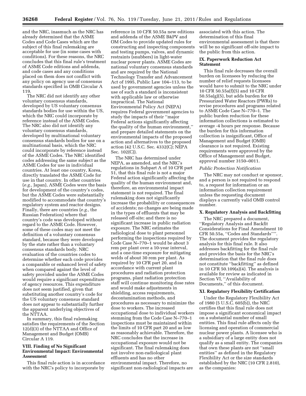and the NRC, inasmuch as the NRC has already determined that the ASME Codes and Code Cases which are the subject of this final rulemaking are acceptable for use (in some cases with conditions). For these reasons, the NRC concludes that this final rule's treatment of ASME Code editions and addenda, and code cases and any conditions placed on them does not conflict with any policy on agency use of consensus standards specified in OMB Circular A 119.

The NRC did not identify any other voluntary consensus standards, developed by US voluntary consensus standards bodies for use within the US, which the NRC could incorporate by reference instead of the ASME Codes. The NRC also did not identify any voluntary consensus standards, developed by multinational voluntary consensus standards bodies for use on a multinational basis, which the NRC could incorporate by reference instead of the ASME Codes. The NRC identified codes addressing the same subject as the ASME Codes for use in individual countries. At least one country, Korea, directly translated the ASME Code for use in that country. In other countries (*e.g.,* Japan), ASME Codes were the basis for development of the country's codes, but the ASME Codes were substantially modified to accommodate that country's regulatory system and reactor designs. Finally, there are countries (*e.g.,* the Russian Federation) where that country's code was developed without regard to the ASME Code. However, some of these codes may not meet the definition of a voluntary consensus standard, because they were developed by the state rather than a voluntary consensus standards body. NRC evaluation of the countries codes to determine whether each code provides a comparable or enhanced level of safety when compared against the level of safety provided under the ASME Codes would require a significant expenditure of agency resources. This expenditure does not seem justified, given that substituting another country's code for the US voluntary consensus standard does not appear to substantially further the apparent underlying objectives of the NTTAA.

In summary, this final rulemaking satisfies the requirements of the Section 12(d)(3) of the NTTAA and Office of Management and Budget (OMB) Circular A 119.

#### **VIII. Finding of No Significant Environmental Impact: Environmental Assessment**

This final rule action is in accordance with the NRC's policy to incorporate by

reference in 10 CFR 50.55a new editions and addenda of the ASME B&PV and OM Codes to provide updated rules for constructing and inspecting components and testing pumps, valves, and dynamic restraints (snubbers) in light-water nuclear power plants. ASME Codes are national voluntary consensus standards and are required by the National Technology Transfer and Advancement Act of 1995, Public Law 104–113, to be used by government agencies unless the use of such a standard is inconsistent with applicable law or otherwise impractical. The National Environmental Policy Act (NEPA) requires Federal government agencies to study the impacts of their ''major Federal actions significantly affecting the quality of the human environment,'' and prepare detailed statements on the environmental impacts of the proposed action and alternatives to the proposed action (42 U.S.C. Sec. 4332(C); NEPA Sec. 102(C)).

The NRC has determined under NEPA, as amended, and the NRC's regulations in Subpart A of 10 CFR part 51, that this final rule is not a major Federal action significantly affecting the quality of the human environment and, therefore, an environmental impact statement is not required. The final rulemaking does not significantly increase the probability or consequences of accidents; no changes are being made in the types of effluents that may be released off-site; and there is no significant increase in public radiation exposure. The NRC estimates the radiological dose to plant personnel performing the inspections required by Code Case N–770–1 would be about 3 rem per plant over a 10-year interval, and a one-time exposure for mitigating welds of about 30 rem per plant. As required by 10 CFR part 20, and in accordance with current plant procedures and radiation protection programs, plant radiation protection staff will continue monitoring dose rates and would make adjustments in shielding, access requirements, decontamination methods, and procedures as necessary to minimize the dose to workers. The increased occupational dose to individual workers stemming from the Code Case N–770–1 inspections must be maintained within the limits of 10 CFR part 20 and as low as reasonably achievable. Therefore, the NRC concludes that the increase in occupational exposure would not be significant. The final rulemaking does not involve non-radiological plant effluents and has no other environmental impact. Therefore, no significant non-radiological impacts are

associated with this action. The determination of this final environmental assessment is that there will be no significant off-site impact to the public from this action.

#### **IX. Paperwork Reduction Act Statement**

This final rule decreases the overall burden on licensees by reducing the number of relief requests licensees would have to submit to the NRC under 10 CFR 50.55a(f)(5) and 10 CFR 50.55a(g)(5), but adds burden for 69 Pressurized Water Reactors (PWRs) to revise procedures and programs related to ASME Code Case N–770–1. The public burden reduction for these information collections is estimated to average -4 hours per response. Because the burden for this information collection is insignificant, Office of Management and Budget (OMB) clearance is not required. Existing requirements were approved by the Office of Management and Budget, approval number 3150–0011.

#### *Public Protection Notification*

The NRC may not conduct or sponsor, and a person is not required to respond to, a request for information or an information collection requirement unless the requesting document displays a currently valid OMB control number.

#### **X. Regulatory Analysis and Backfitting**

The NRC prepared a document, ''Regulatory Analysis and Backfit Considerations for Final Amendment 10 CFR 50.55a, ''Codes and Standards''''. The document provides the regulatory analysis for this final rule. It also addresses backfitting for the final rule and provides the basis for the NRC's determination that the final rule does not constitute ''backfitting'' as defined in 10 CFR 50.109(a)(4). The analysis is available for review as indicated in Section VI, ''Availability of Documents,'' of this document.

#### **XI. Regulatory Flexibility Certification**

Under the Regulatory Flexibility Act of 1980 (5 U.S.C. 605(b)), the NRC certifies that this final rule does not impose a significant economical impact on a substantial number of small entities. This final rule affects only the licensing and operation of commercial nuclear power plants. A licensee who is a subsidiary of a large entity does not qualify as a small entity. The companies that own these plants are not ''small entities'' as defined in the Regulatory Flexibility Act or the size standards established by the NRC (10 CFR 2.810), as the companies: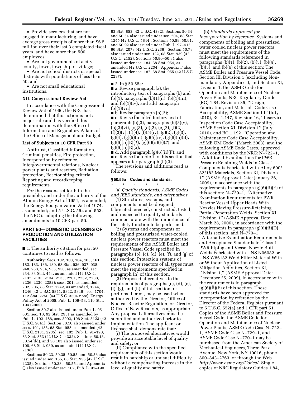• Provide services that are not engaged in manufacturing, and have average gross receipts of more than \$6.5 million over their last 3 completed fiscal years, and have more than 500 employees;

• Are not governments of a city, county, town, township or village;

• Are not school districts or special districts with populations of less than 50; and

• Are not small educational institutions.

#### **XII. Congressional Review Act**

In accordance with the Congressional Review Act of 1996, the NRC has determined that this action is not a major rule and has verified this determination with the Office of Information and Regulatory Affairs of the Office of Management and Budget.

#### **List of Subjects in 10 CFR Part 50**

Antitrust, Classified information, Criminal penalties, Fire protection, Incorporation by reference, Intergovernmental relations, Nuclear power plants and reactors, Radiation protection, Reactor siting criteria, Reporting and recordkeeping requirements.

For the reasons set forth in the preamble, and under the authority of the Atomic Energy Act of 1954, as amended; the Energy Reorganization Act of 1974, as amended; and 5 U.S.C. 552 and 553, the NRC is adopting the following amendments to 10 CFR part 50.

#### **PART 50—DOMESTIC LICENSING OF PRODUCTION AND UTILIZATION FACILITIES**

■ 1. The authority citation for part 50 continues to read as follows:

**Authority:** Secs. 102, 103, 104, 105, 161, 182, 183, 186, 189, 68 Stat. 936, 937, 938, 948, 953, 954, 955, 956, as amended, sec. 234, 83 Stat. 444, as amended (42 U.S.C. 2132, 2133, 2134, 2135, 2201, 2232, 2233, 2236, 2239, 2282); secs. 201, as amended, 202, 206, 88 Stat. 1242, as amended, 1244, 1246 (42 U.S.C. 5841, 5842, 5846); sec. 1704, 112 Stat. 2750 (44 U.S.C. 3504 note); Energy Policy Act of 2005, Pub. L. 109–58, 119 Stat. 194 (2005).

Section 50.7 also issued under Pub. L. 95– 601, sec. 10, 92 Stat. 2951 as amended by Pub. L. 102–486, sec. 2902, 106 Stat. 3123 (42 U.S.C. 5841), Section 50.10 also issued under secs. 101, 185, 68 Stat. 955, as amended (42 U.S.C. 2131, 2235); sec. 102, Pub. L. 91–190, 83 Stat. 853 (42 U.S.C. 4332). Sections 50.13, 50.54(dd), and 50.103 also issued under sec. 108, 68 Stat. 939, as amended (42 U.S.C. 2138).

Sections 50.23, 50.35, 50.55, and 50.56 also issued under sec. 185, 68 Stat. 955 (42 U.S.C. 2235). Sections 50.33a, 50.55a and Appendix Q also issued under sec. 102, Pub. L. 91–190,

83 Stat. 853 (42 U.S.C. 4332). Sections 50.34 and 50.54 also issued under sec. 204, 88 Stat. 1245 (42 U.S.C. 5844). Sections 50.58, 50.91, and 50.92 also issued under Pub. L. 97–415, 96 Stat. 2073 (42 U.S.C. 2239). Section 50.78 also issued under sec. 122, 68 Stat. 939 (42 U.S.C. 2152). Sections 50.80–50.81 also issued under sec. 184, 68 Stat. 954, as amended (42 U.S.C. 2234). Appendix F also issued under sec. 187, 68 Stat. 955 (42 U.S.C. 2237).

■ 2. In § 50.55a:

■ a. Revise paragraph (a), the introductory text of paragraphs (b) and (b)(1), paragraphs (b)(1)(ii), (b)(1)(iii), and (b)(1)(iv); and add paragraph (b)(1)(vii);

 $\blacksquare$  b. Revise paragraph (b)(2);

■ c. Revise the introductory text of paragraph  $(b)(3)$ , paragraphs  $(b)(3)(v)$ ,  $(b)(3)(vi), (c)(3), (d)(2), (e)(2), (f)(2),$  $(f)(3)(v)$ ,  $(f)(4)$ ,  $(f)(5)(iv)$ ,  $(g)(2)$ ,  $(g)(3)$ ,  $(g)(4)$ ,  $(g)(5)(iii)$ ,  $(g)(5)(iv)$ ,  $(g)(6)(ii)(B)$ , (g)(6)(ii)(E)(*1*), (g)(6)(ii)(E)(*2*), and (g)(6)(ii)(E)(*3*);

 $\blacksquare$  d. Add paragraph (g)(6)(ii)(F); and ■ e. Revise footnote 1 to this section that appears after paragraph (h)(3).

The revisions and additions read as follows:

#### **§ 50.55a Codes and standards.**

\* \* \* \* \* (a) *Quality standards, ASME Codes and IEEE standards, and alternatives.* 

(1) Structures, systems, and components must be designed, fabricated, erected, constructed, tested, and inspected to quality standards commensurate with the importance of the safety function to be performed.

(2) Systems and components of boiling and pressurized water-cooled nuclear power reactors must meet the requirements of the ASME Boiler and Pressure Vessel Code specified in paragraphs  $(b)$ ,  $(c)$ ,  $(d)$ ,  $(e)$ ,  $(f)$ , and  $(g)$  of this section. Protection systems of nuclear power reactors of all types must meet the requirements specified in paragraph (h) of this section.

(3) Proposed alternatives to the requirements of paragraphs (c), (d), (e), (f), (g), and (h) of this section, or portions thereof, may be used when authorized by the Director, Office of Nuclear Reactor Regulation, or Director, Office of New Reactors, as appropriate. Any proposed alternatives must be submitted and authorized prior to implementation. The applicant or licensee shall demonstrate that:

(i) The proposed alternatives would provide an acceptable level of quality and safety; or

(ii) Compliance with the specified requirements of this section would result in hardship or unusual difficulty without a compensating increase in the level of quality and safety.

(b) *Standards approved for incorporation by reference.* Systems and components of boiling and pressurized water cooled nuclear power reactors must meet the requirements of the following standards referenced in paragraphs (b)(1), (b)(2), (b)(3), (b)(4), (b)(5), and (b)(6) of this section: The ASME Boiler and Pressure Vessel Code, Section III, Division 1 (excluding Nonmandatory Appendices), and Section XI, Division 1; the ASME Code for Operation and Maintenance of Nuclear Power Plants; NRC Regulatory Guide (RG) 1.84, Revision 35, ''Design, Fabrication, and Materials Code Case Acceptability, ASME Section III'' (July 2010), RG 1.147, Revision 16, ''Inservice Inspection Code Case Acceptability, ASME Section XI, Division 1'' (July 2010), and RG 1.192, ''Operation and Maintenance Code Case Acceptability, ASME OM Code'' (March 2003); and the following ASME Code Cases, approved with conditions by the NRC: N–722–1, ''Additional Examinations for PWR Pressure Retaining Welds in Class 1 Components Fabricated with Alloy 600/ 82/182 Materials, Section XI, Division 1'' (ASME Approval Date: January 26, 2009), in accordance with the requirements in paragraph (g)(6)(ii)(E) of this section; N–729–1, ''Alternative Examination Requirements for PWR Reactor Vessel Upper Heads With Nozzles Having Pressure-Retaining Partial-Penetration Welds, Section XI, Division 1'' (ASME Approval Date: March 28, 2006), in accordance with the requirements in paragraph (g)(6)(ii)(D) of this section; and N–770–1, ''Alternative Examination Requirements and Acceptance Standards for Class 1 PWR Piping and Vessel Nozzle Butt Welds Fabricated with UNS N06082 or UNS W86182 Weld Filler Material With or Without Application of Listed Mitigation Activities, Section XI, Division 1,'' (ASME Approval Date: December 25, 2009), in accordance with the requirements in paragraph  $(g)(6)(ii)(F)$  of this section. These standards have been approved for incorporation by reference by the Director of the Federal Register pursuant to 5 U.S.C. 552(a) and 1 CFR part 51. Copies of the ASME Boiler and Pressure Vessel Code, the ASME Code for Operation and Maintenance of Nuclear Power Plants, ASME Code Case N–722– 1, ASME Code Case N–729–1, and ASME Code Case N–770–1 may be purchased from the American Society of Mechanical Engineers, Three Park Avenue, New York, NY 10016, phone 800–843–2763, or through the Web *[http://www.asme.org/Codes/.](http://www.asme.org/Codes/)* Single copies of NRC Regulatory Guides 1.84,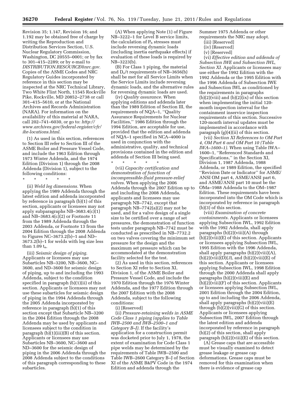Revision 35; 1.147, Revision 16; and 1.192 may be obtained free of charge by writing the Reproduction and Distribution Services Section, U.S. Nuclear Regulatory Commission, Washington, DC 20555–0001; or by fax to 301–415–2289; or by e-mail to *[DISTRIBUTION.RESOURCE@nrc.gov.](mailto:DISTRIBUTION.RESOURCE@nrc.gov)*  Copies of the ASME Codes and NRC Regulatory Guides incorporated by reference in this section may be inspected at the NRC Technical Library, Two White Flint North, 11545 Rockville Pike, Rockville, MD 20852–2738 or call 301–415–5610, or at the National Archives and Records Administration (NARA). For information on the availability of this material at NARA, call 202–741–6030, or go to: *[http://](http://www.archives.gov/federal-register/cfr/ibr-locations.html)  [www.archives.gov/federal-register/cfr/](http://www.archives.gov/federal-register/cfr/ibr-locations.html)  [ibr-locations.html](http://www.archives.gov/federal-register/cfr/ibr-locations.html)*.

(1) As used in this section, references to Section III refer to Section III of the ASME Boiler and Pressure Vessel Code, and include the 1963 Edition through 1973 Winter Addenda, and the 1974 Edition (Division 1) through the 2008 Addenda (Division 1), subject to the following conditions:

\* \* \* \* \*

(ii) *Weld leg dimensions.* When applying the 1989 Addenda through the latest edition and addenda incorporated by reference in paragraph (b)(1) of this section, applicants or licensees may not apply subparagraphs NB–3683.4(c)(1) and NB–3683.4(c)(2) or Footnote 11 from the 1989 Addenda through the 2003 Addenda, or Footnote 13 from the 2004 Edition through the 2008 Addenda to Figures NC–3673.2(b)–1 and ND– 3673.2(b)–1 for welds with leg size less than 1.09  $t_n$ .

(iii) *Seismic design of piping.*  Applicants or licensees may use Subarticles NB–3200, NB–3600, NC– 3600, and ND–3600 for seismic design of piping, up to and including the 1993 Addenda, subject to the condition specified in paragraph (b)(1)(ii) of this section. Applicants or licensees may not use these subarticles for seismic design of piping in the 1994 Addenda through the 2005 Addenda incorporated by reference in paragraph (b)(1) of this section except that Subarticle NB–3200 in the 2004 Edition through the 2008 Addenda may be used by applicants and licensees subject to the condition in paragraph (b)(1)(iii)(B) of this section. Applicants or licensees may use Subarticles NB–3600, NC–3600 and ND–3600 for the seismic design of piping in the 2006 Addenda through the 2008 Addenda subject to the conditions of this paragraph corresponding to these subarticles.

(A) When applying Note (1) of Figure NB–3222–1 for Level B service limits, the calculation of  $P_b$  stresses must include reversing dynamic loads (including inertia earthquake effects) if evaluation of these loads is required by NB–3223(b).

(B) For Class 1 piping, the material and  $D_0/t$  requirements of NB–3656(b) shall be met for all Service Limits when the Service Limits include reversing dynamic loads, and the alternative rules for reversing dynamic loads are used.

(iv) *Quality assurance.* When applying editions and addenda later than the 1989 Edition of Section III, the requirements of NQA–1, ''Quality Assurance Requirements for Nuclear Facilities,'' 1986 Edition through the 1994 Edition, are acceptable for use, provided that the edition and addenda of NQA–1 specified in NCA–4000 is used in conjunction with the administrative, quality, and technical provisions contained in the edition and addenda of Section III being used.

\* \* \* \* \* (vii) *Capacity certification and demonstration of function of incompressible-fluid pressure-relief valves.* When applying the 2006 Addenda through the 2007 Edition up to and including the 2008 Addenda, applicants and licensees may use paragraph NB–7742, except that paragraph NB–7742(a)(2) may not be used, and for a valve design of a single size to be certified over a range of set pressures, the demonstration of function tests under paragraph NB–7742 must be conducted as prescribed in NB–7732.2 on two valves covering the minimum set pressure for the design and the maximum set pressure which can be accommodated at the demonstration facility selected for the test.

(2) As used in this section, references to Section XI refer to Section XI, Division 1, of the ASME Boiler and Pressure Vessel Code, and include the 1970 Edition through the 1976 Winter Addenda, and the 1977 Edition through the 2007 Edition with the 2008 Addenda, subject to the following conditions:

(i) [Reserved]

(ii) *Pressure-retaining welds in ASME Code Class 1 piping (applies to Table IWB–2500 and IWB–2500–1 and Category B–J).* If the facility's application for a construction permit was docketed prior to July 1, 1978, the extent of examination for Code Class 1 pipe welds may be determined by the requirements of Table IWB–2500 and Table IWB–2600 Category B–J of Section XI of the ASME B&PV Code in the 1974 Edition and addenda through the

Summer 1975 Addenda or other requirements the NRC may adopt.

- (iii) [Reserved]
- (iv) [Reserved]
- (v) [Reserved]

(vi) *Effective edition and addenda of Subsection IWE and Subsection IWL, Section XI.* Applicants or licensees may use either the 1992 Edition with the 1992 Addenda or the 1995 Edition with the 1996 Addenda of Subsection IWE and Subsection IWL as conditioned by the requirements in paragraphs  $(b)(2)(viii)$  and  $(b)(2)(ix)$  of this section when implementing the initial 120 month inspection interval for the containment inservice inspection requirements of this section. Successive 120-month interval updates must be implemented in accordance with paragraph (g)(4)(ii) of this section.

(vii) *Section XI References to OM Part 4, OM Part 6 and OM Part 10 (Table IWA–1600–1).* When using Table IWA– 1600–1, ''Referenced Standards and Specifications,'' in the Section XI, Division 1, 1987 Addenda, 1988 Addenda, or 1989 Edition, the specified ''Revision Date or Indicator'' for ASME/ ANSI OM part 4, ASME/ANSI part 6, and ASME/ANSI part 10 must be the OMa–1988 Addenda to the OM–1987 Edition. These requirements have been incorporated into the OM Code which is incorporated by reference in paragraph (b)(3) of this section.

(viii) *Examination of concrete containments.* Applicants or licensees applying Subsection IWL, 1992 Edition with the 1992 Addenda, shall apply paragraphs (b)(2)(viii)(A) through (b)(2)(viii)(E) of this section. Applicants or licensees applying Subsection IWL, 1995 Edition with the 1996 Addenda, shall apply paragraphs (b)(2)(viii)(A), (b)(2)(viii)(D)(*3*), and (b)(2)(viii)(E) of this section. Applicants or licensees applying Subsection IWL, 1998 Edition through the 2000 Addenda shall apply paragraphs (b)(2)(viii)(E) and (b)(2)(viii)(F) of this section. Applicants or licensees applying Subsection IWL, 2001 Edition through the 2004 Edition, up to and including the 2006 Addenda, shall apply paragraphs (b)(2)(viii)(E) through (b)(2)(viii)(G) of this section. Applicants or licensees applying Subsection IWL, 2007 Edition through the latest edition and addenda incorporated by reference in paragraph (b)(2) of this section, shall apply paragraph  $(b)(2)(viii)(E)$  of this section.

(A) Grease caps that are accessible must be visually examined to detect grease leakage or grease cap deformations. Grease caps must be removed for this examination when there is evidence of grease cap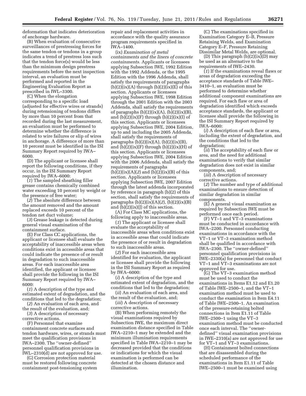deformation that indicates deterioration of anchorage hardware.

(B) When evaluation of consecutive surveillances of prestressing forces for the same tendon or tendons in a group indicates a trend of prestress loss such that the tendon force(s) would be less than the minimum design prestress requirements before the next inspection interval, an evaluation must be performed and reported in the Engineering Evaluation Report as prescribed in IWL–3300.

(C) When the elongation corresponding to a specific load (adjusted for effective wires or strands) during retensioning of tendons differs by more than 10 percent from that recorded during the last measurement, an evaluation must be performed to determine whether the difference is related to wire failures or slip of wires in anchorage. A difference of more than 10 percent must be identified in the ISI Summary Report required by IWA– 6000.

(D) The applicant or licensee shall report the following conditions, if they occur, in the ISI Summary Report required by IWA–6000:

(*1*) The sampled sheathing filler grease contains chemically combined water exceeding 10 percent by weight or the presence of free water;

(*2*) The absolute difference between the amount removed and the amount replaced exceeds 10 percent of the tendon net duct volume;

(*3*) Grease leakage is detected during general visual examination of the containment surface.

(E) For Class CC applications, the applicant or licensee shall evaluate the acceptability of inaccessible areas when conditions exist in accessible areas that could indicate the presence of or result in degradation to such inaccessible areas. For each inaccessible area identified, the applicant or licensee shall provide the following in the ISI Summary Report required by IWA– 6000:

(*1*) A description of the type and estimated extent of degradation, and the conditions that led to the degradation;

(*2*) An evaluation of each area, and the result of the evaluation, and;

(*3*) A description of necessary corrective actions.

(F) Personnel that examine containment concrete surfaces and tendon hardware, wires, or strands must meet the qualification provisions in IWA–2300. The ''owner-defined'' personnel qualification provisions in IWL–2310(d) are not approved for use.

(G) Corrosion protection material must be restored following concrete containment post-tensioning system repair and replacement activities in accordance with the quality assurance program requirements specified in IWA–1400.

(ix) *Examination of metal containments and the liners of concrete containments.* Applicants or licensees applying Subsection IWE, 1992 Edition with the 1992 Addenda, or the 1995 Edition with the 1996 Addenda, shall satisfy the requirements of paragraphs  $(b)(2)(ix)(A)$  through  $(b)(2)(ix)(E)$  of this section. Applicants or licensees applying Subsection IWE, 1998 Edition through the 2001 Edition with the 2003 Addenda, shall satisfy the requirements of paragraphs  $(b)(2)(ix)(A)$ ,  $(b)(2)(ix)(B)$ , and  $(b)(2)(ix)(F)$  through  $(b)(2)(ix)(I)$  of this section. Applicants or licensees applying Subsection IWE, 2004 Edition, up to and including the 2005 Addenda, shall satisfy the requirements of paragraphs  $(b)(2)(ix)(A)$ ,  $(b)(2)(ix)(B)$ and  $(b)(2)(ix)(F)$  through  $(b)(2)(ix)(H)$  of this section. Applicants or licensees applying Subsection IWE, 2004 Edition with the 2006 Addenda, shall satisfy the requirements of paragraphs  $(b)(2)(ix)(A)(2)$  and  $(b)(2)(ix)(B)$  of this section. Applicants or licensees applying Subsection IWE, 2007 Edition through the latest addenda incorporated by reference in paragraph (b)(2) of this section, shall satisfy the requirements of paragraphs  $(b)(2)(ix)(A)(2)$ ,  $(b)(2)(ix)(B)$ and (b)(2)(ix)(J) of this section.

(A) For Class MC applications, the following apply to inaccessible areas.

(*1*) The applicant or licensee shall evaluate the acceptability of inaccessible areas when conditions exist in accessible areas that could indicate the presence of or result in degradation to such inaccessible areas.

(*2*) For each inaccessible area identified for evaluation, the applicant or licensee shall provide the following in the ISI Summary Report as required by IWA–6000:

(*i*) A description of the type and estimated extent of degradation, and the conditions that led to the degradation;

(*ii*) An evaluation of each area, and the result of the evaluation, and;

(*iii*) A description of necessary corrective actions.

(B) When performing remotely the visual examinations required by Subsection IWE, the maximum direct examination distance specified in Table IWA–2210–1 may be extended and the minimum illumination requirements specified in Table IWA–2210–1 may be decreased provided that the conditions or indications for which the visual examination is performed can be detected at the chosen distance and illumination.

(C) The examinations specified in Examination Category E–B, Pressure Retaining Welds, and Examination Category E–F, Pressure Retaining Dissimilar Metal Welds, are optional.

(D) This paragraph  $(b)(2)(ix)(D)$  may be used as an alternative to the requirements of IWE–2430.

(*1*) If the examinations reveal flaws or areas of degradation exceeding the acceptance standards of Table IWE– 3410–1, an evaluation must be performed to determine whether additional component examinations are required. For each flaw or area of degradation identified which exceeds acceptance standards, the applicant or licensee shall provide the following in the ISI Summary Report required by IWA–6000:

(*i*) A description of each flaw or area, including the extent of degradation, and the conditions that led to the degradation;

(*ii*) The acceptability of each flaw or area, and the need for additional examinations to verify that similar degradation does not exist in similar components, and;

(*iii*) A description of necessary corrective actions.

(*2*) The number and type of additional examinations to ensure detection of similar degradation in similar components.

(E) A general visual examination as required by Subsection IWE must be performed once each period.

(F) VT–1 and VT–3 examinations must be conducted in accordance with IWA–2200. Personnel conducting examinations in accordance with the VT–1 or VT–3 examination method shall be qualified in accordance with IWA–2300. The ''owner-defined'' personnel qualification provisions in IWE–2330(a) for personnel that conduct VT–1 and VT–3 examinations are not approved for use.

(G) The VT–3 examination method must be used to conduct the examinations in Items E1.12 and E1.20 of Table IWE–2500–1, and the VT–1 examination method must be used to conduct the examination in Item E4.11 of Table IWE–2500–1. An examination of the pressure-retaining bolted connections in Item E1.11 of Table IWE–2500–1 using the VT–3 examination method must be conducted once each interval. The ''ownerdefined'' visual examination provisions in IWE–2310(a) are not approved for use for VT–1 and VT–3 examinations.

(H) Containment bolted connections that are disassembled during the scheduled performance of the examinations in Item E1.11 of Table IWE–2500–1 must be examined using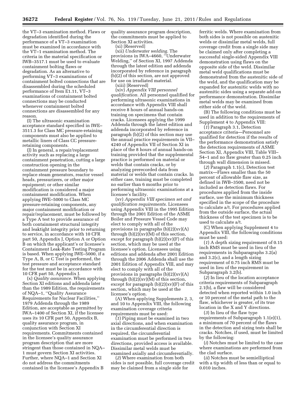the VT–3 examination method. Flaws or degradation identified during the performance of a VT–3 examination must be examined in accordance with the VT–1 examination method. The criteria in the material specification or IWB–3517.1 must be used to evaluate containment bolting flaws or degradation. As an alternative to performing VT–3 examinations of containment bolted connections that are disassembled during the scheduled performance of Item E1.11, VT–3 examinations of containment bolted connections may be conducted whenever containment bolted connections are disassembled for any reason.

(I) The ultrasonic examination acceptance standard specified in IWE– 3511.3 for Class MC pressure-retaining components must also be applied to metallic liners of Class CC pressureretaining components.

(J) In general, a repair/replacement activity such as replacing a large containment penetration, cutting a large construction opening in the containment pressure boundary to replace steam generators, reactor vessel heads, pressurizers, or other major equipment; or other similar modification is considered a major containment modification. When applying IWE–5000 to Class MC pressure-retaining components, any major containment modification or repair/replacement, must be followed by a Type A test to provide assurance of both containment structural integrity and leaktight integrity prior to returning to service, in accordance with 10 CFR part 50, Appendix J, Option A or Option B on which the applicant's or licensee's Containment Leak-Rate Testing Program is based. When applying IWE–5000, if a Type A, B, or C Test is performed, the test pressure and acceptance standard for the test must be in accordance with 10 CFR part 50, Appendix J.

(x) *Quality assurance.* When applying Section XI editions and addenda later than the 1989 Edition, the requirements of NQA–1, ''Quality Assurance Requirements for Nuclear Facilities,'' 1979 Addenda through the 1989 Edition, are acceptable as permitted by IWA–1400 of Section XI, if the licensee uses its 10 CFR part 50, Appendix B, quality assurance program, in conjunction with Section XI requirements. Commitments contained in the licensee's quality assurance program description that are more stringent than those contained in NQA– 1 must govern Section XI activities. Further, where NQA–1 and Section XI do not address the commitments contained in the licensee's Appendix B

quality assurance program description, the commitments must be applied to Section XI activities.

(xi) [Reserved]

(xii) *Underwater welding.* The provisions in IWA–4660, ''Underwater Welding,'' of Section XI, 1997 Addenda through the latest edition and addenda incorporated by reference in paragraph (b)(2) of this section, are not approved for use on irradiated material. (xiii) [Reserved]

(xiv) *Appendix VIII personnel qualification.* All personnel qualified for performing ultrasonic examinations in accordance with Appendix VIII shall receive 8 hours of annual hands-on training on specimens that contain cracks. Licensees applying the 1999 Addenda through the latest edition and addenda incorporated by reference in paragraph (b)(2) of this section may use the annual practice requirements in VII– 4240 of Appendix VII of Section XI in place of the 8 hours of annual hands-on training provided that the supplemental practice is performed on material or welds that contain cracks, or by analyzing prerecorded data from material or welds that contain cracks. In either case, training must be completed no earlier than 6 months prior to performing ultrasonic examinations at a licensee's facility.

(xv) *Appendix VIII specimen set and qualification requirements.* Licensees using Appendix VIII in the 1995 Edition through the 2001 Edition of the ASME Boiler and Pressure Vessel Code may elect to comply with all of the provisions in paragraphs (b)(2)(xv)(A) through  $(b)(2)(x)(M)$  of this section, except for paragraph  $(b)(2)(x)(F)$  of this section, which may be used at the licensee's option. Licensees using editions and addenda after 2001 Edition through the 2006 Addenda shall use the 2001 Edition of Appendix VIII, and may elect to comply with all of the provisions in paragraphs (b)(2)(xv)(A) through  $(b)(2)(xv)(M)$  of this section, except for paragraph  $(b)(2)(x)(F)$  of this section, which may be used at the licensee's option.

(A) When applying Supplements 2, 3, and 10 to Appendix VIII, the following examination coverage criteria requirements must be used:

(*1*) Piping must be examined in two axial directions, and when examination in the circumferential direction is required, the circumferential examination must be performed in two directions, provided access is available. Dissimilar metal welds must be examined axially and circumferentially.

(*2*) Where examination from both sides is not possible, full coverage credit may be claimed from a single side for

ferritic welds. Where examination from both sides is not possible on austenitic welds or dissimilar metal welds, full coverage credit from a single side may be claimed only after completing a successful single-sided Appendix VIII demonstration using flaws on the opposite side of the weld. Dissimilar metal weld qualifications must be demonstrated from the austenitic side of the weld, and the qualification may be expanded for austenitic welds with no austenitic sides using a separate add-on performance demonstration. Dissimilar metal welds may be examined from either side of the weld.

(B) The following conditions must be used in addition to the requirements of Supplement 4 to Appendix VIII:

(*1*) Paragraph 3.1, Detection acceptance criteria—Personnel are qualified for detection if the results of the performance demonstration satisfy the detection requirements of ASME Section XI, Appendix VIII, Table VIII– S4–1 and no flaw greater than 0.25 inch through wall dimension is missed.

(*2*) Paragraph 1.1(c), Detection test matrix—Flaws smaller than the 50 percent of allowable flaw size, as defined in IWB–3500, need not be included as detection flaws. For procedures applied from the inside surface, use the minimum thickness specified in the scope of the procedure to calculate a/t. For procedures applied from the outside surface, the actual thickness of the test specimen is to be used to calculate a/t.

(C) When applying Supplement 4 to Appendix VIII, the following conditions must be used:

(*1*) A depth sizing requirement of 0.15 inch RMS must be used in lieu of the requirements in Subparagraphs 3.2(a) and 3.2(c), and a length sizing requirement of 0.75 inch RMS must be used in lieu of the requirement in Subparagraph 3.2(b).

(*2*) In lieu of the location acceptance criteria requirements of Subparagraph 2.1(b), a flaw will be considered detected when reported within 1.0 inch or 10 percent of the metal path to the flaw, whichever is greater, of its true location in the X and Y directions.

(*3*) In lieu of the flaw type requirements of Subparagraph 1.1(e)(1), a minimum of 70 percent of the flaws in the detection and sizing tests shall be cracks. Notches, if used, must be limited by the following:

(*i*) Notches must be limited to the case where examinations are performed from the clad surface.

(*ii*) Notches must be semielliptical with a tip width of less than or equal to 0.010 inches.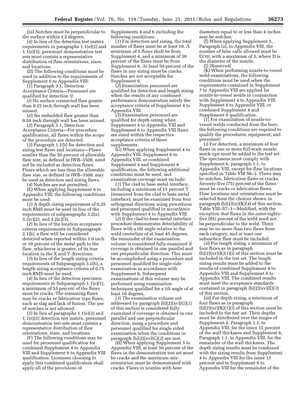(*iii*) Notches must be perpendicular to the surface within  $\pm 2$  degrees.

(*4*) In lieu of the detection test matrix requirements in paragraphs 1.1(e)(2) and 1.1(e)(3), personnel demonstration test sets must contain a representative distribution of flaw orientations, sizes, and locations.

(D) The following conditions must be used in addition to the requirements of Supplement 6 to Appendix VIII:

(*1*) Paragraph 3.1, Detection Acceptance Criteria—Personnel are qualified for detection if:

(*i*) No surface connected flaw greater than 0.25 inch through wall has been missed.

(*ii*) No embedded flaw greater than 0.50 inch through wall has been missed.

(*2*) Paragraph 3.1, Detection Acceptance Criteria—For procedure qualification, all flaws within the scope of the procedure are detected.

(*3*) Paragraph 1.1(b) for detection and sizing test flaws and locations—Flaws smaller than the 50 percent of allowable flaw size, as defined in IWB–3500, need not be included as detection flaws. Flaws which are less than the allowable flaw size, as defined in IWB–3500, may be used as detection and sizing flaws.

(*4*) Notches are not permitted.

(E) When applying Supplement 6 to Appendix VIII, the following conditions must be used:

(*1*) A depth sizing requirement of 0.25 inch RMS must be used in lieu of the requirements of subparagraphs 3.2(a),  $3.2(c)(2)$ , and  $3.2(c)(3)$ .

(*2*) In lieu of the location acceptance criteria requirements in Subparagraph 2.1(b), a flaw will be considered detected when reported within 1.0 inch or 10 percent of the metal path to the flaw, whichever is greater, of its true location in the X and Y directions.

(*3*) In lieu of the length sizing criteria requirements of Subparagraph 3.2(b), a length sizing acceptance criteria of 0.75 inch RMS must be used.

(*4*) In lieu of the detection specimen requirements in Subparagraph 1.1(e)(1), a minimum of 55 percent of the flaws must be cracks. The remaining flaws may be cracks or fabrication type flaws, such as slag and lack of fusion. The use of notches is not allowed.

(*5*) In lieu of paragraphs 1.1(e)(2) and 1.1(e)(3) detection test matrix, personnel demonstration test sets must contain a representative distribution of flaw orientations, sizes, and locations.

(F) The following conditions may be used for personnel qualification for combined Supplement 4 to Appendix VIII and Supplement 6 to Appendix VIII qualification. Licensees choosing to apply this combined qualification shall apply all of the provisions of

Supplements 4 and 6 including the following conditions:

(*1*) For detection and sizing, the total number of flaws must be at least 10. A minimum of 5 flaws shall be from Supplement 4, and a minimum of 50 percent of the flaws must be from Supplement 6. At least 50 percent of the flaws in any sizing must be cracks. Notches are not acceptable for Supplement 6.

(*2*) Examination personnel are qualified for detection and length sizing when the results of any combined performance demonstration satisfy the acceptance criteria of Supplement 4 to Appendix VIII.

(*3*) Examination personnel are qualified for depth sizing when Supplement 4 to Appendix VIII and Supplement 6 to Appendix VIII flaws are sized within the respective acceptance criteria of those supplements.

(G) When applying Supplement 4 to Appendix VIII, Supplement 6 to Appendix VIII, or combined Supplement 4 and Supplement 6 qualification, the following additional conditions must be used, and examination coverage must include:

(*1*) The clad to base metal interface, including a minimum of 15 percent T (measured from the clad to base metal interface), must be examined from four orthogonal directions using procedures and personnel qualified in accordance with Supplement 4 to Appendix VIII.

(*2*) If the clad-to-base-metal-interface procedure demonstrates detectability of flaws with a tilt angle relative to the weld centerline of at least 45 degrees, the remainder of the examination volume is considered fully examined if coverage is obtained in one parallel and one perpendicular direction. This must be accomplished using a procedure and personnel qualified for single-side examination in accordance with Supplement 6. Subsequent examinations of this volume may be performed using examination techniques qualified for a tilt angle of at least 10 degrees.

(*3*) The examination volume not addressed by paragraph (b)(2)(xv)(G)(*1*) of this section is considered fully examined if coverage is obtained in one parallel and one perpendicular direction, using a procedure and personnel qualified for single sided examination when the conditions in paragraph (b)(2)(xv)(G)(*2*) are met.

(H) When applying Supplement 5 to Appendix VIII, at least 50 percent of the flaws in the demonstration test set must be cracks and the maximum misorientation must be demonstrated with cracks. Flaws in nozzles with bore

diameters equal to or less than 4 inches may be notches.

(I) When applying Supplement 5, Paragraph (a), to Appendix VIII, the number of false calls allowed must be D/10, with a maximum of 3, where D is the diameter of the nozzle.

(J) [Reserved]

(K) When performing nozzle-to-vessel weld examinations, the following conditions must be used when the requirements contained in Supplement 7 to Appendix VIII are applied for nozzle-to-vessel welds in conjunction with Supplement 4 to Appendix VIII, Supplement 6 to Appendix VIII, or combined Supplement 4 and Supplement 6 qualification.

(*1*) For examination of nozzle-tovessel welds conducted from the bore, the following conditions are required to qualify the procedures, equipment, and personnel:

(*i*) For detection, a minimum of four flaws in one or more full-scale nozzle mock-ups must be added to the test set. The specimens must comply with Supplement 6, paragraph 1.1, to Appendix VIII, except for flaw locations specified in Table VIII S6–1. Flaws may be notches, fabrication flaws or cracks. Seventy-five (75) percent of the flaws must be cracks or fabrication flaws. Flaw locations and orientations must be selected from the choices shown in paragraph (b)(2)(xi)(K)(*4*) of this section, Table VIII–S7–1—Modified, with the exception that flaws in the outer eightyfive (85) percent of the weld need not be perpendicular to the weld. There may be no more than two flaws from each category, and at least one subsurface flaw must be included.

(*ii*) For length sizing, a minimum of four flaws as in paragraph  $(b)(2)(xv)(K)(1)(i)$  of this section must be included in the test set. The length sizing results must be added to the results of combined Supplement 4 to Appendix VIII and Supplement 6 to Appendix VIII. The combined results must meet the acceptance standards contained in paragraph (b)(2)(xv)(E)(*3*) of this section.

(*iii*) For depth sizing, a minimum of four flaws as in paragraph  $(b)(2)(xv)(K)(1)(i)$  of this section must be included in the test set. Their depths must be distributed over the ranges of Supplement 4, Paragraph 1.1, to Appendix VIII, for the inner 15 percent of the wall thickness and Supplement 6, Paragraph 1.1, to Appendix VIII, for the remainder of the wall thickness. The depth sizing results must be combined with the sizing results from Supplement 4 to Appendix VIII for the inner 15 percent and to Supplement 6 to Appendix VIII for the remainder of the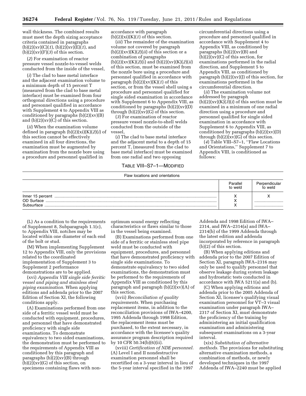wall thickness. The combined results must meet the depth sizing acceptance criteria contained in paragraphs (b)(2)(xv)(C)(*1*), (b)(2)(xv)(E)(*1*), and  $(b)(2)(xy)(F)(3)$  of this section.

(*2*) For examination of reactor pressure vessel nozzle-to-vessel welds conducted from the inside of the vessel,

(*i*) The clad to base metal interface and the adjacent examination volume to a minimum depth of 15 percent T (measured from the clad to base metal interface) must be examined from four orthogonal directions using a procedure and personnel qualified in accordance with Supplement 4 to Appendix VIII as conditioned by paragraphs  $(b)(2)(x)(B)$ and  $(b)(2)(x)(\overline{C})$  of this section.

(*ii*) When the examination volume defined in paragraph (b)(2)(xi)(K)(*2*)(*i*) of this section cannot be effectively examined in all four directions, the examination must be augmented by examination from the nozzle bore using a procedure and personnel qualified in

accordance with paragraph  $(b)(2)(xi)(K)(1)$  of this section.

(*iii*) The remainder of the examination volume not covered by paragraph  $(b)(2)(xy)(K)(2)(ii)$  of this section or a combination of paragraphs (b)(2)(xv)(K)(*2*)(i) and (b)(2)(xv)(K)(*2*)(*ii*) of this section, must be examined from the nozzle bore using a procedure and personnel qualified in accordance with paragraph (b)(2)(xv)(K)(*1*) of this section, or from the vessel shell using a procedure and personnel qualified for single sided examination in accordance with Supplement 6 to Appendix VIII, as conditioned by paragraphs  $(b)(2)(x)(D)$ through  $(b)(2)(xy)(G)$  of this section.

(*3*) For examination of reactor pressure vessel nozzle-to-shell welds conducted from the outside of the vessel,

(*i*) The clad to base metal interface and the adjacent metal to a depth of 15 percent T, (measured from the clad to base metal interface) must be examined from one radial and two opposing

# TABLE VIII–S7–1—MODIFIED Flaw locations and orientations

circumferential directions using a procedure and personnel qualified in accordance with Supplement 4 to Appendix VIII, as conditioned by paragraphs  $(b)(2)(x)(b)$  and  $(b)(2)(xy)(C)$  of this section, for examinations performed in the radial direction, and Supplement 5 to Appendix VIII, as conditioned by paragraph  $(b)(2)(xv)(J)$  of this section, for examinations performed in the circumferential direction.

(*ii*) The examination volume not addressed by paragraph  $(b)(2)(xy)(K)(3)(i)$  of this section must be examined in a minimum of one radial direction using a procedure and personnel qualified for single sided examination in accordance with Supplement 6 to Appendix VIII, as conditioned by paragraphs  $(b)(2)(x)(D)$ through  $(b)(2)(x)(G)$  of this section.

(*4*) Table VIII–S7–1, ''Flaw Locations and Orientations,'' Supplement 7 to Appendix VIII, is conditioned as follows:

|            | Parallel<br>to weld | Perpendicular<br>to weld |
|------------|---------------------|--------------------------|
|            |                     |                          |
| OD Surface |                     |                          |
| Subsurface |                     |                          |

(L) As a condition to the requirements of Supplement 8, Subparagraph 1.1(c), to Appendix VIII, notches may be located within one diameter of each end of the bolt or stud.

(M) When implementing Supplement 12 to Appendix VIII, only the provisions related to the coordinated implementation of Supplement 3 to Supplement 2 performance demonstrations are to be applied.

(xvi) *Appendix VIII single side ferritic vessel and piping and stainless steel piping examination.* When applying editions and addenda prior to the 2007 Edition of Section XI, the following conditions apply.

(A) Examinations performed from one side of a ferritic vessel weld must be conducted with equipment, procedures, and personnel that have demonstrated proficiency with single side examinations. To demonstrate equivalency to two sided examinations, the demonstration must be performed to the requirements of Appendix VIII as conditioned by this paragraph and paragraphs  $(b)(2)(x)(b)$  through  $(b)(2)(xy)(G)$  of this section, on specimens containing flaws with nonoptimum sound energy reflecting characteristics or flaws similar to those in the vessel being examined.

(B) Examinations performed from one side of a ferritic or stainless steel pipe weld must be conducted with equipment, procedures, and personnel that have demonstrated proficiency with single side examinations. To demonstrate equivalency to two sided examinations, the demonstration must be performed to the requirements of Appendix VIII as conditioned by this paragraph and paragraph (b)(2)(xv)(A) of this section.

(xvii) *Reconciliation of quality requirements.* When purchasing replacement items, in addition to the reconciliation provisions of IWA–4200, 1995 Addenda through 1998 Edition, the replacement items must be purchased, to the extent necessary, in accordance with the licensee's quality assurance program description required by 10 CFR 50.34(b)(6)(ii).

(xviii) *Certification of NDE personnel.*  (A) Level I and II nondestructive examination personnel shall be recertified on a 3-year interval in lieu of the 5-year interval specified in the 1997

Addenda and 1998 Edition of IWA– 2314, and IWA–2314(a) and IWA– 2314(b) of the 1999 Addenda through the latest edition and addenda incorporated by reference in paragraph (b)(2) of this section.

(B) When applying editions and addenda prior to the 2007 Edition of Section XI, paragraph IWA–2316 may only be used to qualify personnel that observe leakage during system leakage and hydrostatic tests conducted in accordance with IWA 5211(a) and (b).

(C) When applying editions and addenda prior to the 2005 Addenda of Section XI, licensee's qualifying visual examination personnel for VT–3 visual examination under paragraph IWA– 2317 of Section XI, must demonstrate the proficiency of the training by administering an initial qualification examination and administering subsequent examinations on a 3-year interval.

(xix) *Substitution of alternative methods.* The provisions for substituting alternative examination methods, a combination of methods, or newly developed techniques in the 1997 Addenda of IWA–2240 must be applied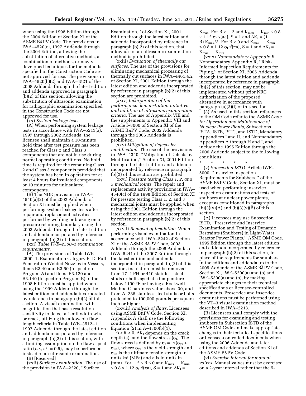when using the 1998 Edition through the 2004 Edition of Section XI of the ASME B&PV Code. The provisions in IWA–4520(c), 1997 Addenda through the 2004 Edition, allowing the substitution of alternative methods, a combination of methods, or newly developed techniques for the methods specified in the Construction Code are not approved for use. The provisions in IWA–4520(b)(2) and IWA–4521 of the 2008 Addenda through the latest edition and addenda approved in paragraph (b)(2) of this section, allowing the substitution of ultrasonic examination for radiographic examination specified in the Construction Code are not approved for use.

(xx) *System leakage tests.* 

(A) When performing system leakage tests in accordance with IWA–5213(a), 1997 through 2002 Addenda, the licensee shall maintain a 10-minute hold time after test pressure has been reached for Class 2 and Class 3 components that are not in use during normal operating conditions. No hold time is required for the remaining Class 2 and Class 3 components provided that the system has been in operation for at least 4 hours for insulated components or 10 minutes for uninsulated components.

(B) The NDE provision in IWA– 4540(a)(2) of the 2002 Addenda of Section XI must be applied when performing system leakage tests after repair and replacement activities performed by welding or brazing on a pressure retaining boundary using the 2003 Addenda through the latest edition and addenda incorporated by reference in paragraph (b)(2) of this section.

(xxi) *Table IWB–2500–1 examination requirements.* 

(A) The provisions of Table IWB– 2500–1, Examination Category B–D, Full Penetration Welded Nozzles in Vessels, Items B3.40 and B3.60 (Inspection Program A) and Items B3.120 and B3.140 (Inspection Program B) of the 1998 Edition must be applied when using the 1999 Addenda through the latest edition and addenda incorporated by reference in paragraph (b)(2) of this section. A visual examination with magnification that has a resolution sensitivity to detect a 1-mil width wire or crack, utilizing the allowable flaw length criteria in Table IWB–3512–1, 1997 Addenda through the latest edition and addenda incorporated by reference in paragraph (b)(2) of this section, with a limiting assumption on the flaw aspect ratio ( $i.e., a/l = 0.5$ ), may be performed instead of an ultrasonic examination.

(B) [Reserved]

(xxii) *Surface examination.* The use of the provision in IWA–2220, ''Surface

Examination,'' of Section XI, 2001 Edition through the latest edition and addenda incorporated by reference in paragraph (b)(2) of this section, that allow use of an ultrasonic examination method is prohibited.

(xxiii) *Evaluation of thermally cut surfaces.* The use of the provisions for eliminating mechanical processing of thermally cut surfaces in IWA–4461.4.2 of Section XI, 2001 Edition through the latest edition and addenda incorporated by reference in paragraph (b)(2) of this section are prohibited.

(xxiv) *Incorporation of the performance demonstration initiative and addition of ultrasonic examination criteria.* The use of Appendix VIII and the supplements to Appendix VIII and Article I–3000 of Section XI of the ASME B&PV Code, 2002 Addenda through the 2006 Addenda is prohibited.

(xxv) *Mitigation of defects by modification.* The use of the provisions in IWA–4340, ''Mitigation of Defects by Modification,'' Section XI, 2001 Edition through the latest edition and addenda incorporated by reference in paragraph (b)(2) of this section are prohibited.

(xxvi) *Pressure testing Class 1, 2, and 3 mechanical joints.* The repair and replacement activity provisions in IWA– 4540(c) of the 1998 Edition of Section XI for pressure testing Class 1, 2, and 3 mechanical joints must be applied when using the 2001 Edition through the latest edition and addenda incorporated by reference in paragraph (b)(2) of this section.

(xxvii) *Removal of insulation.* When performing visual examination in accordance with IWA–5242 of Section XI of the ASME B&PV Code, 2003 Addenda through the 2006 Addenda, or IWA–5241 of the 2007 Edition through the latest edition and addenda incorporated in paragraph (b)(2) of this section, insulation must be removed from 17–4 PH or 410 stainless steel studs or bolts aged at a temperature below 1100 °F or having a Rockwell Method C hardness value above 30, and from A–286 stainless steel studs or bolts preloaded to 100,000 pounds per square inch or higher.

(xxviii) *Analysis of flaws.* Licensees using ASME B&PV Code, Section XI, Appendix A shall use the following conditions when implementing Equation (2) in A–4300(b)(1):

For  $R < 0$ ,  $\Delta K_I$  depends on the crack depth (a), and the flow stress  $(\sigma_f)$ . The flow stress is defined by  $\sigma_f = \frac{1}{2}(\sigma_{vs} +$  $\sigma_{ult}$ ), where  $\sigma_{vs}$  is the yield strength and  $\sigma_{ult}$  is the ultimate tensile strength in units ksi (MPa) and a is in units in. (mm). For  $-2 \le R \le 0$  and  $K_{\text{max}} - K_{\text{min}}$  $\leq$  0.8  $\times$  1.12  $\sigma_f \sqrt{\pi a}$ , S = 1 and  $\Delta K_I$  =

K<sub>max</sub>. For  $R < -2$  and K<sub>max</sub>  $-K_{min} \leq 0.8$  $\times$  1.12  $\sigma_f \sqrt{\pi a}$ , S = 1 and  $\Delta K_I = (1 -$ R)  $K_{\text{max}}/3$ . For R < 0 and  $K_{\text{max}} - K_{\text{min}}$  $> 0.8 \times 1.12 \sigma_f \sqrt{\pi a}$ , S = 1 and  $\Delta K_I$  =  $K_{\text{max}} - K_{\text{min}}$ .

(xxix) *Nonmandatory Appendix R.*  Nonmandatory Appendix R, ''Risk-Informed Inspection Requirements for Piping,'' of Section XI, 2005 Addenda through the latest edition and addenda incorporated by reference in paragraph (b)(2) of this section, may not be implemented without prior NRC authorization of the proposed alternative in accordance with paragraph (a)(3)(i) of this section.

(3) As used in this section, references to the OM Code refer to the ASME *Code for Operation and Maintenance of Nuclear Power Plants,* Subsections ISTA, ISTB, ISTC, and ISTD, Mandatory Appendices I and II, and Nonmandatory Appendices A through H and J, and include the 1995 Edition through the 2006 Addenda subject to the following conditions:

\* \* \* \* \* (v) *Subsection ISTD.* Article IWF– 5000, ''Inservice Inspection Requirements for Snubbers,'' of the ASME B&PV Code, Section XI, must be used when performing inservice inspection examinations and tests of snubbers at nuclear power plants, except as conditioned in paragraphs  $(b)(3)(v)(A)$  and  $(b)(3)(v)(B)$  of this section.

(A) Licensees may use Subsection ISTD, ''Preservice and Inservice Examination and Testing of Dynamic Restraints (Snubbers) in Light-Water Reactor Power Plants,'' ASME OM Code, 1995 Edition through the latest edition and addenda incorporated by reference in paragraph (b)(2) of this section, in place of the requirements for snubbers in the editions and addenda up to the 2005 Addenda of the ASME B&PV Code, Section XI, IWF–5200(a) and (b) and IWF–5300(a) and (b), by making appropriate changes to their technical specifications or licensee-controlled documents. Preservice and inservice examinations must be performed using the VT–3 visual examination method described in IWA–2213.

(B) Licensees shall comply with the provisions for examining and testing snubbers in Subsection ISTD of the ASME OM Code and make appropriate changes to their technical specifications or licensee-controlled documents when using the 2006 Addenda and later editions and addenda of Section XI of the ASME B&PV Code.

(vi) *Exercise interval for manual valves.* Manual valves must be exercised on a 2-year interval rather that the 5-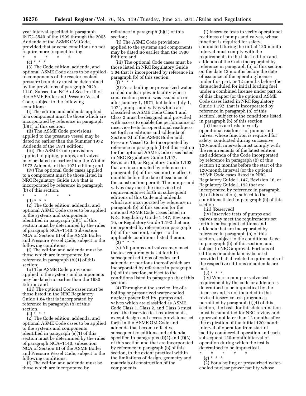year interval specified in paragraph ISTC–3540 of the 1999 through the 2005 Addenda of the ASME OM Code, provided that adverse conditions do not require more frequent testing.

\* \* \* \* \* (c) \* \* \*

(3) The Code edition, addenda, and optional ASME Code cases to be applied to components of the reactor coolant pressure boundary must be determined by the provisions of paragraph NCA– 1140, Subsection NCA of Section III of the ASME Boiler and Pressure Vessel Code, subject to the following conditions:

(i) The edition and addenda applied to a component must be those which are incorporated by reference in paragraph (b)(1) of this section;

(ii) The ASME Code provisions applied to the pressure vessel may be dated no earlier than the Summer 1972 Addenda of the 1971 edition;

(iii) The ASME Code provisions applied to piping, pumps, and valves may be dated no earlier than the Winter 1972 Addenda of the 1971 edition; and

(iv) The optional Code cases applied to a component must be those listed in NRC Regulatory Guide 1.84 that is incorporated by reference in paragraph (b) of this section.

- \* \* \* \* \*
	- (d) \* \* \*

(2) The Code edition, addenda, and optional ASME Code cases to be applied to the systems and components identified in paragraph (d)(1) of this section must be determined by the rules of paragraph NCA–1140, Subsection NCA of Section III of the ASME Boiler and Pressure Vessel Code, subject to the following conditions:

(i) The edition and addenda must be those which are incorporated by reference in paragraph (b)(1) of this section;

(ii) The ASME Code provisions applied to the systems and components may be dated no earlier than the 1980 Edition; and

(iii) The optional Code cases must be those listed in the NRC Regulatory Guide 1.84 that is incorporated by reference in paragraph (b) of this section.

(e) \* \* \*

(2) The Code edition, addenda, and optional ASME Code cases to be applied to the systems and components identified in paragraph (e)(1) of this section must be determined by the rules of paragraph NCA–1140, subsection NCA of Section III of the ASME Boiler and Pressure Vessel Code, subject to the following conditions:

(i) The edition and addenda must be those which are incorporated by

reference in paragraph (b)(1) of this section;

(ii) The ASME Code provisions applied to the systems and components may be dated no earlier than the 1980 Edition; and

(iii) The optional Code cases must be those listed in NRC Regulatory Guide 1.84 that is incorporated by reference in paragraph (b) of this section.  $(f) * * * *$ 

(2) For a boiling or pressurized watercooled nuclear power facility whose construction permit was issued on or after January 1, 1971, but before July 1, 1974, pumps and valves which are classified as ASME Code Class 1 and Class 2 must be designed and provided with access to enable the performance of inservice tests for operational readiness set forth in editions and addenda of Section XI of the ASME Boiler and Pressure Vessel Code incorporated by reference in paragraph (b) of this section (or the optional ASME Code cases listed in NRC Regulatory Guide 1.147, Revision 16, or Regulatory Guide 1.192 that are incorporated by reference in paragraph (b) of this section) in effect 6 months before the date of issuance of the construction permit. The pumps and valves may meet the inservice test requirements set forth in subsequent editions of this Code and addenda which are incorporated by reference in paragraph (b) of this section (or the optional ASME Code Cases listed in NRC Regulatory Guide 1.147, Revision 16, or Regulatory Guide 1.192 that are incorporated by reference in paragraph (b) of this section), subject to the applicable conditions listed therein.

 $(3) * * * *$ 

(v) All pumps and valves may meet the test requirements set forth in subsequent editions of codes and addenda or portions thereof which are incorporated by reference in paragraph (b) of this section, subject to the conditions listed in paragraph (b) of this section.

(4) Throughout the service life of a boiling or pressurized water-cooled nuclear power facility, pumps and valves which are classified as ASME Code Class 1, Class 2, and Class 3 must meet the inservice test requirements, except design and access provisions, set forth in the ASME OM Code and addenda that become effective subsequent to editions and addenda specified in paragraphs  $(f)(2)$  and  $(f)(3)$ of this section and that are incorporated by reference in paragraph (b) of this section, to the extent practical within the limitations of design, geometry and materials of construction of the components.

(i) Inservice tests to verify operational readiness of pumps and valves, whose function is required for safety, conducted during the initial 120-month interval must comply with the requirements in the latest edition and addenda of the Code incorporated by reference in paragraph (b) of this section on the date 12 months before the date of issuance of the operating license under this part, or 12 months before the date scheduled for initial loading fuel under a combined license under part 52 of this chapter (or the optional ASME Code cases listed in NRC Regulatory Guide 1.192, that is incorporated by reference in paragraph (b) of this section), subject to the conditions listed in paragraph (b) of this section.

(ii) Inservice tests to verify operational readiness of pumps and valves, whose function is required for safety, conducted during successive 120-month intervals must comply with the requirements of the latest edition and addenda of the Code incorporated by reference in paragraph (b) of this section 12 months before the start of the 120-month interval (or the optional ASME Code cases listed in NRC Regulatory Guide 1.147, Revision 16, or Regulatory Guide 1.192 that are incorporated by reference in paragraph (b) of this section), subject to the conditions listed in paragraph (b) of this section.

(iii) [Reserved]

(iv) Inservice tests of pumps and valves may meet the requirements set forth in subsequent editions and addenda that are incorporated by reference in paragraph (b) of this section, subject to the conditions listed in paragraph (b) of this section, and subject to NRC approval. Portions of editions or addenda may be used provided that all related requirements of the respective editions or addenda are met.

 $(5) * * * *$ 

(iv) Where a pump or valve test requirement by the code or addenda is determined to be impractical by the licensee and is not included in the revised inservice test program as permitted by paragraph (f)(4) of this section, the basis for this determination must be submitted for NRC review and approval not later than 12 months after the expiration of the initial 120-month interval of operation from start of facility commercial operation and each subsequent 120-month interval of operation during which the test is determined to be impractical.

- \* \* \* \* \*
	- (g) \* \* \*

(2) For a boiling or pressurized watercooled nuclear power facility whose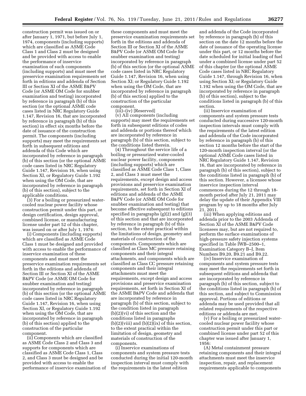construction permit was issued on or after January 1, 1971, but before July 1, 1974, components (including supports) which are classified as ASME Code Class 1 and Class 2 must be designed and be provided with access to enable the performance of inservice examination of such components (including supports) and must meet the preservice examination requirements set forth in editions and addenda of Section III or Section XI of the ASME B&PV Code (or ASME OM Code for snubber examination and testing) incorporated by reference in paragraph (b) of this section (or the optional ASME code cases listed in NRC Regulatory Guide 1.147, Revision 16, that are incorporated by reference in paragraph (b) of this section) in effect six months before the date of issuance of the construction permit. The components (including supports) may meet the requirements set forth in subsequent editions and addenda of this Code which are incorporated by reference in paragraph (b) of this section (or the optional ASME code cases listed in NRC Regulatory Guide 1.147, Revision 16, when using Section XI, or Regulatory Guide 1.192 when using the OM Code, that are incorporated by reference in paragraph (b) of this section), subject to the applicable conditions.

(3) For a boiling or pressurized watercooled nuclear power facility whose construction permit under this part, or design certification, design approval, combined license, or manufacturing license under part 52 of this chapter, was issued on or after July 1, 1974:

(i) Components (including supports) which are classified as ASME Code Class 1 must be designed and provided with access to enable the performance of inservice examination of these components and must meet the preservice examination requirements set forth in the editions and addenda of Section III or Section XI of the ASME B&PV Code (or ASME OM Code for snubber examination and testing) incorporated by reference in paragraph (b) of this section (or the optional ASME code cases listed in NRC Regulatory Guide 1.147, Revision 16, when using Section XI, or Regulatory Guide 1.192 when using the OM Code, that are incorporated by reference in paragraph (b) of this section) applied to the construction of the particular component.

(ii) Components which are classified as ASME Code Class 2 and Class 3 and supports for components which are classified as ASME Code Class 1, Class 2, and Class 3 must be designed and be provided with access to enable the performance of inservice examination of these components and must meet the preservice examination requirements set forth in the editions and addenda of Section III or Section XI of the ASME B&PV Code (or ASME OM Code for snubber examination and testing) incorporated by reference in paragraph (b) of this section (or the optional ASME code cases listed in NRC Regulatory Guide 1.147, Revision 16, when using Section XI; or Regulatory Guide 1.192 when using the OM Code, that are incorporated by reference in paragraph (b) of this section) applied to the construction of the particular component.

(iii)–(iv) [Reserved]

(v) All components (including supports) may meet the requirements set forth in subsequent editions of codes and addenda or portions thereof which are incorporated by reference in paragraph (b) of this section, subject to the conditions listed therein.

(4) Throughout the service life of a boiling or pressurized water-cooled nuclear power facility, components (including supports) which are classified as ASME Code Class 1, Class 2, and Class 3 must meet the requirements, except design and access provisions and preservice examination requirements, set forth in Section XI of editions and addenda of the ASME B&PV Code (or ASME OM Code for snubber examination and testing) that become effective subsequent to editions specified in paragraphs (g)(2) and (g)(3) of this section and that are incorporated by reference in paragraph (b) of this section, to the extent practical within the limitations of design, geometry and materials of construction of the components. Components which are classified as Class MC pressure retaining components and their integral attachments, and components which are classified as Class CC pressure retaining components and their integral attachments must meet the requirements, except design and access provisions and preservice examination requirements, set forth in Section XI of the ASME B&PV Code and addenda that are incorporated by reference in paragraph (b) of this section, subject to the condition listed in paragraph (b)(2)(vi) of this section and the conditions listed in paragraphs  $(b)(2)(viii)$  and  $(b)(2)(ix)$  of this section, to the extent practical within the limitation of design, geometry and materials of construction of the components.

(i) Inservice examinations of components and system pressure tests conducted during the initial 120-month inspection interval must comply with the requirements in the latest edition

and addenda of the Code incorporated by reference in paragraph (b) of this section on the date 12 months before the date of issuance of the operating license under this part, or 12 months before the date scheduled for initial loading of fuel under a combined license under part 52 of this chapter (or the optional ASME Code cases listed in NRC Regulatory Guide 1.147, through Revision 16, when using Section XI; or Regulatory Guide 1.192 when using the OM Code, that are incorporated by reference in paragraph (b) of this section), subject to the conditions listed in paragraph (b) of this section.

(ii) Inservice examination of components and system pressure tests conducted during successive 120-month inspection intervals must comply with the requirements of the latest edition and addenda of the Code incorporated by reference in paragraph (b) of this section 12 months before the start of the 120-month inspection interval (or the optional ASME Code cases listed in NRC Regulatory Guide 1.147, Revision 16, that are incorporated by reference in paragraph (b) of this section), subject to the conditions listed in paragraph (b) of this section. However, a licensee whose inservice inspection interval commences during the 12 through 18 month period after July 21, 2011 may delay the update of their Appendix VIII program by up to 18 months after July 21, 2011.

(iii) When applying editions and addenda prior to the 2003 Addenda of Section XI of the ASME B&PV Code licensees may, but are not required to, perform the surface examinations of high-pressure safety injection systems specified in Table IWB–2500–1, Examination Category B–J, Item Numbers B9.20, B9.21 and B9.22.

(iv) Inservice examination of components and system pressure tests may meet the requirements set forth in subsequent editions and addenda that are incorporated by reference in paragraph (b) of this section, subject to the conditions listed in paragraph (b) of this section, and subject to Commission approval. Portions of editions or addenda may be used provided that all related requirements of the respective editions or addenda are met.

(v) For a boiling or pressurized watercooled nuclear power facility whose construction permit under this part or combined license under part 52 of this chapter was issued after January 1, 1956:

(A) Metal containment pressure retaining components and their integral attachments must meet the inservice inspection, repair, and replacement requirements applicable to components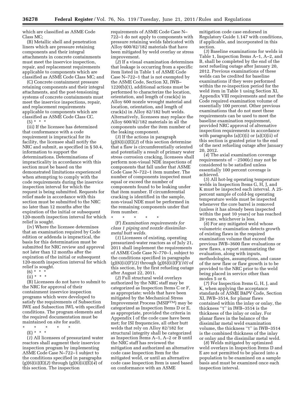which are classified as ASME Code Class MC;

(B) Metallic shell and penetration liners which are pressure retaining components and their integral attachments in concrete containments must meet the inservice inspection, repair, and replacement requirements applicable to components which are classified as ASME Code Class MC; and

(C) Concrete containment pressure retaining components and their integral attachments, and the post-tensioning systems of concrete containments must meet the inservice inspections, repair, and replacement requirements applicable to components which are classified as ASME Code Class CC.

 $(5) * * * *$ 

(iii) If the licensee has determined that conformance with a code requirement is impractical for its facility, the licensee shall notify the NRC and submit, as specified in § 50.4, information to support the determinations. Determinations of impracticality in accordance with this section must be based on the demonstrated limitations experienced when attempting to comply with the code requirements during the inservice inspection interval for which the request is being submitted. Requests for relief made in accordance with this section must be submitted to the NRC no later than 12 months after the expiration of the initial or subsequent 120-month inspection interval for which relief is sought.

(iv) Where the licensee determines that an examination required by Code edition or addenda is impractical, the basis for this determination must be submitted for NRC review and approval not later than 12 months after the expiration of the initial or subsequent 120-month inspection interval for which relief is sought.

- $(6) * * * *$
- $(ii) * * * *$

(B) Licensees do not have to submit to the NRC for approval of their containment inservice inspection programs which were developed to satisfy the requirements of Subsection IWE and Subsection IWL with specified conditions. The program elements and the required documentation must be maintained on site for audit.

- \* \* \* \* \*
	- (E) \* \* \*

(*1*) All licensees of pressurized water reactors shall augment their inservice inspection program by implementing ASME Code Case N–722–1 subject to the conditions specified in paragraphs (g)(6)(ii)(E)(*2*) through (g)(6)(ii)(E)(*4*) of this section. The inspection

requirements of ASME Code Case N– 722–1 do not apply to components with pressure retaining welds fabricated with Alloy 600/82/182 materials that have been mitigated by weld overlay or stress improvement.

(*2*) If a visual examination determines that leakage is occurring from a specific item listed in Table 1 of ASME Code Case N–722–1 that is not exempted by the ASME Code, Section XI, IWB– 1220(b)(1), additional actions must be performed to characterize the location, orientation, and length of crack(s) in Alloy 600 nozzle wrought material and location, orientation, and length of crack(s) in Alloy 82/182 butt welds. Alternatively, licensees may replace the Alloy 600/82/182 materials in all the components under the item number of the leaking component.

(*3*) If the actions in paragraph (g)(6)(ii)(E)(*2*) of this section determine that a flaw is circumferentially oriented and potentially a result of primary water stress corrosion cracking, licensees shall perform non-visual NDE inspections of components that fall under that ASME Code Case N–722–1 item number. The number of components inspected must equal or exceed the number of components found to be leaking under that item number. If circumferential cracking is identified in the sample, non-visual NDE must be performed in the remaining components under that item number.

\* \* \* \* \* (F) *Examination requirements for class 1 piping and nozzle dissimilarmetal butt welds.* 

(*1*) Licensees of existing, operating pressurized-water reactors as of July 21, 2011 shall implement the requirements of ASME Code Case N–770–1, subject to the conditions specified in paragraphs (g)(6)(ii)(F)*(2)* through (g)(6)(ii)(F)*(10)* of this section, by the first refueling outage after August 22, 2011.

(*2*) Full structural weld overlays authorized by the NRC staff may be categorized as Inspection Items C or F, as appropriate; welds that have been mitigated by the Mechanical Stress Improvement Process (MSIPTM) may be categorized as Inspection Items D or E, as appropriate, provided the criteria in Appendix I of the code case have been met; for ISI frequencies, all other butt welds that rely on Alloy 82/182 for structural integrity shall be categorized as Inspection Items A–1, A–2 or B until the NRC staff has reviewed the mitigation and authorized an alternative code case Inspection Item for the mitigated weld, or until an alternative code case Inspection Item is used based on conformance with an ASME

mitigation code case endorsed in Regulatory Guide 1.147 with conditions, if applicable, and incorporated in this section.

(*3*) Baseline examinations for welds in Table 1, Inspection Items A–1, A–2, and B, shall be completed by the end of the next refueling outage after January 20, 2012. Previous examinations of these welds can be credited for baseline examinations if they were performed within the re-inspection period for the weld item in Table 1 using Section XI, Appendix VIII requirements and met the Code required examination volume of essentially 100 percent. Other previous examinations that do not meet these requirements can be used to meet the baseline examination requirement, provided NRC approval of alternative inspection requirements in accordance with paragraphs (a)(3)(i) or (a)(3)(ii) of this section is granted prior to the end of the next refueling outage after January 20, 2012.

(*4*) The axial examination coverage requirements of  $-2500(c)$  may not be considered to be satisfied unless essentially 100 percent coverage is achieved.

(*5*) All hot-leg operating temperature welds in Inspection Items G, H, J, and K must be inspected each interval. A 25 percent sample of cold-leg operating temperature welds must be inspected whenever the core barrel is removed (unless it has already been inspected within the past 10 years) or has reached 20 years, whichever is less.

(*6*) For any mitigated weld whose volumetric examination detects growth of existing flaws in the required examination volume that exceed the previous IWB–3600 flaw evaluations or new flaws, a report summarizing the evaluation, along with inputs, methodologies, assumptions, and cause of the new flaw or flaw growth is to be provided to the NRC prior to the weld being placed in service other than modes 5 or 6.

(*7*) For Inspection Items G, H, J, and K, when applying the acceptance standards of ASME B&PV Code, Section XI, IWB–3514, for planar flaws contained within the inlay or onlay, the thickness ''t'' in IWB–3514 is the thickness of the inlay or onlay. For planar flaws in the balance of the dissimilar metal weld examination volume, the thickness ''t'' in IWB–3514 is the combined thickness of the inlay or onlay and the dissimilar metal weld.

(*8*) Welds mitigated by optimized weld overlays in Inspection Items D and E are not permitted to be placed into a population to be examined on a sample basis and must be examined once each inspection interval.